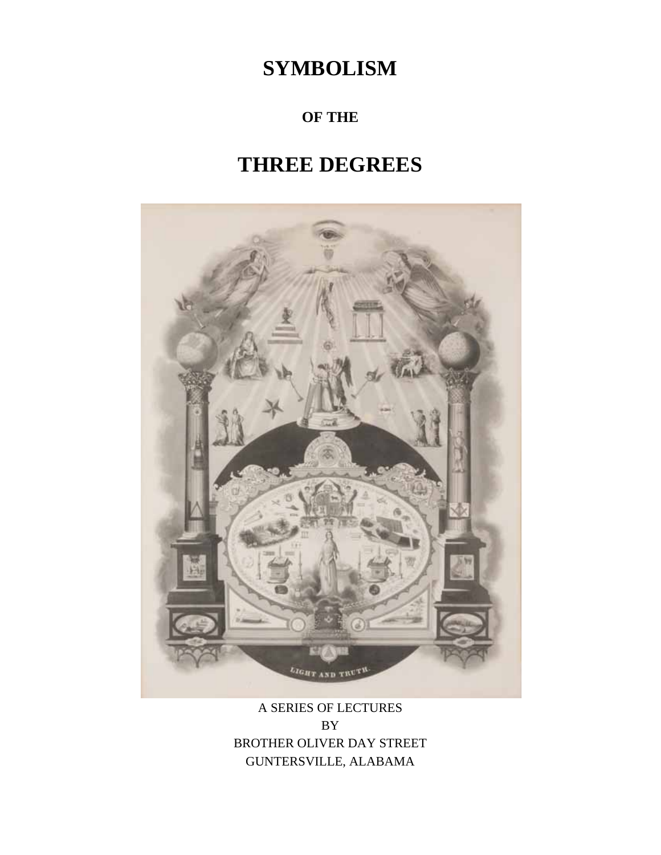# **SYMBOLISM**

# **OF THE**

# **THREE DEGREES**



# A SERIES OF LECTURES BY BROTHER OLIVER DAY STREET GUNTERSVILLE, ALABAMA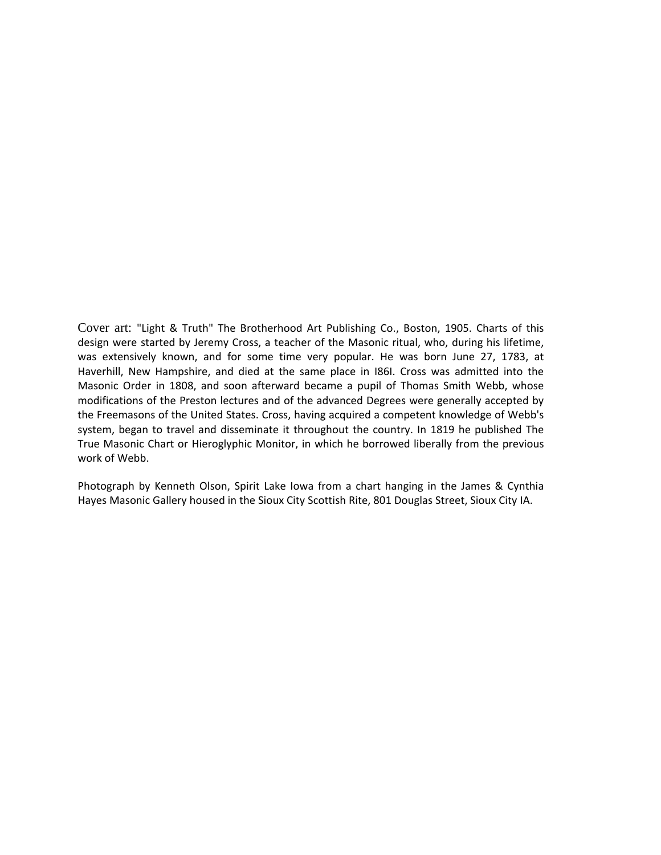Cover art: "Light & Truth" The Brotherhood Art Publishing Co., Boston, 1905. Charts of this design were started by Jeremy Cross, a teacher of the Masonic ritual, who, during his lifetime, was extensively known, and for some time very popular. He was born June 27, 1783, at Haverhill, New Hampshire, and died at the same place in I86I. Cross was admitted into the Masonic Order in 1808, and soon afterward became a pupil of Thomas Smith Webb, whose modifications of the Preston lectures and of the advanced Degrees were generally accepted by the Freemasons of the United States. Cross, having acquired a competent knowledge of Webb's system, began to travel and disseminate it throughout the country. In 1819 he published The True Masonic Chart or Hieroglyphic Monitor, in which he borrowed liberally from the previous work of Webb.

Photograph by Kenneth Olson, Spirit Lake Iowa from a chart hanging in the James & Cynthia Hayes Masonic Gallery housed in the Sioux City Scottish Rite, 801 Douglas Street, Sioux City IA.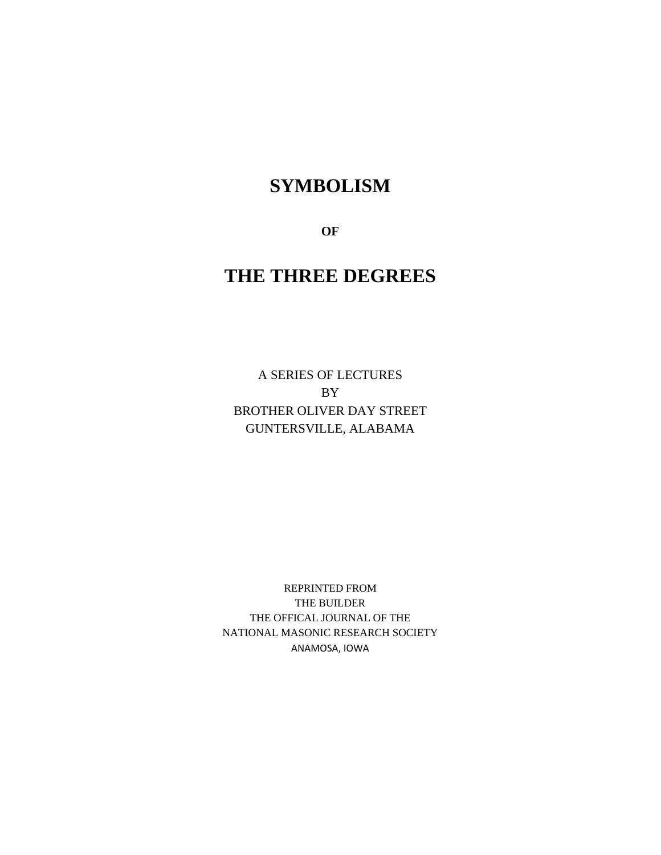# **SYMBOLISM**

**OF** 

# **THE THREE DEGREES**

A SERIES OF LECTURES BY BROTHER OLIVER DAY STREET GUNTERSVILLE, ALABAMA

REPRINTED FROM THE BUILDER THE OFFICAL JOURNAL OF THE NATIONAL MASONIC RESEARCH SOCIETY ANAMOSA, IOWA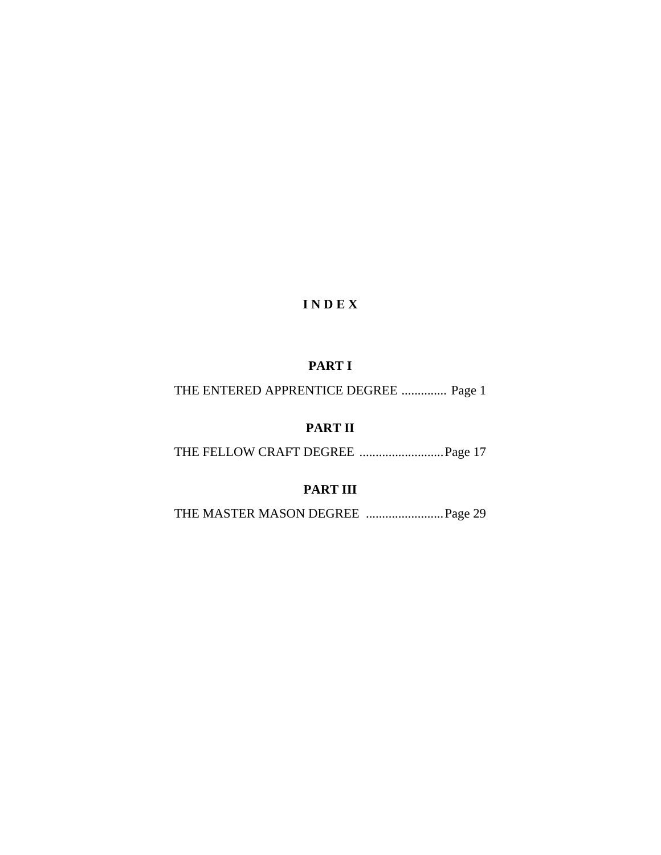# **I N D E X**

# **PART I**

THE ENTERED APPRENTICE DEGREE .............. Page 1

# **PART II**

THE FELLOW CRAFT DEGREE .......................... Page 17

# **PART III**

THE MASTER MASON DEGREE ........................ Page 29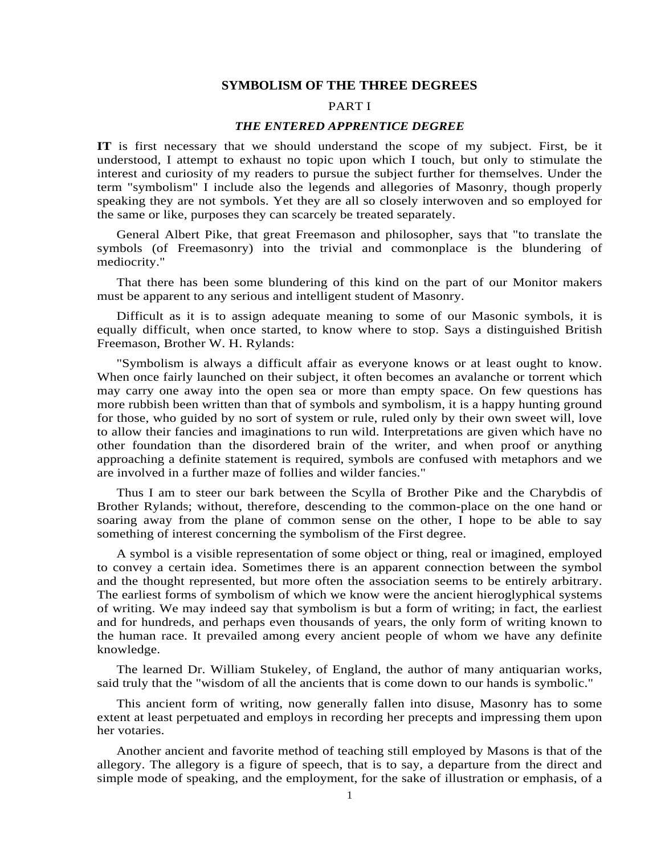#### **SYMBOLISM OF THE THREE DEGREES**

# PART I

## *THE ENTERED APPRENTICE DEGREE*

**IT** is first necessary that we should understand the scope of my subject. First, be it understood, I attempt to exhaust no topic upon which I touch, but only to stimulate the interest and curiosity of my readers to pursue the subject further for themselves. Under the term "symbolism" I include also the legends and allegories of Masonry, though properly speaking they are not symbols. Yet they are all so closely interwoven and so employed for the same or like, purposes they can scarcely be treated separately.

General Albert Pike, that great Freemason and philosopher, says that "to translate the symbols (of Freemasonry) into the trivial and commonplace is the blundering of mediocrity."

That there has been some blundering of this kind on the part of our Monitor makers must be apparent to any serious and intelligent student of Masonry.

Difficult as it is to assign adequate meaning to some of our Masonic symbols, it is equally difficult, when once started, to know where to stop. Says a distinguished British Freemason, Brother W. H. Rylands:

"Symbolism is always a difficult affair as everyone knows or at least ought to know. When once fairly launched on their subject, it often becomes an avalanche or torrent which may carry one away into the open sea or more than empty space. On few questions has more rubbish been written than that of symbols and symbolism, it is a happy hunting ground for those, who guided by no sort of system or rule, ruled only by their own sweet will, love to allow their fancies and imaginations to run wild. Interpretations are given which have no other foundation than the disordered brain of the writer, and when proof or anything approaching a definite statement is required, symbols are confused with metaphors and we are involved in a further maze of follies and wilder fancies."

Thus I am to steer our bark between the Scylla of Brother Pike and the Charybdis of Brother Rylands; without, therefore, descending to the common-place on the one hand or soaring away from the plane of common sense on the other, I hope to be able to say something of interest concerning the symbolism of the First degree.

A symbol is a visible representation of some object or thing, real or imagined, employed to convey a certain idea. Sometimes there is an apparent connection between the symbol and the thought represented, but more often the association seems to be entirely arbitrary. The earliest forms of symbolism of which we know were the ancient hieroglyphical systems of writing. We may indeed say that symbolism is but a form of writing; in fact, the earliest and for hundreds, and perhaps even thousands of years, the only form of writing known to the human race. It prevailed among every ancient people of whom we have any definite knowledge.

The learned Dr. William Stukeley, of England, the author of many antiquarian works, said truly that the "wisdom of all the ancients that is come down to our hands is symbolic."

This ancient form of writing, now generally fallen into disuse, Masonry has to some extent at least perpetuated and employs in recording her precepts and impressing them upon her votaries.

Another ancient and favorite method of teaching still employed by Masons is that of the allegory. The allegory is a figure of speech, that is to say, a departure from the direct and simple mode of speaking, and the employment, for the sake of illustration or emphasis, of a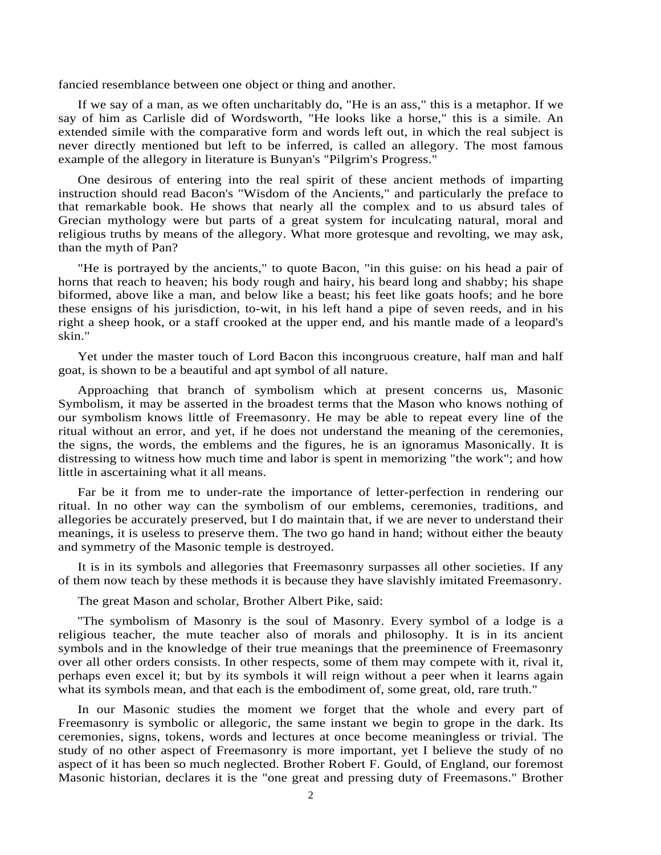fancied resemblance between one object or thing and another.

If we say of a man, as we often uncharitably do, "He is an ass," this is a metaphor. If we say of him as Carlisle did of Wordsworth, "He looks like a horse," this is a simile. An extended simile with the comparative form and words left out, in which the real subject is never directly mentioned but left to be inferred, is called an allegory. The most famous example of the allegory in literature is Bunyan's "Pilgrim's Progress."

One desirous of entering into the real spirit of these ancient methods of imparting instruction should read Bacon's "Wisdom of the Ancients," and particularly the preface to that remarkable book. He shows that nearly all the complex and to us absurd tales of Grecian mythology were but parts of a great system for inculcating natural, moral and religious truths by means of the allegory. What more grotesque and revolting, we may ask, than the myth of Pan?

"He is portrayed by the ancients," to quote Bacon, "in this guise: on his head a pair of horns that reach to heaven; his body rough and hairy, his beard long and shabby; his shape biformed, above like a man, and below like a beast; his feet like goats hoofs; and he bore these ensigns of his jurisdiction, to-wit, in his left hand a pipe of seven reeds, and in his right a sheep hook, or a staff crooked at the upper end, and his mantle made of a leopard's skin."

Yet under the master touch of Lord Bacon this incongruous creature, half man and half goat, is shown to be a beautiful and apt symbol of all nature.

Approaching that branch of symbolism which at present concerns us, Masonic Symbolism, it may be asserted in the broadest terms that the Mason who knows nothing of our symbolism knows little of Freemasonry. He may be able to repeat every line of the ritual without an error, and yet, if he does not understand the meaning of the ceremonies, the signs, the words, the emblems and the figures, he is an ignoramus Masonically. It is distressing to witness how much time and labor is spent in memorizing "the work"; and how little in ascertaining what it all means.

Far be it from me to under-rate the importance of letter-perfection in rendering our ritual. In no other way can the symbolism of our emblems, ceremonies, traditions, and allegories be accurately preserved, but I do maintain that, if we are never to understand their meanings, it is useless to preserve them. The two go hand in hand; without either the beauty and symmetry of the Masonic temple is destroyed.

It is in its symbols and allegories that Freemasonry surpasses all other societies. If any of them now teach by these methods it is because they have slavishly imitated Freemasonry.

The great Mason and scholar, Brother Albert Pike, said:

''The symbolism of Masonry is the soul of Masonry. Every symbol of a lodge is a religious teacher, the mute teacher also of morals and philosophy. It is in its ancient symbols and in the knowledge of their true meanings that the preeminence of Freemasonry over all other orders consists. In other respects, some of them may compete with it, rival it, perhaps even excel it; but by its symbols it will reign without a peer when it learns again what its symbols mean, and that each is the embodiment of, some great, old, rare truth."

In our Masonic studies the moment we forget that the whole and every part of Freemasonry is symbolic or allegoric, the same instant we begin to grope in the dark. Its ceremonies, signs, tokens, words and lectures at once become meaningless or trivial. The study of no other aspect of Freemasonry is more important, yet I believe the study of no aspect of it has been so much neglected. Brother Robert F. Gould, of England, our foremost Masonic historian, declares it is the "one great and pressing duty of Freemasons." Brother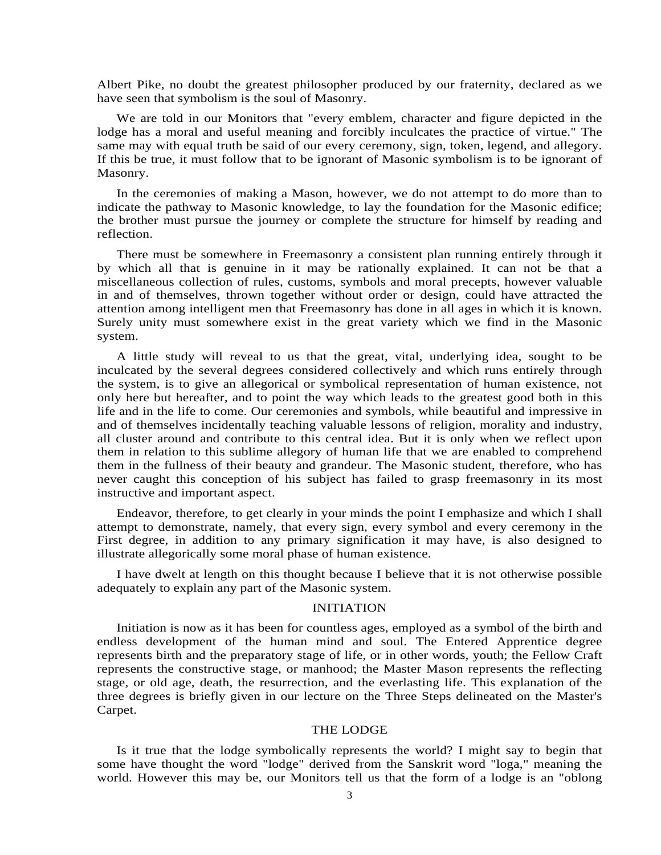Albert Pike, no doubt the greatest philosopher produced by our fraternity, declared as we have seen that symbolism is the soul of Masonry.

We are told in our Monitors that "every emblem, character and figure depicted in the lodge has a moral and useful meaning and forcibly inculcates the practice of virtue." The same may with equal truth be said of our every ceremony, sign, token, legend, and allegory. If this be true, it must follow that to be ignorant of Masonic symbolism is to be ignorant of Masonry.

In the ceremonies of making a Mason, however, we do not attempt to do more than to indicate the pathway to Masonic knowledge, to lay the foundation for the Masonic edifice; the brother must pursue the journey or complete the structure for himself by reading and reflection.

There must be somewhere in Freemasonry a consistent plan running entirely through it by which all that is genuine in it may be rationally explained. It can not be that a miscellaneous collection of rules, customs, symbols and moral precepts, however valuable in and of themselves, thrown together without order or design, could have attracted the attention among intelligent men that Freemasonry has done in all ages in which it is known. Surely unity must somewhere exist in the great variety which we find in the Masonic system.

A little study will reveal to us that the great, vital, underlying idea, sought to be inculcated by the several degrees considered collectively and which runs entirely through the system, is to give an allegorical or symbolical representation of human existence, not only here but hereafter, and to point the way which leads to the greatest good both in this life and in the life to come. Our ceremonies and symbols, while beautiful and impressive in and of themselves incidentally teaching valuable lessons of religion, morality and industry, all cluster around and contribute to this central idea. But it is only when we reflect upon them in relation to this sublime allegory of human life that we are enabled to comprehend them in the fullness of their beauty and grandeur. The Masonic student, therefore, who has never caught this conception of his subject has failed to grasp freemasonry in its most instructive and important aspect.

Endeavor, therefore, to get clearly in your minds the point I emphasize and which I shall attempt to demonstrate, namely, that every sign, every symbol and every ceremony in the First degree, in addition to any primary signification it may have, is also designed to illustrate allegorically some moral phase of human existence.

I have dwelt at length on this thought because I believe that it is not otherwise possible adequately to explain any part of the Masonic system.

### INITIATION

Initiation is now as it has been for countless ages, employed as a symbol of the birth and endless development of the human mind and soul. The Entered Apprentice degree represents birth and the preparatory stage of life, or in other words, youth; the Fellow Craft represents the constructive stage, or manhood; the Master Mason represents the reflecting stage, or old age, death, the resurrection, and the everlasting life. This explanation of the three degrees is briefly given in our lecture on the Three Steps delineated on the Master's Carpet.

### THE LODGE

Is it true that the lodge symbolically represents the world? I might say to begin that some have thought the word "lodge" derived from the Sanskrit word "loga," meaning the world. However this may be, our Monitors tell us that the form of a lodge is an "oblong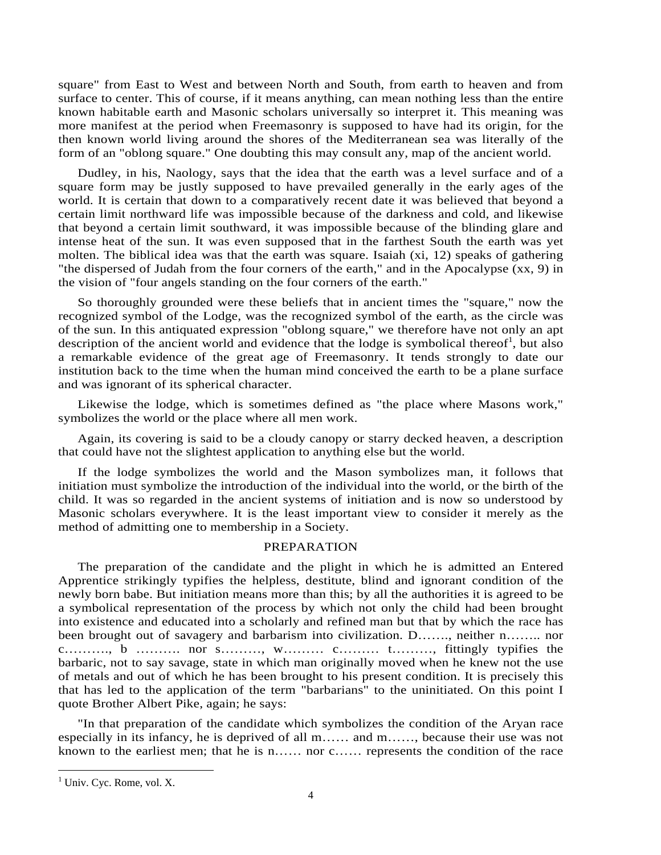square" from East to West and between North and South, from earth to heaven and from surface to center. This of course, if it means anything, can mean nothing less than the entire known habitable earth and Masonic scholars universally so interpret it. This meaning was more manifest at the period when Freemasonry is supposed to have had its origin, for the then known world living around the shores of the Mediterranean sea was literally of the form of an "oblong square." One doubting this may consult any, map of the ancient world.

Dudley, in his, Naology, says that the idea that the earth was a level surface and of a square form may be justly supposed to have prevailed generally in the early ages of the world. It is certain that down to a comparatively recent date it was believed that beyond a certain limit northward life was impossible because of the darkness and cold, and likewise that beyond a certain limit southward, it was impossible because of the blinding glare and intense heat of the sun. It was even supposed that in the farthest South the earth was yet molten. The biblical idea was that the earth was square. Isaiah (xi, 12) speaks of gathering "the dispersed of Judah from the four corners of the earth," and in the Apocalypse (xx, 9) in the vision of "four angels standing on the four corners of the earth."

So thoroughly grounded were these beliefs that in ancient times the "square," now the recognized symbol of the Lodge, was the recognized symbol of the earth, as the circle was of the sun. In this antiquated expression "oblong square," we therefore have not only an apt description of the ancient world and evidence that the lodge is symbolical thereof<sup>1</sup>, but also a remarkable evidence of the great age of Freemasonry. It tends strongly to date our institution back to the time when the human mind conceived the earth to be a plane surface and was ignorant of its spherical character.

Likewise the lodge, which is sometimes defined as "the place where Masons work," symbolizes the world or the place where all men work.

Again, its covering is said to be a cloudy canopy or starry decked heaven, a description that could have not the slightest application to anything else but the world.

If the lodge symbolizes the world and the Mason symbolizes man, it follows that initiation must symbolize the introduction of the individual into the world, or the birth of the child. It was so regarded in the ancient systems of initiation and is now so understood by Masonic scholars everywhere. It is the least important view to consider it merely as the method of admitting one to membership in a Society.

# PREPARATION

The preparation of the candidate and the plight in which he is admitted an Entered Apprentice strikingly typifies the helpless, destitute, blind and ignorant condition of the newly born babe. But initiation means more than this; by all the authorities it is agreed to be a symbolical representation of the process by which not only the child had been brought into existence and educated into a scholarly and refined man but that by which the race has been brought out of savagery and barbarism into civilization. D……., neither n…….. nor c………., b ………. nor s………, w……… c……… t………, fittingly typifies the barbaric, not to say savage, state in which man originally moved when he knew not the use of metals and out of which he has been brought to his present condition. It is precisely this that has led to the application of the term "barbarians" to the uninitiated. On this point I quote Brother Albert Pike, again; he says:

"In that preparation of the candidate which symbolizes the condition of the Aryan race especially in its infancy, he is deprived of all m…… and m……, because their use was not known to the earliest men; that he is n…… nor c…… represents the condition of the race

<sup>&</sup>lt;sup>1</sup> Univ. Cyc. Rome, vol. X.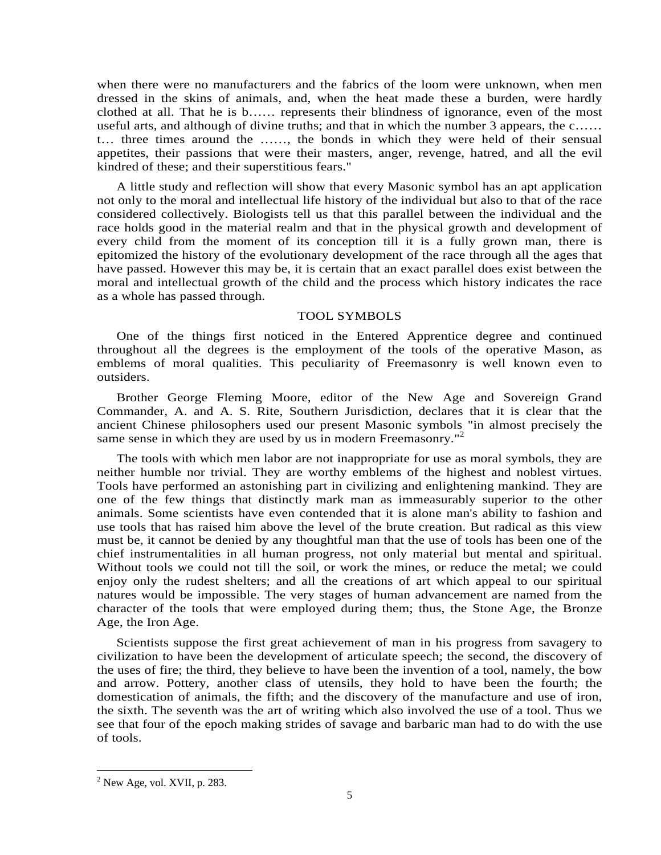when there were no manufacturers and the fabrics of the loom were unknown, when men dressed in the skins of animals, and, when the heat made these a burden, were hardly clothed at all. That he is b…… represents their blindness of ignorance, even of the most useful arts, and although of divine truths; and that in which the number 3 appears, the c…… t… three times around the ……, the bonds in which they were held of their sensual appetites, their passions that were their masters, anger, revenge, hatred, and all the evil kindred of these; and their superstitious fears."

A little study and reflection will show that every Masonic symbol has an apt application not only to the moral and intellectual life history of the individual but also to that of the race considered collectively. Biologists tell us that this parallel between the individual and the race holds good in the material realm and that in the physical growth and development of every child from the moment of its conception till it is a fully grown man, there is epitomized the history of the evolutionary development of the race through all the ages that have passed. However this may be, it is certain that an exact parallel does exist between the moral and intellectual growth of the child and the process which history indicates the race as a whole has passed through.

### TOOL SYMBOLS

One of the things first noticed in the Entered Apprentice degree and continued throughout all the degrees is the employment of the tools of the operative Mason, as emblems of moral qualities. This peculiarity of Freemasonry is well known even to outsiders.

Brother George Fleming Moore, editor of the New Age and Sovereign Grand Commander, A. and A. S. Rite, Southern Jurisdiction, declares that it is clear that the ancient Chinese philosophers used our present Masonic symbols "in almost precisely the same sense in which they are used by us in modern Freemasonry.<sup>"2</sup>

The tools with which men labor are not inappropriate for use as moral symbols, they are neither humble nor trivial. They are worthy emblems of the highest and noblest virtues. Tools have performed an astonishing part in civilizing and enlightening mankind. They are one of the few things that distinctly mark man as immeasurably superior to the other animals. Some scientists have even contended that it is alone man's ability to fashion and use tools that has raised him above the level of the brute creation. But radical as this view must be, it cannot be denied by any thoughtful man that the use of tools has been one of the chief instrumentalities in all human progress, not only material but mental and spiritual. Without tools we could not till the soil, or work the mines, or reduce the metal; we could enjoy only the rudest shelters; and all the creations of art which appeal to our spiritual natures would be impossible. The very stages of human advancement are named from the character of the tools that were employed during them; thus, the Stone Age, the Bronze Age, the Iron Age.

Scientists suppose the first great achievement of man in his progress from savagery to civilization to have been the development of articulate speech; the second, the discovery of the uses of fire; the third, they believe to have been the invention of a tool, namely, the bow and arrow. Pottery, another class of utensils, they hold to have been the fourth; the domestication of animals, the fifth; and the discovery of the manufacture and use of iron, the sixth. The seventh was the art of writing which also involved the use of a tool. Thus we see that four of the epoch making strides of savage and barbaric man had to do with the use of tools.

 $2^2$  New Age, vol. XVII, p. 283.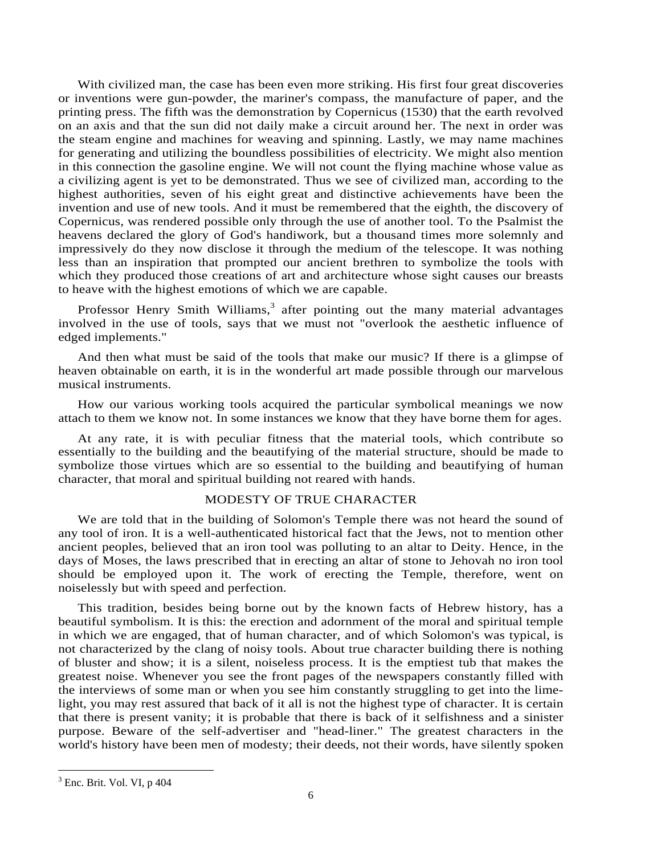With civilized man, the case has been even more striking. His first four great discoveries or inventions were gun-powder, the mariner's compass, the manufacture of paper, and the printing press. The fifth was the demonstration by Copernicus (1530) that the earth revolved on an axis and that the sun did not daily make a circuit around her. The next in order was the steam engine and machines for weaving and spinning. Lastly, we may name machines for generating and utilizing the boundless possibilities of electricity. We might also mention in this connection the gasoline engine. We will not count the flying machine whose value as a civilizing agent is yet to be demonstrated. Thus we see of civilized man, according to the highest authorities, seven of his eight great and distinctive achievements have been the invention and use of new tools. And it must be remembered that the eighth, the discovery of Copernicus, was rendered possible only through the use of another tool. To the Psalmist the heavens declared the glory of God's handiwork, but a thousand times more solemnly and impressively do they now disclose it through the medium of the telescope. It was nothing less than an inspiration that prompted our ancient brethren to symbolize the tools with which they produced those creations of art and architecture whose sight causes our breasts to heave with the highest emotions of which we are capable.

Professor Henry Smith Williams,<sup>3</sup> after pointing out the many material advantages involved in the use of tools, says that we must not "overlook the aesthetic influence of edged implements."

And then what must be said of the tools that make our music? If there is a glimpse of heaven obtainable on earth, it is in the wonderful art made possible through our marvelous musical instruments.

How our various working tools acquired the particular symbolical meanings we now attach to them we know not. In some instances we know that they have borne them for ages.

At any rate, it is with peculiar fitness that the material tools, which contribute so essentially to the building and the beautifying of the material structure, should be made to symbolize those virtues which are so essential to the building and beautifying of human character, that moral and spiritual building not reared with hands.

# MODESTY OF TRUE CHARACTER

We are told that in the building of Solomon's Temple there was not heard the sound of any tool of iron. It is a well-authenticated historical fact that the Jews, not to mention other ancient peoples, believed that an iron tool was polluting to an altar to Deity. Hence, in the days of Moses, the laws prescribed that in erecting an altar of stone to Jehovah no iron tool should be employed upon it. The work of erecting the Temple, therefore, went on noiselessly but with speed and perfection.

This tradition, besides being borne out by the known facts of Hebrew history, has a beautiful symbolism. It is this: the erection and adornment of the moral and spiritual temple in which we are engaged, that of human character, and of which Solomon's was typical, is not characterized by the clang of noisy tools. About true character building there is nothing of bluster and show; it is a silent, noiseless process. It is the emptiest tub that makes the greatest noise. Whenever you see the front pages of the newspapers constantly filled with the interviews of some man or when you see him constantly struggling to get into the limelight, you may rest assured that back of it all is not the highest type of character. It is certain that there is present vanity; it is probable that there is back of it selfishness and a sinister purpose. Beware of the self-advertiser and "head-liner." The greatest characters in the world's history have been men of modesty; their deeds, not their words, have silently spoken

 $3$  Enc. Brit. Vol. VI, p 404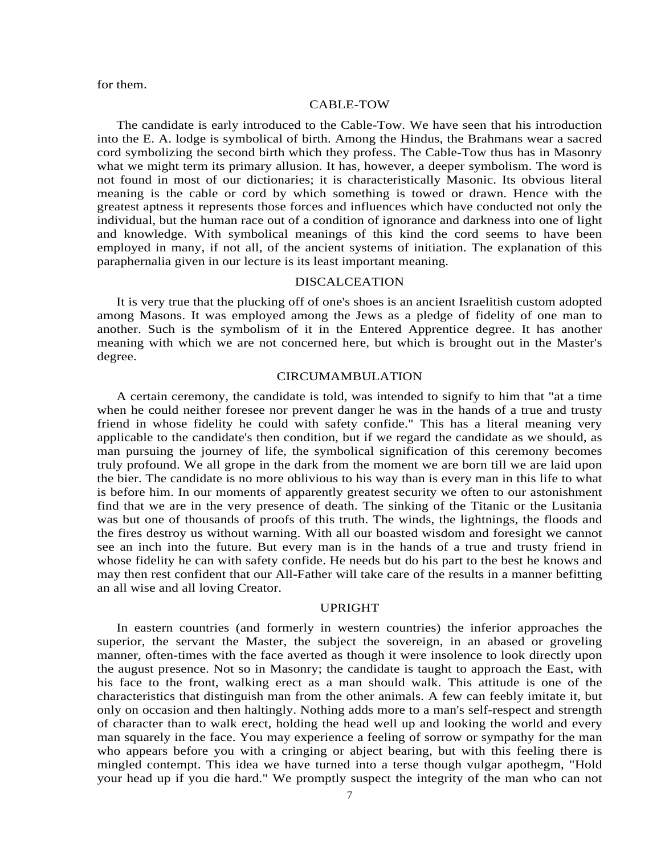for them.

#### CABLE-TOW

The candidate is early introduced to the Cable-Tow. We have seen that his introduction into the E. A. lodge is symbolical of birth. Among the Hindus, the Brahmans wear a sacred cord symbolizing the second birth which they profess. The Cable-Tow thus has in Masonry what we might term its primary allusion. It has, however, a deeper symbolism. The word is not found in most of our dictionaries; it is characteristically Masonic. Its obvious literal meaning is the cable or cord by which something is towed or drawn. Hence with the greatest aptness it represents those forces and influences which have conducted not only the individual, but the human race out of a condition of ignorance and darkness into one of light and knowledge. With symbolical meanings of this kind the cord seems to have been employed in many, if not all, of the ancient systems of initiation. The explanation of this paraphernalia given in our lecture is its least important meaning.

#### DISCALCEATION

It is very true that the plucking off of one's shoes is an ancient Israelitish custom adopted among Masons. It was employed among the Jews as a pledge of fidelity of one man to another. Such is the symbolism of it in the Entered Apprentice degree. It has another meaning with which we are not concerned here, but which is brought out in the Master's degree.

#### CIRCUMAMBULATION

A certain ceremony, the candidate is told, was intended to signify to him that "at a time when he could neither foresee nor prevent danger he was in the hands of a true and trusty friend in whose fidelity he could with safety confide." This has a literal meaning very applicable to the candidate's then condition, but if we regard the candidate as we should, as man pursuing the journey of life, the symbolical signification of this ceremony becomes truly profound. We all grope in the dark from the moment we are born till we are laid upon the bier. The candidate is no more oblivious to his way than is every man in this life to what is before him. In our moments of apparently greatest security we often to our astonishment find that we are in the very presence of death. The sinking of the Titanic or the Lusitania was but one of thousands of proofs of this truth. The winds, the lightnings, the floods and the fires destroy us without warning. With all our boasted wisdom and foresight we cannot see an inch into the future. But every man is in the hands of a true and trusty friend in whose fidelity he can with safety confide. He needs but do his part to the best he knows and may then rest confident that our All-Father will take care of the results in a manner befitting an all wise and all loving Creator.

#### UPRIGHT

In eastern countries (and formerly in western countries) the inferior approaches the superior, the servant the Master, the subject the sovereign, in an abased or groveling manner, often-times with the face averted as though it were insolence to look directly upon the august presence. Not so in Masonry; the candidate is taught to approach the East, with his face to the front, walking erect as a man should walk. This attitude is one of the characteristics that distinguish man from the other animals. A few can feebly imitate it, but only on occasion and then haltingly. Nothing adds more to a man's self-respect and strength of character than to walk erect, holding the head well up and looking the world and every man squarely in the face. You may experience a feeling of sorrow or sympathy for the man who appears before you with a cringing or abject bearing, but with this feeling there is mingled contempt. This idea we have turned into a terse though vulgar apothegm, "Hold your head up if you die hard." We promptly suspect the integrity of the man who can not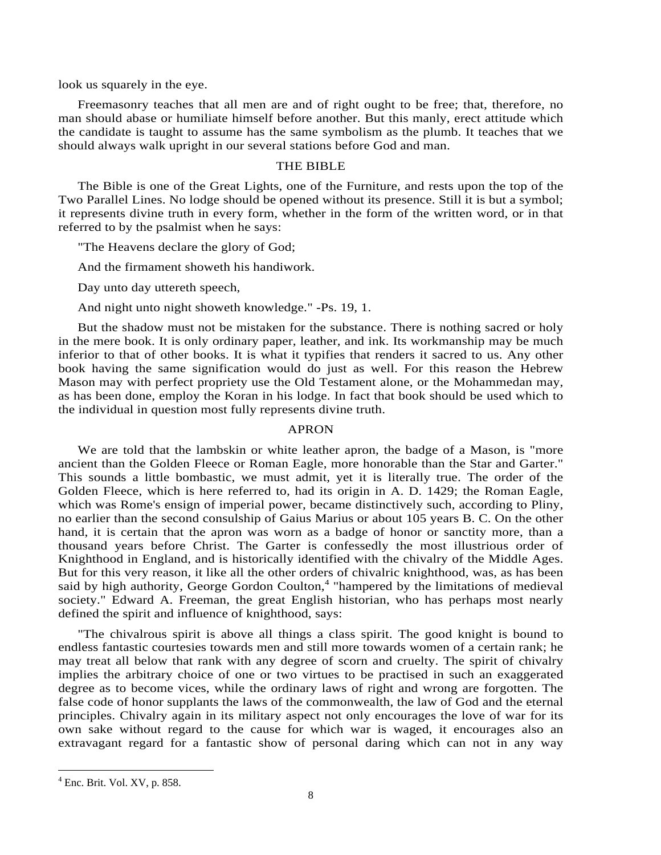look us squarely in the eye.

Freemasonry teaches that all men are and of right ought to be free; that, therefore, no man should abase or humiliate himself before another. But this manly, erect attitude which the candidate is taught to assume has the same symbolism as the plumb. It teaches that we should always walk upright in our several stations before God and man.

# THE BIBLE

The Bible is one of the Great Lights, one of the Furniture, and rests upon the top of the Two Parallel Lines. No lodge should be opened without its presence. Still it is but a symbol; it represents divine truth in every form, whether in the form of the written word, or in that referred to by the psalmist when he says:

"The Heavens declare the glory of God;

And the firmament showeth his handiwork.

Day unto day uttereth speech,

And night unto night showeth knowledge." -Ps. 19, 1.

But the shadow must not be mistaken for the substance. There is nothing sacred or holy in the mere book. It is only ordinary paper, leather, and ink. Its workmanship may be much inferior to that of other books. It is what it typifies that renders it sacred to us. Any other book having the same signification would do just as well. For this reason the Hebrew Mason may with perfect propriety use the Old Testament alone, or the Mohammedan may, as has been done, employ the Koran in his lodge. In fact that book should be used which to the individual in question most fully represents divine truth.

# APRON

We are told that the lambskin or white leather apron, the badge of a Mason, is "more ancient than the Golden Fleece or Roman Eagle, more honorable than the Star and Garter." This sounds a little bombastic, we must admit, yet it is literally true. The order of the Golden Fleece, which is here referred to, had its origin in A. D. 1429; the Roman Eagle, which was Rome's ensign of imperial power, became distinctively such, according to Pliny, no earlier than the second consulship of Gaius Marius or about 105 years B. C. On the other hand, it is certain that the apron was worn as a badge of honor or sanctity more, than a thousand years before Christ. The Garter is confessedly the most illustrious order of Knighthood in England, and is historically identified with the chivalry of the Middle Ages. But for this very reason, it like all the other orders of chivalric knighthood, was, as has been said by high authority, George Gordon Coulton,<sup>4</sup> "hampered by the limitations of medieval society." Edward A. Freeman, the great English historian, who has perhaps most nearly defined the spirit and influence of knighthood, says:

"The chivalrous spirit is above all things a class spirit. The good knight is bound to endless fantastic courtesies towards men and still more towards women of a certain rank; he may treat all below that rank with any degree of scorn and cruelty. The spirit of chivalry implies the arbitrary choice of one or two virtues to be practised in such an exaggerated degree as to become vices, while the ordinary laws of right and wrong are forgotten. The false code of honor supplants the laws of the commonwealth, the law of God and the eternal principles. Chivalry again in its military aspect not only encourages the love of war for its own sake without regard to the cause for which war is waged, it encourages also an extravagant regard for a fantastic show of personal daring which can not in any way

<sup>4</sup> Enc. Brit. Vol. XV, p. 858.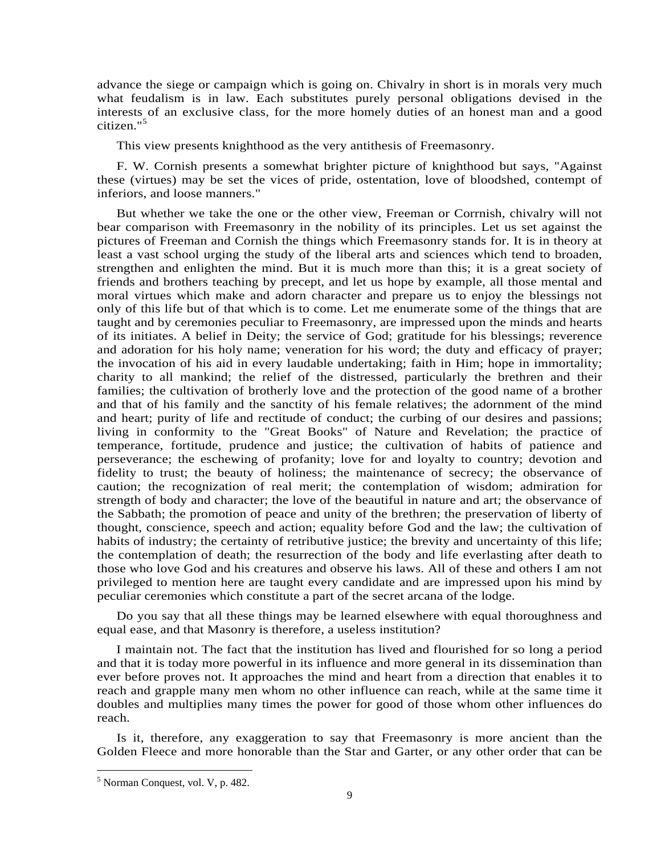advance the siege or campaign which is going on. Chivalry in short is in morals very much what feudalism is in law. Each substitutes purely personal obligations devised in the interests of an exclusive class, for the more homely duties of an honest man and a good citizen."<sup>5</sup>

This view presents knighthood as the very antithesis of Freemasonry.

F. W. Cornish presents a somewhat brighter picture of knighthood but says, "Against these (virtues) may be set the vices of pride, ostentation, love of bloodshed, contempt of inferiors, and loose manners."

But whether we take the one or the other view, Freeman or Corrnish, chivalry will not bear comparison with Freemasonry in the nobility of its principles. Let us set against the pictures of Freeman and Cornish the things which Freemasonry stands for. It is in theory at least a vast school urging the study of the liberal arts and sciences which tend to broaden, strengthen and enlighten the mind. But it is much more than this; it is a great society of friends and brothers teaching by precept, and let us hope by example, all those mental and moral virtues which make and adorn character and prepare us to enjoy the blessings not only of this life but of that which is to come. Let me enumerate some of the things that are taught and by ceremonies peculiar to Freemasonry, are impressed upon the minds and hearts of its initiates. A belief in Deity; the service of God; gratitude for his blessings; reverence and adoration for his holy name; veneration for his word; the duty and efficacy of prayer; the invocation of his aid in every laudable undertaking; faith in Him; hope in immortality; charity to all mankind; the relief of the distressed, particularly the brethren and their families; the cultivation of brotherly love and the protection of the good name of a brother and that of his family and the sanctity of his female relatives; the adornment of the mind and heart; purity of life and rectitude of conduct; the curbing of our desires and passions; living in conformity to the "Great Books" of Nature and Revelation; the practice of temperance, fortitude, prudence and justice; the cultivation of habits of patience and perseverance; the eschewing of profanity; love for and loyalty to country; devotion and fidelity to trust; the beauty of holiness; the maintenance of secrecy; the observance of caution; the recognization of real merit; the contemplation of wisdom; admiration for strength of body and character; the love of the beautiful in nature and art; the observance of the Sabbath; the promotion of peace and unity of the brethren; the preservation of liberty of thought, conscience, speech and action; equality before God and the law; the cultivation of habits of industry; the certainty of retributive justice; the brevity and uncertainty of this life; the contemplation of death; the resurrection of the body and life everlasting after death to those who love God and his creatures and observe his laws. All of these and others I am not privileged to mention here are taught every candidate and are impressed upon his mind by peculiar ceremonies which constitute a part of the secret arcana of the lodge.

Do you say that all these things may be learned elsewhere with equal thoroughness and equal ease, and that Masonry is therefore, a useless institution?

I maintain not. The fact that the institution has lived and flourished for so long a period and that it is today more powerful in its influence and more general in its dissemination than ever before proves not. It approaches the mind and heart from a direction that enables it to reach and grapple many men whom no other influence can reach, while at the same time it doubles and multiplies many times the power for good of those whom other influences do reach.

Is it, therefore, any exaggeration to say that Freemasonry is more ancient than the Golden Fleece and more honorable than the Star and Garter, or any other order that can be

<sup>5</sup> Norman Conquest, vol. V, p. 482.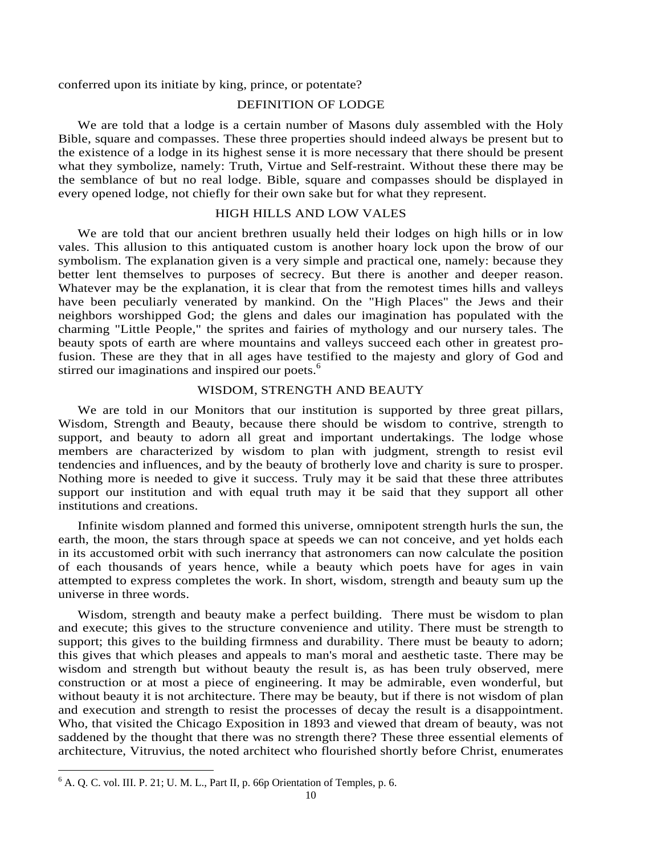conferred upon its initiate by king, prince, or potentate?

# DEFINITION OF LODGE

We are told that a lodge is a certain number of Masons duly assembled with the Holy Bible, square and compasses. These three properties should indeed always be present but to the existence of a lodge in its highest sense it is more necessary that there should be present what they symbolize, namely: Truth, Virtue and Self-restraint. Without these there may be the semblance of but no real lodge. Bible, square and compasses should be displayed in every opened lodge, not chiefly for their own sake but for what they represent.

# HIGH HILLS AND LOW VALES

We are told that our ancient brethren usually held their lodges on high hills or in low vales. This allusion to this antiquated custom is another hoary lock upon the brow of our symbolism. The explanation given is a very simple and practical one, namely: because they better lent themselves to purposes of secrecy. But there is another and deeper reason. Whatever may be the explanation, it is clear that from the remotest times hills and valleys have been peculiarly venerated by mankind. On the "High Places" the Jews and their neighbors worshipped God; the glens and dales our imagination has populated with the charming "Little People," the sprites and fairies of mythology and our nursery tales. The beauty spots of earth are where mountains and valleys succeed each other in greatest profusion. These are they that in all ages have testified to the majesty and glory of God and stirred our imaginations and inspired our poets.<sup>6</sup>

# WISDOM, STRENGTH AND BEAUTY

We are told in our Monitors that our institution is supported by three great pillars, Wisdom, Strength and Beauty, because there should be wisdom to contrive, strength to support, and beauty to adorn all great and important undertakings. The lodge whose members are characterized by wisdom to plan with judgment, strength to resist evil tendencies and influences, and by the beauty of brotherly love and charity is sure to prosper. Nothing more is needed to give it success. Truly may it be said that these three attributes support our institution and with equal truth may it be said that they support all other institutions and creations.

Infinite wisdom planned and formed this universe, omnipotent strength hurls the sun, the earth, the moon, the stars through space at speeds we can not conceive, and yet holds each in its accustomed orbit with such inerrancy that astronomers can now calculate the position of each thousands of years hence, while a beauty which poets have for ages in vain attempted to express completes the work. In short, wisdom, strength and beauty sum up the universe in three words.

Wisdom, strength and beauty make a perfect building. There must be wisdom to plan and execute; this gives to the structure convenience and utility. There must be strength to support; this gives to the building firmness and durability. There must be beauty to adorn; this gives that which pleases and appeals to man's moral and aesthetic taste. There may be wisdom and strength but without beauty the result is, as has been truly observed, mere construction or at most a piece of engineering. It may be admirable, even wonderful, but without beauty it is not architecture. There may be beauty, but if there is not wisdom of plan and execution and strength to resist the processes of decay the result is a disappointment. Who, that visited the Chicago Exposition in 1893 and viewed that dream of beauty, was not saddened by the thought that there was no strength there? These three essential elements of architecture, Vitruvius, the noted architect who flourished shortly before Christ, enumerates

 6 A. Q. C. vol. III. P. 21; U. M. L., Part II, p. 66p Orientation of Temples, p. 6.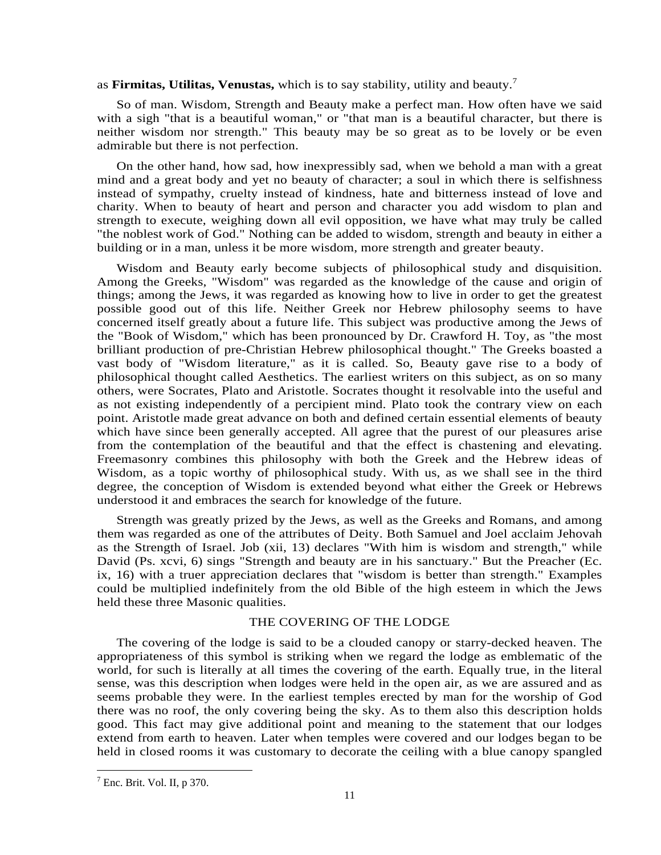as **Firmitas, Utilitas, Venustas,** which is to say stability, utility and beauty.<sup>7</sup>

So of man. Wisdom, Strength and Beauty make a perfect man. How often have we said with a sigh "that is a beautiful woman," or "that man is a beautiful character, but there is neither wisdom nor strength." This beauty may be so great as to be lovely or be even admirable but there is not perfection.

On the other hand, how sad, how inexpressibly sad, when we behold a man with a great mind and a great body and yet no beauty of character; a soul in which there is selfishness instead of sympathy, cruelty instead of kindness, hate and bitterness instead of love and charity. When to beauty of heart and person and character you add wisdom to plan and strength to execute, weighing down all evil opposition, we have what may truly be called "the noblest work of God." Nothing can be added to wisdom, strength and beauty in either a building or in a man, unless it be more wisdom, more strength and greater beauty.

Wisdom and Beauty early become subjects of philosophical study and disquisition. Among the Greeks, "Wisdom" was regarded as the knowledge of the cause and origin of things; among the Jews, it was regarded as knowing how to live in order to get the greatest possible good out of this life. Neither Greek nor Hebrew philosophy seems to have concerned itself greatly about a future life. This subject was productive among the Jews of the "Book of Wisdom," which has been pronounced by Dr. Crawford H. Toy, as "the most brilliant production of pre-Christian Hebrew philosophical thought." The Greeks boasted a vast body of "Wisdom literature," as it is called. So, Beauty gave rise to a body of philosophical thought called Aesthetics. The earliest writers on this subject, as on so many others, were Socrates, Plato and Aristotle. Socrates thought it resolvable into the useful and as not existing independently of a percipient mind. Plato took the contrary view on each point. Aristotle made great advance on both and defined certain essential elements of beauty which have since been generally accepted. All agree that the purest of our pleasures arise from the contemplation of the beautiful and that the effect is chastening and elevating. Freemasonry combines this philosophy with both the Greek and the Hebrew ideas of Wisdom, as a topic worthy of philosophical study. With us, as we shall see in the third degree, the conception of Wisdom is extended beyond what either the Greek or Hebrews understood it and embraces the search for knowledge of the future.

Strength was greatly prized by the Jews, as well as the Greeks and Romans, and among them was regarded as one of the attributes of Deity. Both Samuel and Joel acclaim Jehovah as the Strength of Israel. Job (xii, 13) declares "With him is wisdom and strength," while David (Ps. xcvi, 6) sings "Strength and beauty are in his sanctuary." But the Preacher (Ec. ix, 16) with a truer appreciation declares that "wisdom is better than strength." Examples could be multiplied indefinitely from the old Bible of the high esteem in which the Jews held these three Masonic qualities.

# THE COVERING OF THE LODGE

The covering of the lodge is said to be a clouded canopy or starry-decked heaven. The appropriateness of this symbol is striking when we regard the lodge as emblematic of the world, for such is literally at all times the covering of the earth. Equally true, in the literal sense, was this description when lodges were held in the open air, as we are assured and as seems probable they were. In the earliest temples erected by man for the worship of God there was no roof, the only covering being the sky. As to them also this description holds good. This fact may give additional point and meaning to the statement that our lodges extend from earth to heaven. Later when temples were covered and our lodges began to be held in closed rooms it was customary to decorate the ceiling with a blue canopy spangled

 $<sup>7</sup>$  Enc. Brit. Vol. II, p 370.</sup>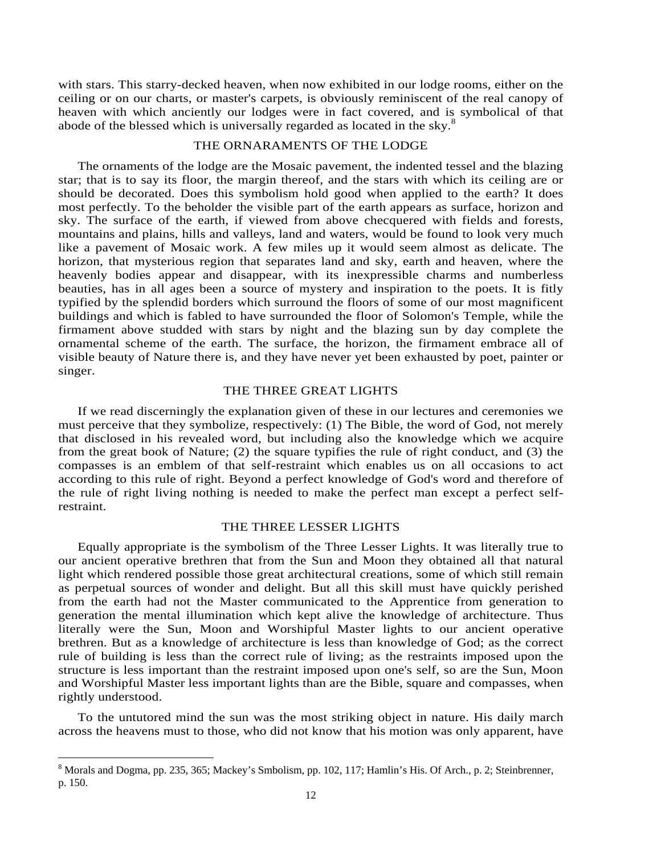with stars. This starry-decked heaven, when now exhibited in our lodge rooms, either on the ceiling or on our charts, or master's carpets, is obviously reminiscent of the real canopy of heaven with which anciently our lodges were in fact covered, and is symbolical of that abode of the blessed which is universally regarded as located in the sky.<sup>8</sup>

#### THE ORNARAMENTS OF THE LODGE

The ornaments of the lodge are the Mosaic pavement, the indented tessel and the blazing star; that is to say its floor, the margin thereof, and the stars with which its ceiling are or should be decorated. Does this symbolism hold good when applied to the earth? It does most perfectly. To the beholder the visible part of the earth appears as surface, horizon and sky. The surface of the earth, if viewed from above checquered with fields and forests, mountains and plains, hills and valleys, land and waters, would be found to look very much like a pavement of Mosaic work. A few miles up it would seem almost as delicate. The horizon, that mysterious region that separates land and sky, earth and heaven, where the heavenly bodies appear and disappear, with its inexpressible charms and numberless beauties, has in all ages been a source of mystery and inspiration to the poets. It is fitly typified by the splendid borders which surround the floors of some of our most magnificent buildings and which is fabled to have surrounded the floor of Solomon's Temple, while the firmament above studded with stars by night and the blazing sun by day complete the ornamental scheme of the earth. The surface, the horizon, the firmament embrace all of visible beauty of Nature there is, and they have never yet been exhausted by poet, painter or singer.

# THE THREE GREAT LIGHTS

If we read discerningly the explanation given of these in our lectures and ceremonies we must perceive that they symbolize, respectively: (1) The Bible, the word of God, not merely that disclosed in his revealed word, but including also the knowledge which we acquire from the great book of Nature; (2) the square typifies the rule of right conduct, and (3) the compasses is an emblem of that self-restraint which enables us on all occasions to act according to this rule of right. Beyond a perfect knowledge of God's word and therefore of the rule of right living nothing is needed to make the perfect man except a perfect selfrestraint.

#### THE THREE LESSER LIGHTS

Equally appropriate is the symbolism of the Three Lesser Lights. It was literally true to our ancient operative brethren that from the Sun and Moon they obtained all that natural light which rendered possible those great architectural creations, some of which still remain as perpetual sources of wonder and delight. But all this skill must have quickly perished from the earth had not the Master communicated to the Apprentice from generation to generation the mental illumination which kept alive the knowledge of architecture. Thus literally were the Sun, Moon and Worshipful Master lights to our ancient operative brethren. But as a knowledge of architecture is less than knowledge of God; as the correct rule of building is less than the correct rule of living; as the restraints imposed upon the structure is less important than the restraint imposed upon one's self, so are the Sun, Moon and Worshipful Master less important lights than are the Bible, square and compasses, when rightly understood.

To the untutored mind the sun was the most striking object in nature. His daily march across the heavens must to those, who did not know that his motion was only apparent, have

<sup>&</sup>lt;sup>8</sup> Morals and Dogma, pp. 235, 365; Mackey's Smbolism, pp. 102, 117; Hamlin's His. Of Arch., p. 2; Steinbrenner, p. 150.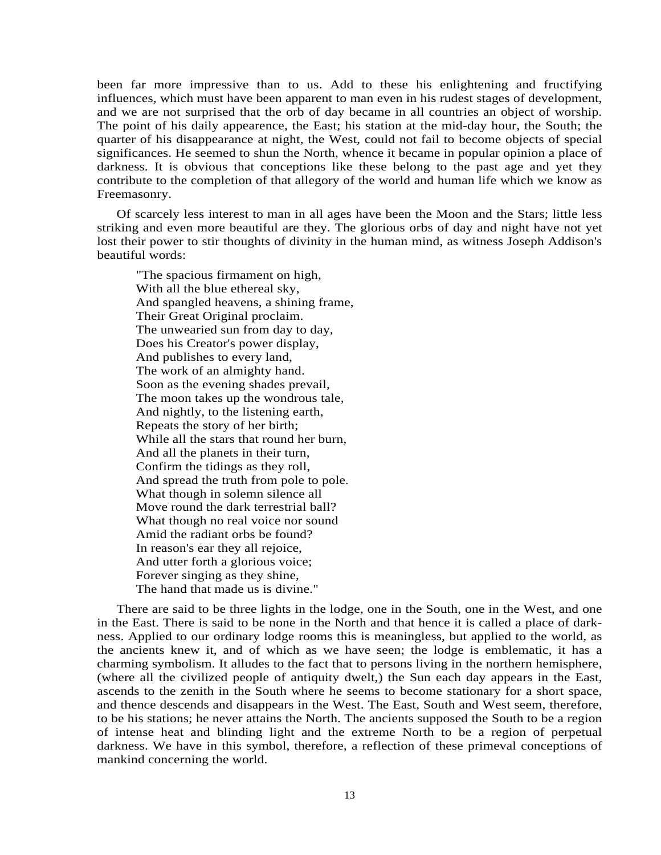been far more impressive than to us. Add to these his enlightening and fructifying influences, which must have been apparent to man even in his rudest stages of development, and we are not surprised that the orb of day became in all countries an object of worship. The point of his daily appearence, the East; his station at the mid-day hour, the South; the quarter of his disappearance at night, the West, could not fail to become objects of special significances. He seemed to shun the North, whence it became in popular opinion a place of darkness. It is obvious that conceptions like these belong to the past age and yet they contribute to the completion of that allegory of the world and human life which we know as Freemasonry.

Of scarcely less interest to man in all ages have been the Moon and the Stars; little less striking and even more beautiful are they. The glorious orbs of day and night have not yet lost their power to stir thoughts of divinity in the human mind, as witness Joseph Addison's beautiful words:

"The spacious firmament on high, With all the blue ethereal sky, And spangled heavens, a shining frame, Their Great Original proclaim. The unwearied sun from day to day, Does his Creator's power display, And publishes to every land, The work of an almighty hand. Soon as the evening shades prevail, The moon takes up the wondrous tale, And nightly, to the listening earth, Repeats the story of her birth; While all the stars that round her burn, And all the planets in their turn, Confirm the tidings as they roll, And spread the truth from pole to pole. What though in solemn silence all Move round the dark terrestrial ball? What though no real voice nor sound Amid the radiant orbs be found? In reason's ear they all rejoice, And utter forth a glorious voice; Forever singing as they shine, The hand that made us is divine."

There are said to be three lights in the lodge, one in the South, one in the West, and one in the East. There is said to be none in the North and that hence it is called a place of darkness. Applied to our ordinary lodge rooms this is meaningless, but applied to the world, as the ancients knew it, and of which as we have seen; the lodge is emblematic, it has a charming symbolism. It alludes to the fact that to persons living in the northern hemisphere, (where all the civilized people of antiquity dwelt,) the Sun each day appears in the East, ascends to the zenith in the South where he seems to become stationary for a short space, and thence descends and disappears in the West. The East, South and West seem, therefore, to be his stations; he never attains the North. The ancients supposed the South to be a region of intense heat and blinding light and the extreme North to be a region of perpetual darkness. We have in this symbol, therefore, a reflection of these primeval conceptions of mankind concerning the world.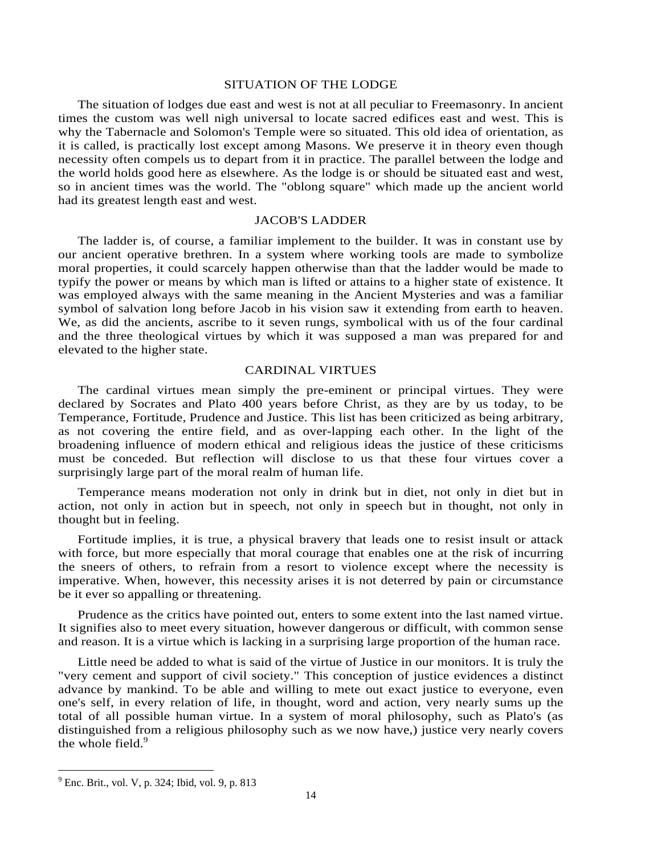#### SITUATION OF THE LODGE

The situation of lodges due east and west is not at all peculiar to Freemasonry. In ancient times the custom was well nigh universal to locate sacred edifices east and west. This is why the Tabernacle and Solomon's Temple were so situated. This old idea of orientation, as it is called, is practically lost except among Masons. We preserve it in theory even though necessity often compels us to depart from it in practice. The parallel between the lodge and the world holds good here as elsewhere. As the lodge is or should be situated east and west, so in ancient times was the world. The "oblong square" which made up the ancient world had its greatest length east and west.

# JACOB'S LADDER

The ladder is, of course, a familiar implement to the builder. It was in constant use by our ancient operative brethren. In a system where working tools are made to symbolize moral properties, it could scarcely happen otherwise than that the ladder would be made to typify the power or means by which man is lifted or attains to a higher state of existence. It was employed always with the same meaning in the Ancient Mysteries and was a familiar symbol of salvation long before Jacob in his vision saw it extending from earth to heaven. We, as did the ancients, ascribe to it seven rungs, symbolical with us of the four cardinal and the three theological virtues by which it was supposed a man was prepared for and elevated to the higher state.

# CARDINAL VIRTUES

The cardinal virtues mean simply the pre-eminent or principal virtues. They were declared by Socrates and Plato 400 years before Christ, as they are by us today, to be Temperance, Fortitude, Prudence and Justice. This list has been criticized as being arbitrary, as not covering the entire field, and as over-lapping each other. In the light of the broadening influence of modern ethical and religious ideas the justice of these criticisms must be conceded. But reflection will disclose to us that these four virtues cover a surprisingly large part of the moral realm of human life.

Temperance means moderation not only in drink but in diet, not only in diet but in action, not only in action but in speech, not only in speech but in thought, not only in thought but in feeling.

Fortitude implies, it is true, a physical bravery that leads one to resist insult or attack with force, but more especially that moral courage that enables one at the risk of incurring the sneers of others, to refrain from a resort to violence except where the necessity is imperative. When, however, this necessity arises it is not deterred by pain or circumstance be it ever so appalling or threatening.

Prudence as the critics have pointed out, enters to some extent into the last named virtue. It signifies also to meet every situation, however dangerous or difficult, with common sense and reason. It is a virtue which is lacking in a surprising large proportion of the human race.

Little need be added to what is said of the virtue of Justice in our monitors. It is truly the "very cement and support of civil society." This conception of justice evidences a distinct advance by mankind. To be able and willing to mete out exact justice to everyone, even one's self, in every relation of life, in thought, word and action, very nearly sums up the total of all possible human virtue. In a system of moral philosophy, such as Plato's (as distinguished from a religious philosophy such as we now have,) justice very nearly covers the whole field.<sup>9</sup>

<sup>9</sup> Enc. Brit., vol. V, p. 324; Ibid, vol. 9, p. 813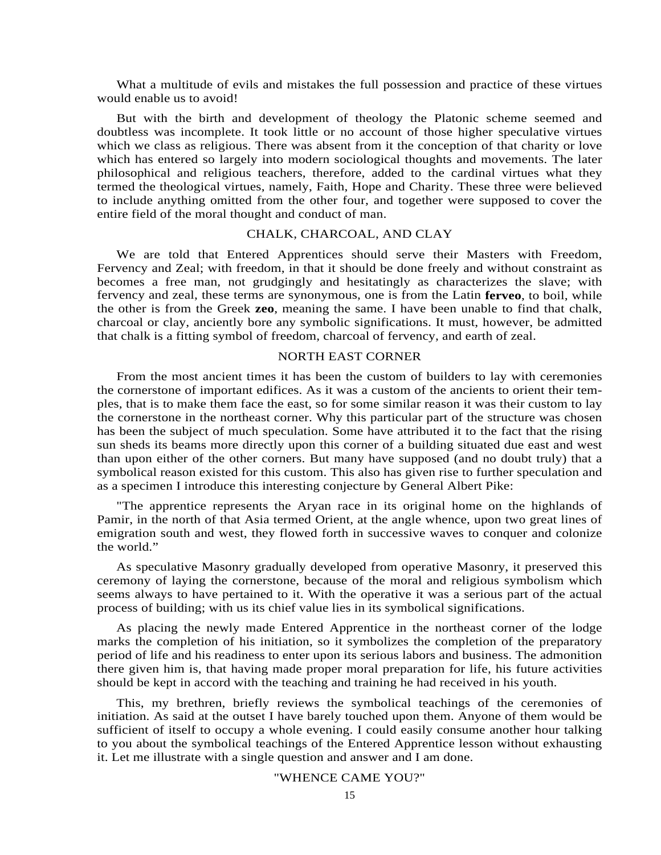What a multitude of evils and mistakes the full possession and practice of these virtues would enable us to avoid!

But with the birth and development of theology the Platonic scheme seemed and doubtless was incomplete. It took little or no account of those higher speculative virtues which we class as religious. There was absent from it the conception of that charity or love which has entered so largely into modern sociological thoughts and movements. The later philosophical and religious teachers, therefore, added to the cardinal virtues what they termed the theological virtues, namely, Faith, Hope and Charity. These three were believed to include anything omitted from the other four, and together were supposed to cover the entire field of the moral thought and conduct of man.

# CHALK, CHARCOAL, AND CLAY

We are told that Entered Apprentices should serve their Masters with Freedom, Fervency and Zeal; with freedom, in that it should be done freely and without constraint as becomes a free man, not grudgingly and hesitatingly as characterizes the slave; with fervency and zeal, these terms are synonymous, one is from the Latin **ferveo**, to boil, while the other is from the Greek **zeo**, meaning the same. I have been unable to find that chalk, charcoal or clay, anciently bore any symbolic significations. It must, however, be admitted that chalk is a fitting symbol of freedom, charcoal of fervency, and earth of zeal.

# NORTH EAST CORNER

From the most ancient times it has been the custom of builders to lay with ceremonies the cornerstone of important edifices. As it was a custom of the ancients to orient their temples, that is to make them face the east, so for some similar reason it was their custom to lay the cornerstone in the northeast corner. Why this particular part of the structure was chosen has been the subject of much speculation. Some have attributed it to the fact that the rising sun sheds its beams more directly upon this corner of a building situated due east and west than upon either of the other corners. But many have supposed (and no doubt truly) that a symbolical reason existed for this custom. This also has given rise to further speculation and as a specimen I introduce this interesting conjecture by General Albert Pike:

"The apprentice represents the Aryan race in its original home on the highlands of Pamir, in the north of that Asia termed Orient, at the angle whence, upon two great lines of emigration south and west, they flowed forth in successive waves to conquer and colonize the world."

As speculative Masonry gradually developed from operative Masonry, it preserved this ceremony of laying the cornerstone, because of the moral and religious symbolism which seems always to have pertained to it. With the operative it was a serious part of the actual process of building; with us its chief value lies in its symbolical significations.

As placing the newly made Entered Apprentice in the northeast corner of the lodge marks the completion of his initiation, so it symbolizes the completion of the preparatory period of life and his readiness to enter upon its serious labors and business. The admonition there given him is, that having made proper moral preparation for life, his future activities should be kept in accord with the teaching and training he had received in his youth.

This, my brethren, briefly reviews the symbolical teachings of the ceremonies of initiation. As said at the outset I have barely touched upon them. Anyone of them would be sufficient of itself to occupy a whole evening. I could easily consume another hour talking to you about the symbolical teachings of the Entered Apprentice lesson without exhausting it. Let me illustrate with a single question and answer and I am done.

#### "WHENCE CAME YOU?"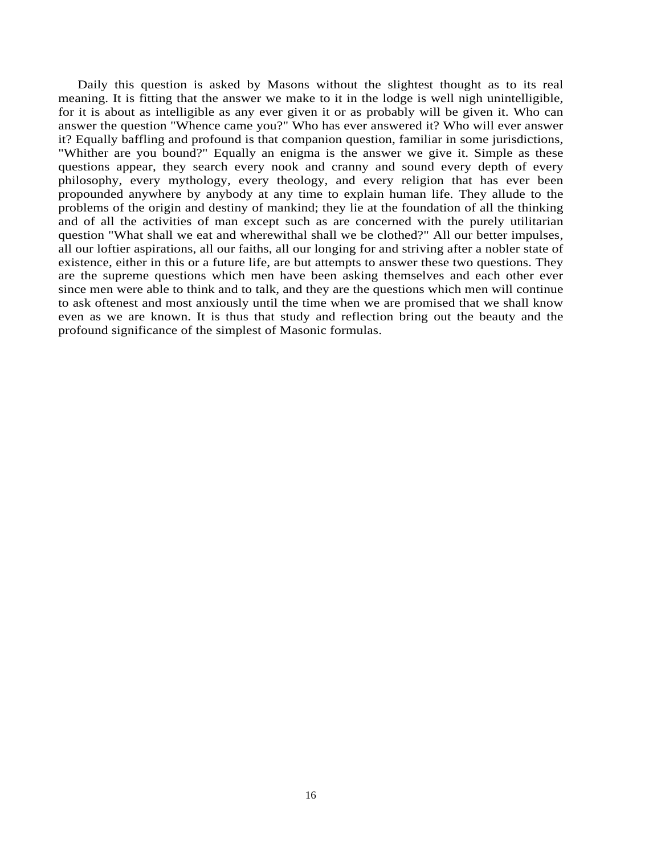Daily this question is asked by Masons without the slightest thought as to its real meaning. It is fitting that the answer we make to it in the lodge is well nigh unintelligible, for it is about as intelligible as any ever given it or as probably will be given it. Who can answer the question "Whence came you?" Who has ever answered it? Who will ever answer it? Equally baffling and profound is that companion question, familiar in some jurisdictions, "Whither are you bound?" Equally an enigma is the answer we give it. Simple as these questions appear, they search every nook and cranny and sound every depth of every philosophy, every mythology, every theology, and every religion that has ever been propounded anywhere by anybody at any time to explain human life. They allude to the problems of the origin and destiny of mankind; they lie at the foundation of all the thinking and of all the activities of man except such as are concerned with the purely utilitarian question "What shall we eat and wherewithal shall we be clothed?" All our better impulses, all our loftier aspirations, all our faiths, all our longing for and striving after a nobler state of existence, either in this or a future life, are but attempts to answer these two questions. They are the supreme questions which men have been asking themselves and each other ever since men were able to think and to talk, and they are the questions which men will continue to ask oftenest and most anxiously until the time when we are promised that we shall know even as we are known. It is thus that study and reflection bring out the beauty and the profound significance of the simplest of Masonic formulas.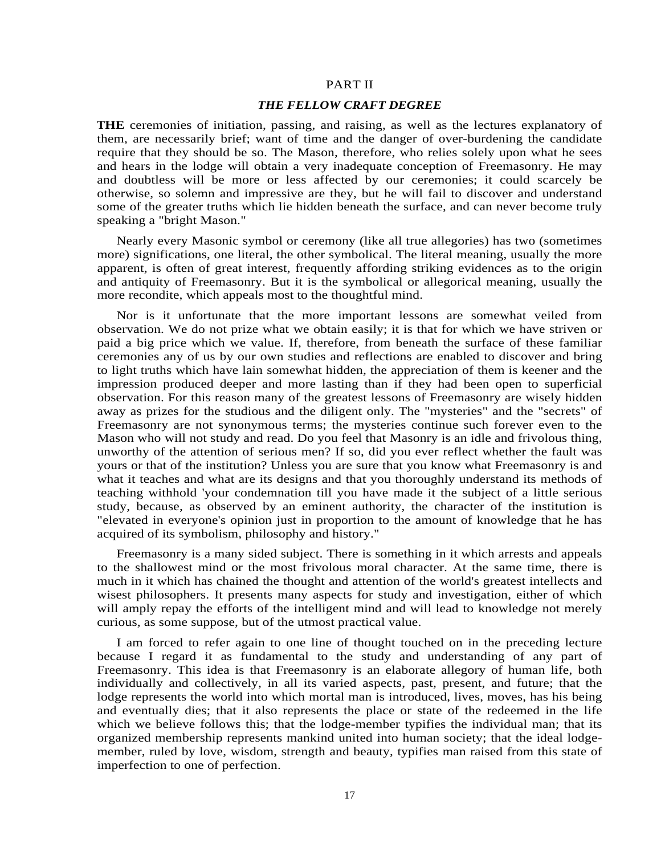#### PART II

#### *THE FELLOW CRAFT DEGREE*

**THE** ceremonies of initiation, passing, and raising, as well as the lectures explanatory of them, are necessarily brief; want of time and the danger of over-burdening the candidate require that they should be so. The Mason, therefore, who relies solely upon what he sees and hears in the lodge will obtain a very inadequate conception of Freemasonry. He may and doubtless will be more or less affected by our ceremonies; it could scarcely be otherwise, so solemn and impressive are they, but he will fail to discover and understand some of the greater truths which lie hidden beneath the surface, and can never become truly speaking a "bright Mason."

Nearly every Masonic symbol or ceremony (like all true allegories) has two (sometimes more) significations, one literal, the other symbolical. The literal meaning, usually the more apparent, is often of great interest, frequently affording striking evidences as to the origin and antiquity of Freemasonry. But it is the symbolical or allegorical meaning, usually the more recondite, which appeals most to the thoughtful mind.

Nor is it unfortunate that the more important lessons are somewhat veiled from observation. We do not prize what we obtain easily; it is that for which we have striven or paid a big price which we value. If, therefore, from beneath the surface of these familiar ceremonies any of us by our own studies and reflections are enabled to discover and bring to light truths which have lain somewhat hidden, the appreciation of them is keener and the impression produced deeper and more lasting than if they had been open to superficial observation. For this reason many of the greatest lessons of Freemasonry are wisely hidden away as prizes for the studious and the diligent only. The "mysteries" and the "secrets" of Freemasonry are not synonymous terms; the mysteries continue such forever even to the Mason who will not study and read. Do you feel that Masonry is an idle and frivolous thing, unworthy of the attention of serious men? If so, did you ever reflect whether the fault was yours or that of the institution? Unless you are sure that you know what Freemasonry is and what it teaches and what are its designs and that you thoroughly understand its methods of teaching withhold 'your condemnation till you have made it the subject of a little serious study, because, as observed by an eminent authority, the character of the institution is "elevated in everyone's opinion just in proportion to the amount of knowledge that he has acquired of its symbolism, philosophy and history."

Freemasonry is a many sided subject. There is something in it which arrests and appeals to the shallowest mind or the most frivolous moral character. At the same time, there is much in it which has chained the thought and attention of the world's greatest intellects and wisest philosophers. It presents many aspects for study and investigation, either of which will amply repay the efforts of the intelligent mind and will lead to knowledge not merely curious, as some suppose, but of the utmost practical value.

I am forced to refer again to one line of thought touched on in the preceding lecture because I regard it as fundamental to the study and understanding of any part of Freemasonry. This idea is that Freemasonry is an elaborate allegory of human life, both individually and collectively, in all its varied aspects, past, present, and future; that the lodge represents the world into which mortal man is introduced, lives, moves, has his being and eventually dies; that it also represents the place or state of the redeemed in the life which we believe follows this; that the lodge-member typifies the individual man; that its organized membership represents mankind united into human society; that the ideal lodgemember, ruled by love, wisdom, strength and beauty, typifies man raised from this state of imperfection to one of perfection.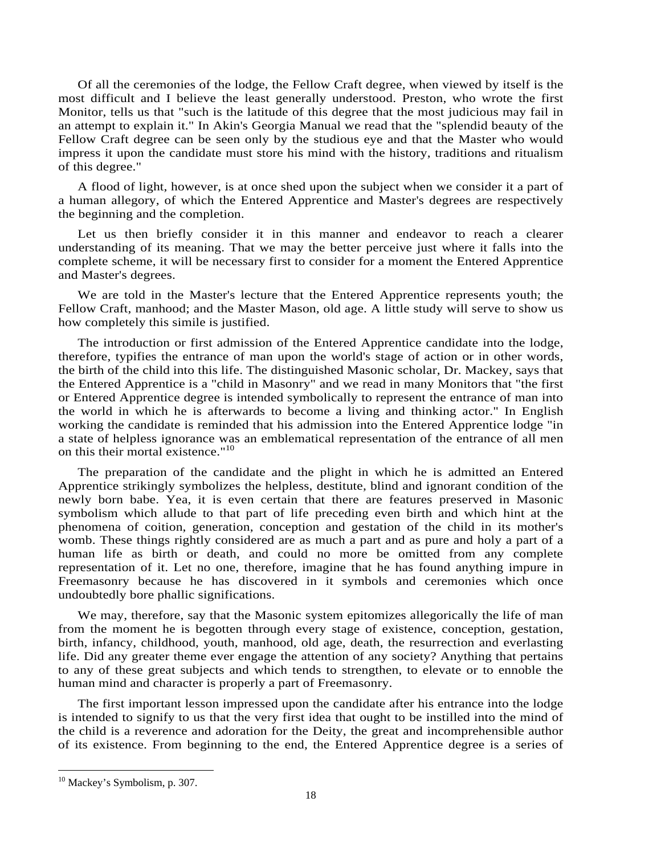Of all the ceremonies of the lodge, the Fellow Craft degree, when viewed by itself is the most difficult and I believe the least generally understood. Preston, who wrote the first Monitor, tells us that "such is the latitude of this degree that the most judicious may fail in an attempt to explain it." In Akin's Georgia Manual we read that the "splendid beauty of the Fellow Craft degree can be seen only by the studious eye and that the Master who would impress it upon the candidate must store his mind with the history, traditions and ritualism of this degree."

A flood of light, however, is at once shed upon the subject when we consider it a part of a human allegory, of which the Entered Apprentice and Master's degrees are respectively the beginning and the completion.

Let us then briefly consider it in this manner and endeavor to reach a clearer understanding of its meaning. That we may the better perceive just where it falls into the complete scheme, it will be necessary first to consider for a moment the Entered Apprentice and Master's degrees.

We are told in the Master's lecture that the Entered Apprentice represents youth; the Fellow Craft, manhood; and the Master Mason, old age. A little study will serve to show us how completely this simile is justified.

The introduction or first admission of the Entered Apprentice candidate into the lodge, therefore, typifies the entrance of man upon the world's stage of action or in other words, the birth of the child into this life. The distinguished Masonic scholar, Dr. Mackey, says that the Entered Apprentice is a "child in Masonry" and we read in many Monitors that "the first or Entered Apprentice degree is intended symbolically to represent the entrance of man into the world in which he is afterwards to become a living and thinking actor." In English working the candidate is reminded that his admission into the Entered Apprentice lodge "in a state of helpless ignorance was an emblematical representation of the entrance of all men on this their mortal existence."<sup>10</sup>

The preparation of the candidate and the plight in which he is admitted an Entered Apprentice strikingly symbolizes the helpless, destitute, blind and ignorant condition of the newly born babe. Yea, it is even certain that there are features preserved in Masonic symbolism which allude to that part of life preceding even birth and which hint at the phenomena of coition, generation, conception and gestation of the child in its mother's womb. These things rightly considered are as much a part and as pure and holy a part of a human life as birth or death, and could no more be omitted from any complete representation of it. Let no one, therefore, imagine that he has found anything impure in Freemasonry because he has discovered in it symbols and ceremonies which once undoubtedly bore phallic significations.

We may, therefore, say that the Masonic system epitomizes allegorically the life of man from the moment he is begotten through every stage of existence, conception, gestation, birth, infancy, childhood, youth, manhood, old age, death, the resurrection and everlasting life. Did any greater theme ever engage the attention of any society? Anything that pertains to any of these great subjects and which tends to strengthen, to elevate or to ennoble the human mind and character is properly a part of Freemasonry.

The first important lesson impressed upon the candidate after his entrance into the lodge is intended to signify to us that the very first idea that ought to be instilled into the mind of the child is a reverence and adoration for the Deity, the great and incomprehensible author of its existence. From beginning to the end, the Entered Apprentice degree is a series of

<sup>&</sup>lt;sup>10</sup> Mackey's Symbolism, p. 307.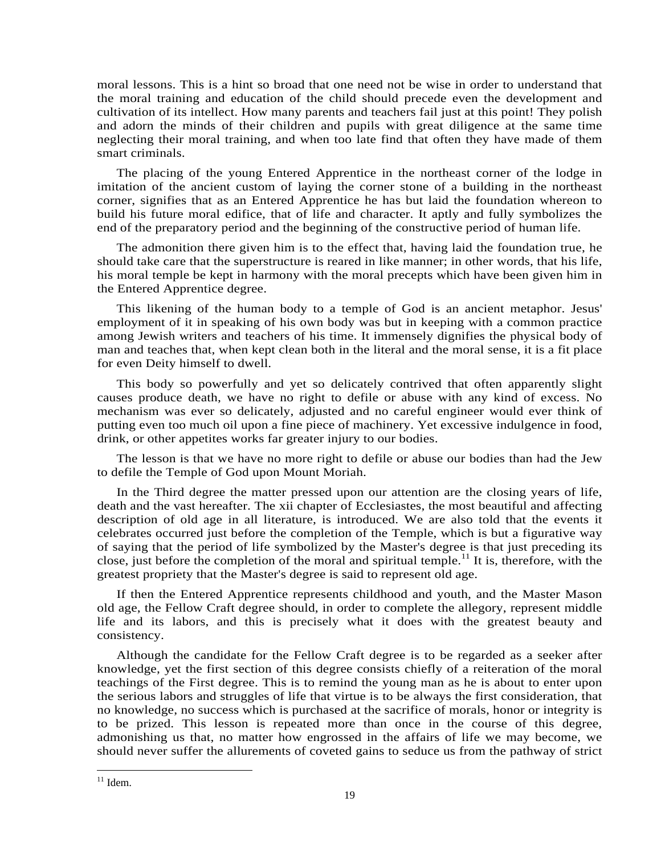moral lessons. This is a hint so broad that one need not be wise in order to understand that the moral training and education of the child should precede even the development and cultivation of its intellect. How many parents and teachers fail just at this point! They polish and adorn the minds of their children and pupils with great diligence at the same time neglecting their moral training, and when too late find that often they have made of them smart criminals.

The placing of the young Entered Apprentice in the northeast corner of the lodge in imitation of the ancient custom of laying the corner stone of a building in the northeast corner, signifies that as an Entered Apprentice he has but laid the foundation whereon to build his future moral edifice, that of life and character. It aptly and fully symbolizes the end of the preparatory period and the beginning of the constructive period of human life.

The admonition there given him is to the effect that, having laid the foundation true, he should take care that the superstructure is reared in like manner; in other words, that his life, his moral temple be kept in harmony with the moral precepts which have been given him in the Entered Apprentice degree.

This likening of the human body to a temple of God is an ancient metaphor. Jesus' employment of it in speaking of his own body was but in keeping with a common practice among Jewish writers and teachers of his time. It immensely dignifies the physical body of man and teaches that, when kept clean both in the literal and the moral sense, it is a fit place for even Deity himself to dwell.

This body so powerfully and yet so delicately contrived that often apparently slight causes produce death, we have no right to defile or abuse with any kind of excess. No mechanism was ever so delicately, adjusted and no careful engineer would ever think of putting even too much oil upon a fine piece of machinery. Yet excessive indulgence in food, drink, or other appetites works far greater injury to our bodies.

The lesson is that we have no more right to defile or abuse our bodies than had the Jew to defile the Temple of God upon Mount Moriah.

In the Third degree the matter pressed upon our attention are the closing years of life, death and the vast hereafter. The xii chapter of Ecclesiastes, the most beautiful and affecting description of old age in all literature, is introduced. We are also told that the events it celebrates occurred just before the completion of the Temple, which is but a figurative way of saying that the period of life symbolized by the Master's degree is that just preceding its close, just before the completion of the moral and spiritual temple.<sup>11</sup> It is, therefore, with the greatest propriety that the Master's degree is said to represent old age.

If then the Entered Apprentice represents childhood and youth, and the Master Mason old age, the Fellow Craft degree should, in order to complete the allegory, represent middle life and its labors, and this is precisely what it does with the greatest beauty and consistency.

Although the candidate for the Fellow Craft degree is to be regarded as a seeker after knowledge, yet the first section of this degree consists chiefly of a reiteration of the moral teachings of the First degree. This is to remind the young man as he is about to enter upon the serious labors and struggles of life that virtue is to be always the first consideration, that no knowledge, no success which is purchased at the sacrifice of morals, honor or integrity is to be prized. This lesson is repeated more than once in the course of this degree, admonishing us that, no matter how engrossed in the affairs of life we may become, we should never suffer the allurements of coveted gains to seduce us from the pathway of strict

 $11$  Idem.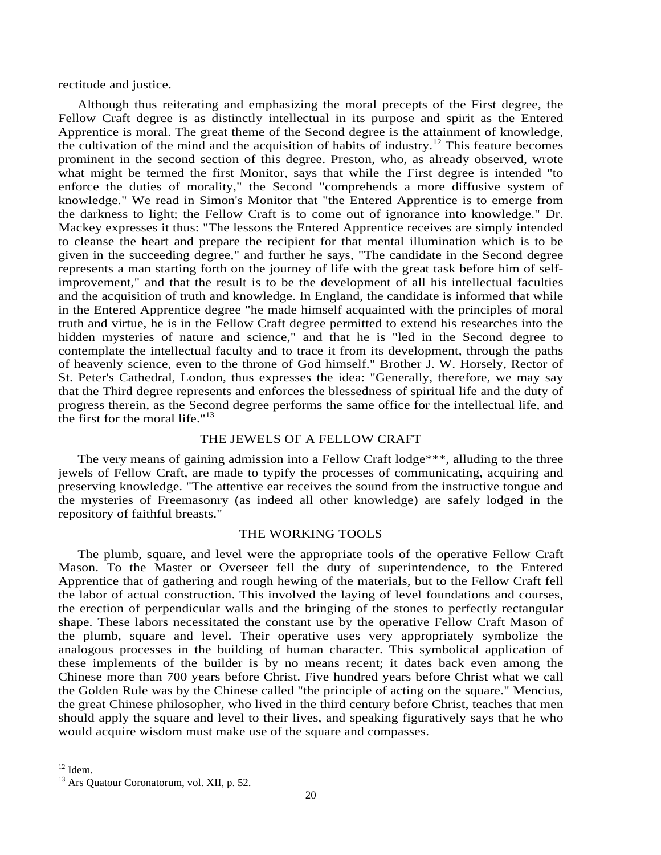rectitude and justice.

Although thus reiterating and emphasizing the moral precepts of the First degree, the Fellow Craft degree is as distinctly intellectual in its purpose and spirit as the Entered Apprentice is moral. The great theme of the Second degree is the attainment of knowledge, the cultivation of the mind and the acquisition of habits of industry.<sup>12</sup> This feature becomes prominent in the second section of this degree. Preston, who, as already observed, wrote what might be termed the first Monitor, says that while the First degree is intended "to enforce the duties of morality," the Second "comprehends a more diffusive system of knowledge." We read in Simon's Monitor that "the Entered Apprentice is to emerge from the darkness to light; the Fellow Craft is to come out of ignorance into knowledge." Dr. Mackey expresses it thus: "The lessons the Entered Apprentice receives are simply intended to cleanse the heart and prepare the recipient for that mental illumination which is to be given in the succeeding degree," and further he says, "The candidate in the Second degree represents a man starting forth on the journey of life with the great task before him of selfimprovement," and that the result is to be the development of all his intellectual faculties and the acquisition of truth and knowledge. In England, the candidate is informed that while in the Entered Apprentice degree "he made himself acquainted with the principles of moral truth and virtue, he is in the Fellow Craft degree permitted to extend his researches into the hidden mysteries of nature and science," and that he is "led in the Second degree to contemplate the intellectual faculty and to trace it from its development, through the paths of heavenly science, even to the throne of God himself." Brother J. W. Horsely, Rector of St. Peter's Cathedral, London, thus expresses the idea: "Generally, therefore, we may say that the Third degree represents and enforces the blessedness of spiritual life and the duty of progress therein, as the Second degree performs the same office for the intellectual life, and the first for the moral life." $13$ 

## THE JEWELS OF A FELLOW CRAFT

The very means of gaining admission into a Fellow Craft lodge\*\*\*, alluding to the three jewels of Fellow Craft, are made to typify the processes of communicating, acquiring and preserving knowledge. "The attentive ear receives the sound from the instructive tongue and the mysteries of Freemasonry (as indeed all other knowledge) are safely lodged in the repository of faithful breasts."

# THE WORKING TOOLS

The plumb, square, and level were the appropriate tools of the operative Fellow Craft Mason. To the Master or Overseer fell the duty of superintendence, to the Entered Apprentice that of gathering and rough hewing of the materials, but to the Fellow Craft fell the labor of actual construction. This involved the laying of level foundations and courses, the erection of perpendicular walls and the bringing of the stones to perfectly rectangular shape. These labors necessitated the constant use by the operative Fellow Craft Mason of the plumb, square and level. Their operative uses very appropriately symbolize the analogous processes in the building of human character. This symbolical application of these implements of the builder is by no means recent; it dates back even among the Chinese more than 700 years before Christ. Five hundred years before Christ what we call the Golden Rule was by the Chinese called "the principle of acting on the square." Mencius, the great Chinese philosopher, who lived in the third century before Christ, teaches that men should apply the square and level to their lives, and speaking figuratively says that he who would acquire wisdom must make use of the square and compasses.

 $12$  Idem.

<sup>&</sup>lt;sup>13</sup> Ars Quatour Coronatorum, vol. XII, p. 52.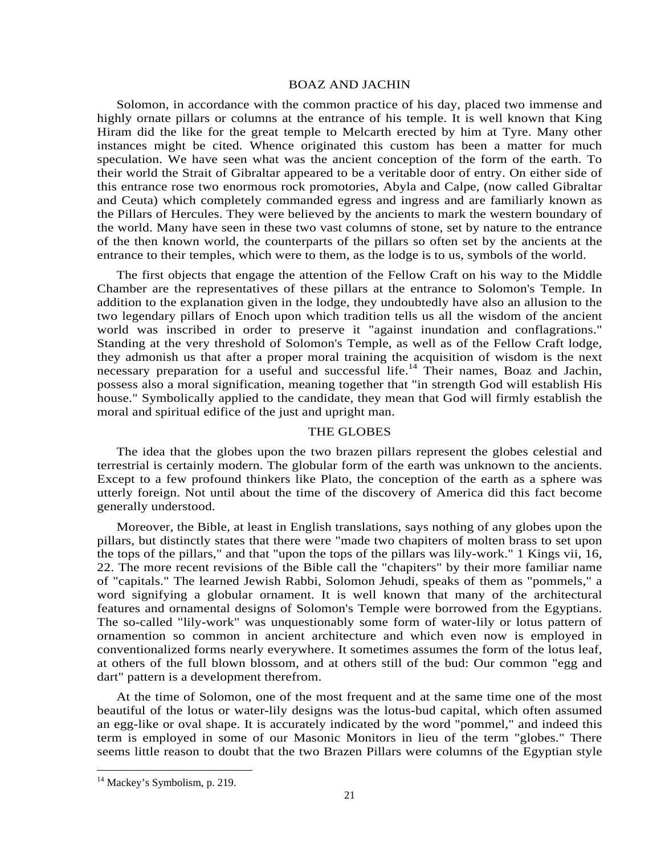#### BOAZ AND JACHIN

Solomon, in accordance with the common practice of his day, placed two immense and highly ornate pillars or columns at the entrance of his temple. It is well known that King Hiram did the like for the great temple to Melcarth erected by him at Tyre. Many other instances might be cited. Whence originated this custom has been a matter for much speculation. We have seen what was the ancient conception of the form of the earth. To their world the Strait of Gibraltar appeared to be a veritable door of entry. On either side of this entrance rose two enormous rock promotories, Abyla and Calpe, (now called Gibraltar and Ceuta) which completely commanded egress and ingress and are familiarly known as the Pillars of Hercules. They were believed by the ancients to mark the western boundary of the world. Many have seen in these two vast columns of stone, set by nature to the entrance of the then known world, the counterparts of the pillars so often set by the ancients at the entrance to their temples, which were to them, as the lodge is to us, symbols of the world.

The first objects that engage the attention of the Fellow Craft on his way to the Middle Chamber are the representatives of these pillars at the entrance to Solomon's Temple. In addition to the explanation given in the lodge, they undoubtedly have also an allusion to the two legendary pillars of Enoch upon which tradition tells us all the wisdom of the ancient world was inscribed in order to preserve it "against inundation and conflagrations." Standing at the very threshold of Solomon's Temple, as well as of the Fellow Craft lodge, they admonish us that after a proper moral training the acquisition of wisdom is the next necessary preparation for a useful and successful life.<sup>14</sup> Their names, Boaz and Jachin, possess also a moral signification, meaning together that "in strength God will establish His house." Symbolically applied to the candidate, they mean that God will firmly establish the moral and spiritual edifice of the just and upright man.

#### THE GLOBES

The idea that the globes upon the two brazen pillars represent the globes celestial and terrestrial is certainly modern. The globular form of the earth was unknown to the ancients. Except to a few profound thinkers like Plato, the conception of the earth as a sphere was utterly foreign. Not until about the time of the discovery of America did this fact become generally understood.

Moreover, the Bible, at least in English translations, says nothing of any globes upon the pillars, but distinctly states that there were "made two chapiters of molten brass to set upon the tops of the pillars," and that "upon the tops of the pillars was lily-work." 1 Kings vii, 16, 22. The more recent revisions of the Bible call the "chapiters" by their more familiar name of "capitals." The learned Jewish Rabbi, Solomon Jehudi, speaks of them as "pommels," a word signifying a globular ornament. It is well known that many of the architectural features and ornamental designs of Solomon's Temple were borrowed from the Egyptians. The so-called "lily-work" was unquestionably some form of water-lily or lotus pattern of ornamention so common in ancient architecture and which even now is employed in conventionalized forms nearly everywhere. It sometimes assumes the form of the lotus leaf, at others of the full blown blossom, and at others still of the bud: Our common "egg and dart" pattern is a development therefrom.

At the time of Solomon, one of the most frequent and at the same time one of the most beautiful of the lotus or water-lily designs was the lotus-bud capital, which often assumed an egg-like or oval shape. It is accurately indicated by the word "pommel," and indeed this term is employed in some of our Masonic Monitors in lieu of the term "globes." There seems little reason to doubt that the two Brazen Pillars were columns of the Egyptian style

<sup>&</sup>lt;sup>14</sup> Mackey's Symbolism, p. 219.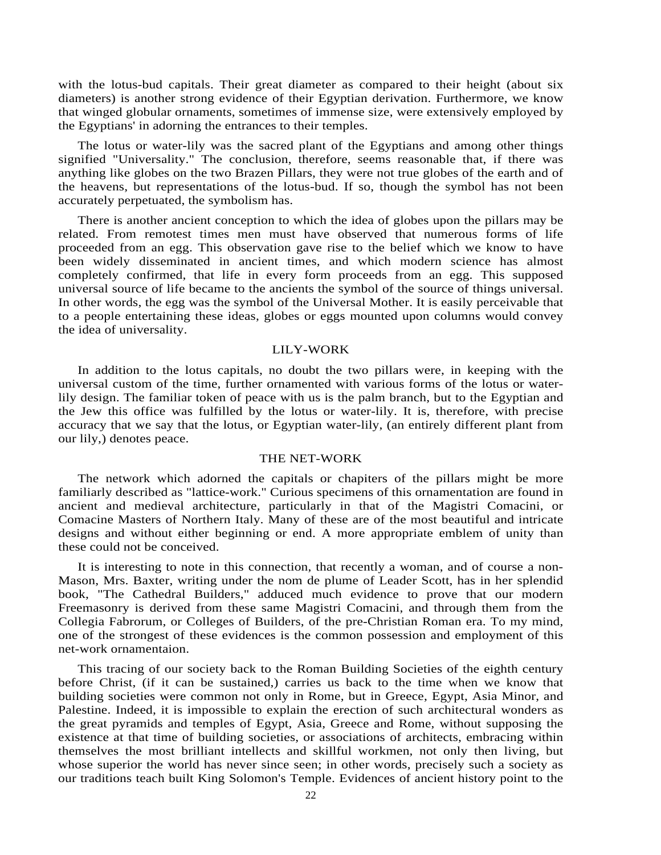with the lotus-bud capitals. Their great diameter as compared to their height (about six diameters) is another strong evidence of their Egyptian derivation. Furthermore, we know that winged globular ornaments, sometimes of immense size, were extensively employed by the Egyptians' in adorning the entrances to their temples.

The lotus or water-lily was the sacred plant of the Egyptians and among other things signified "Universality." The conclusion, therefore, seems reasonable that, if there was anything like globes on the two Brazen Pillars, they were not true globes of the earth and of the heavens, but representations of the lotus-bud. If so, though the symbol has not been accurately perpetuated, the symbolism has.

There is another ancient conception to which the idea of globes upon the pillars may be related. From remotest times men must have observed that numerous forms of life proceeded from an egg. This observation gave rise to the belief which we know to have been widely disseminated in ancient times, and which modern science has almost completely confirmed, that life in every form proceeds from an egg. This supposed universal source of life became to the ancients the symbol of the source of things universal. In other words, the egg was the symbol of the Universal Mother. It is easily perceivable that to a people entertaining these ideas, globes or eggs mounted upon columns would convey the idea of universality.

# LILY-WORK

In addition to the lotus capitals, no doubt the two pillars were, in keeping with the universal custom of the time, further ornamented with various forms of the lotus or waterlily design. The familiar token of peace with us is the palm branch, but to the Egyptian and the Jew this office was fulfilled by the lotus or water-lily. It is, therefore, with precise accuracy that we say that the lotus, or Egyptian water-lily, (an entirely different plant from our lily,) denotes peace.

#### THE NET-WORK

The network which adorned the capitals or chapiters of the pillars might be more familiarly described as "lattice-work." Curious specimens of this ornamentation are found in ancient and medieval architecture, particularly in that of the Magistri Comacini, or Comacine Masters of Northern Italy. Many of these are of the most beautiful and intricate designs and without either beginning or end. A more appropriate emblem of unity than these could not be conceived.

It is interesting to note in this connection, that recently a woman, and of course a non-Mason, Mrs. Baxter, writing under the nom de plume of Leader Scott, has in her splendid book, "The Cathedral Builders," adduced much evidence to prove that our modern Freemasonry is derived from these same Magistri Comacini, and through them from the Collegia Fabrorum, or Colleges of Builders, of the pre-Christian Roman era. To my mind, one of the strongest of these evidences is the common possession and employment of this net-work ornamentaion.

This tracing of our society back to the Roman Building Societies of the eighth century before Christ, (if it can be sustained,) carries us back to the time when we know that building societies were common not only in Rome, but in Greece, Egypt, Asia Minor, and Palestine. Indeed, it is impossible to explain the erection of such architectural wonders as the great pyramids and temples of Egypt, Asia, Greece and Rome, without supposing the existence at that time of building societies, or associations of architects, embracing within themselves the most brilliant intellects and skillful workmen, not only then living, but whose superior the world has never since seen; in other words, precisely such a society as our traditions teach built King Solomon's Temple. Evidences of ancient history point to the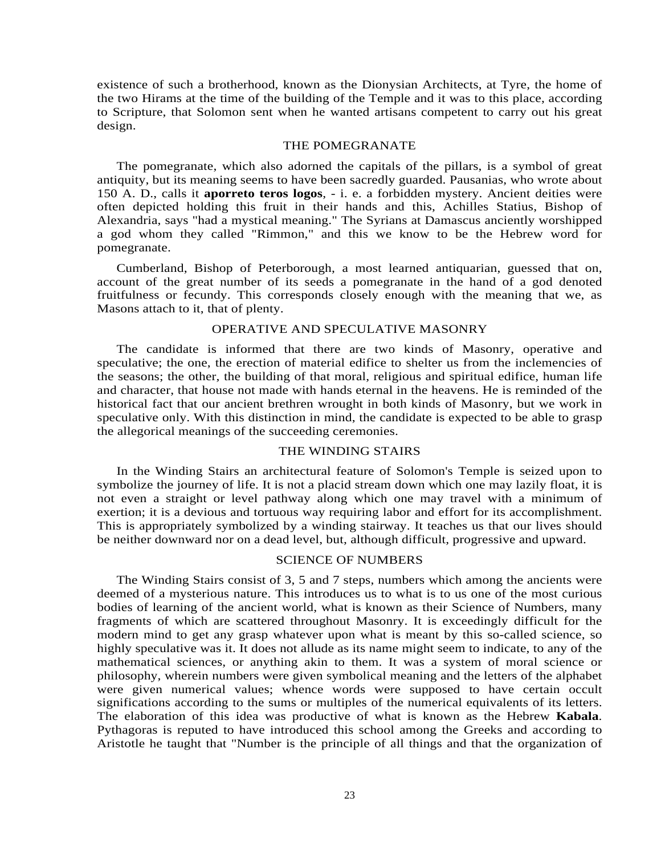existence of such a brotherhood, known as the Dionysian Architects, at Tyre, the home of the two Hirams at the time of the building of the Temple and it was to this place, according to Scripture, that Solomon sent when he wanted artisans competent to carry out his great design.

#### THE POMEGRANATE

The pomegranate, which also adorned the capitals of the pillars, is a symbol of great antiquity, but its meaning seems to have been sacredly guarded. Pausanias, who wrote about 150 A. D., calls it **aporreto teros logos**, - i. e. a forbidden mystery. Ancient deities were often depicted holding this fruit in their hands and this, Achilles Statius, Bishop of Alexandria, says "had a mystical meaning." The Syrians at Damascus anciently worshipped a god whom they called "Rimmon," and this we know to be the Hebrew word for pomegranate.

Cumberland, Bishop of Peterborough, a most learned antiquarian, guessed that on, account of the great number of its seeds a pomegranate in the hand of a god denoted fruitfulness or fecundy. This corresponds closely enough with the meaning that we, as Masons attach to it, that of plenty.

# OPERATIVE AND SPECULATIVE MASONRY

The candidate is informed that there are two kinds of Masonry, operative and speculative; the one, the erection of material edifice to shelter us from the inclemencies of the seasons; the other, the building of that moral, religious and spiritual edifice, human life and character, that house not made with hands eternal in the heavens. He is reminded of the historical fact that our ancient brethren wrought in both kinds of Masonry, but we work in speculative only. With this distinction in mind, the candidate is expected to be able to grasp the allegorical meanings of the succeeding ceremonies.

# THE WINDING STAIRS

In the Winding Stairs an architectural feature of Solomon's Temple is seized upon to symbolize the journey of life. It is not a placid stream down which one may lazily float, it is not even a straight or level pathway along which one may travel with a minimum of exertion; it is a devious and tortuous way requiring labor and effort for its accomplishment. This is appropriately symbolized by a winding stairway. It teaches us that our lives should be neither downward nor on a dead level, but, although difficult, progressive and upward.

#### SCIENCE OF NUMBERS

The Winding Stairs consist of 3, 5 and 7 steps, numbers which among the ancients were deemed of a mysterious nature. This introduces us to what is to us one of the most curious bodies of learning of the ancient world, what is known as their Science of Numbers, many fragments of which are scattered throughout Masonry. It is exceedingly difficult for the modern mind to get any grasp whatever upon what is meant by this so-called science, so highly speculative was it. It does not allude as its name might seem to indicate, to any of the mathematical sciences, or anything akin to them. It was a system of moral science or philosophy, wherein numbers were given symbolical meaning and the letters of the alphabet were given numerical values; whence words were supposed to have certain occult significations according to the sums or multiples of the numerical equivalents of its letters. The elaboration of this idea was productive of what is known as the Hebrew **Kabala**. Pythagoras is reputed to have introduced this school among the Greeks and according to Aristotle he taught that "Number is the principle of all things and that the organization of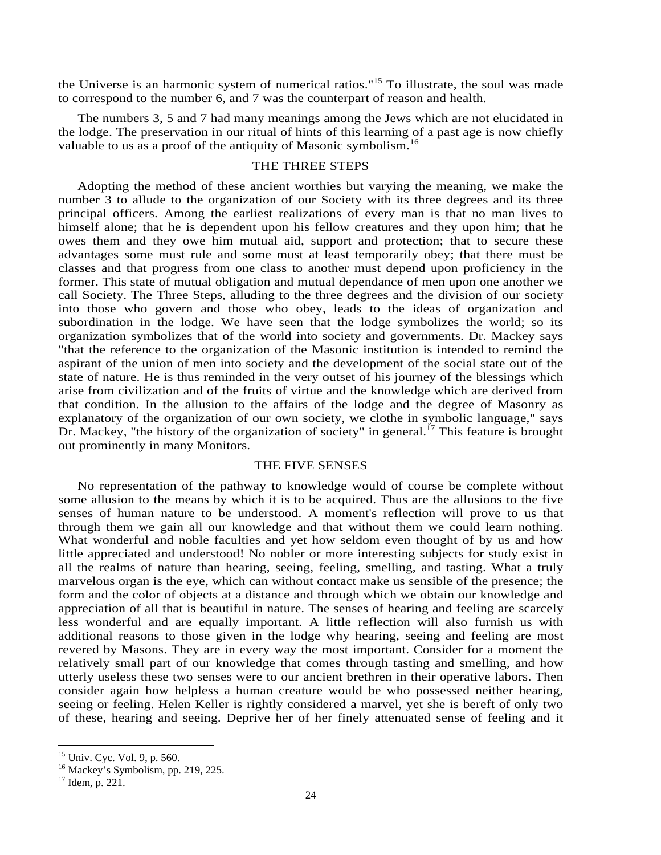the Universe is an harmonic system of numerical ratios."15 To illustrate, the soul was made to correspond to the number 6, and 7 was the counterpart of reason and health.

The numbers 3, 5 and 7 had many meanings among the Jews which are not elucidated in the lodge. The preservation in our ritual of hints of this learning of a past age is now chiefly valuable to us as a proof of the antiquity of Masonic symbolism.<sup>16</sup>

# THE THREE STEPS

Adopting the method of these ancient worthies but varying the meaning, we make the number 3 to allude to the organization of our Society with its three degrees and its three principal officers. Among the earliest realizations of every man is that no man lives to himself alone; that he is dependent upon his fellow creatures and they upon him; that he owes them and they owe him mutual aid, support and protection; that to secure these advantages some must rule and some must at least temporarily obey; that there must be classes and that progress from one class to another must depend upon proficiency in the former. This state of mutual obligation and mutual dependance of men upon one another we call Society. The Three Steps, alluding to the three degrees and the division of our society into those who govern and those who obey, leads to the ideas of organization and subordination in the lodge. We have seen that the lodge symbolizes the world; so its organization symbolizes that of the world into society and governments. Dr. Mackey says "that the reference to the organization of the Masonic institution is intended to remind the aspirant of the union of men into society and the development of the social state out of the state of nature. He is thus reminded in the very outset of his journey of the blessings which arise from civilization and of the fruits of virtue and the knowledge which are derived from that condition. In the allusion to the affairs of the lodge and the degree of Masonry as explanatory of the organization of our own society, we clothe in symbolic language," says Dr. Mackey, "the history of the organization of society" in general.<sup>17</sup> This feature is brought out prominently in many Monitors.

#### THE FIVE SENSES

No representation of the pathway to knowledge would of course be complete without some allusion to the means by which it is to be acquired. Thus are the allusions to the five senses of human nature to be understood. A moment's reflection will prove to us that through them we gain all our knowledge and that without them we could learn nothing. What wonderful and noble faculties and yet how seldom even thought of by us and how little appreciated and understood! No nobler or more interesting subjects for study exist in all the realms of nature than hearing, seeing, feeling, smelling, and tasting. What a truly marvelous organ is the eye, which can without contact make us sensible of the presence; the form and the color of objects at a distance and through which we obtain our knowledge and appreciation of all that is beautiful in nature. The senses of hearing and feeling are scarcely less wonderful and are equally important. A little reflection will also furnish us with additional reasons to those given in the lodge why hearing, seeing and feeling are most revered by Masons. They are in every way the most important. Consider for a moment the relatively small part of our knowledge that comes through tasting and smelling, and how utterly useless these two senses were to our ancient brethren in their operative labors. Then consider again how helpless a human creature would be who possessed neither hearing, seeing or feeling. Helen Keller is rightly considered a marvel, yet she is bereft of only two of these, hearing and seeing. Deprive her of her finely attenuated sense of feeling and it

<sup>&</sup>lt;sup>15</sup> Univ. Cyc. Vol. 9, p. 560.

 $16$  Mackey's Symbolism, pp. 219, 225.

<sup>17</sup> Idem, p. 221.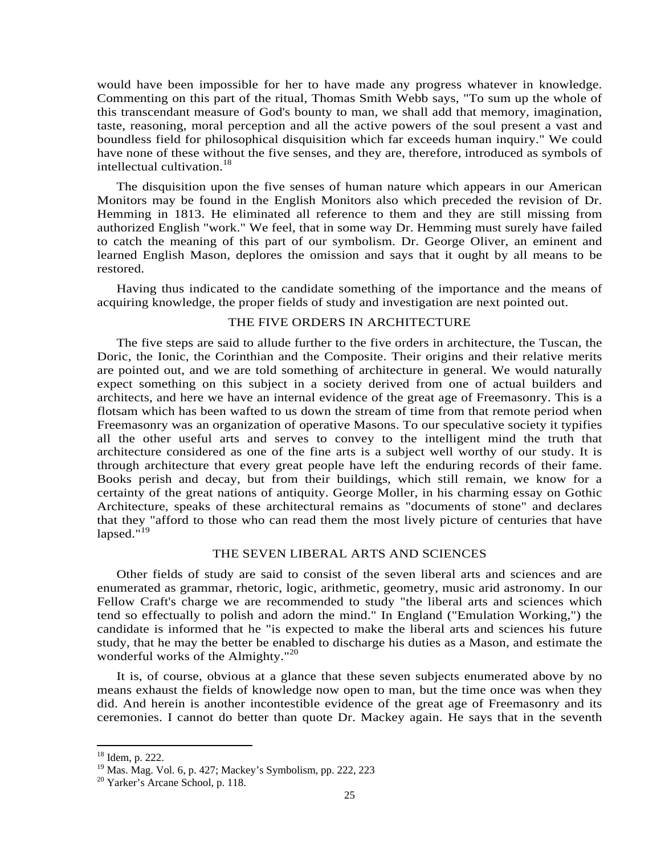would have been impossible for her to have made any progress whatever in knowledge. Commenting on this part of the ritual, Thomas Smith Webb says, "To sum up the whole of this transcendant measure of God's bounty to man, we shall add that memory, imagination, taste, reasoning, moral perception and all the active powers of the soul present a vast and boundless field for philosophical disquisition which far exceeds human inquiry." We could have none of these without the five senses, and they are, therefore, introduced as symbols of intellectual cultivation.<sup>18</sup>

The disquisition upon the five senses of human nature which appears in our American Monitors may be found in the English Monitors also which preceded the revision of Dr. Hemming in 1813. He eliminated all reference to them and they are still missing from authorized English "work." We feel, that in some way Dr. Hemming must surely have failed to catch the meaning of this part of our symbolism. Dr. George Oliver, an eminent and learned English Mason, deplores the omission and says that it ought by all means to be restored.

Having thus indicated to the candidate something of the importance and the means of acquiring knowledge, the proper fields of study and investigation are next pointed out.

# THE FIVE ORDERS IN ARCHITECTURE

The five steps are said to allude further to the five orders in architecture, the Tuscan, the Doric, the Ionic, the Corinthian and the Composite. Their origins and their relative merits are pointed out, and we are told something of architecture in general. We would naturally expect something on this subject in a society derived from one of actual builders and architects, and here we have an internal evidence of the great age of Freemasonry. This is a flotsam which has been wafted to us down the stream of time from that remote period when Freemasonry was an organization of operative Masons. To our speculative society it typifies all the other useful arts and serves to convey to the intelligent mind the truth that architecture considered as one of the fine arts is a subject well worthy of our study. It is through architecture that every great people have left the enduring records of their fame. Books perish and decay, but from their buildings, which still remain, we know for a certainty of the great nations of antiquity. George Moller, in his charming essay on Gothic Architecture, speaks of these architectural remains as "documents of stone" and declares that they "afford to those who can read them the most lively picture of centuries that have lapsed." $19$ 

# THE SEVEN LIBERAL ARTS AND SCIENCES

Other fields of study are said to consist of the seven liberal arts and sciences and are enumerated as grammar, rhetoric, logic, arithmetic, geometry, music arid astronomy. In our Fellow Craft's charge we are recommended to study "the liberal arts and sciences which tend so effectually to polish and adorn the mind." In England ("Emulation Working,") the candidate is informed that he "is expected to make the liberal arts and sciences his future study, that he may the better be enabled to discharge his duties as a Mason, and estimate the wonderful works of the Almighty."<sup>20</sup>

It is, of course, obvious at a glance that these seven subjects enumerated above by no means exhaust the fields of knowledge now open to man, but the time once was when they did. And herein is another incontestible evidence of the great age of Freemasonry and its ceremonies. I cannot do better than quote Dr. Mackey again. He says that in the seventh

<sup>18</sup> Idem, p. 222.

<sup>19</sup> Mas. Mag. Vol. 6, p. 427; Mackey's Symbolism, pp. 222, 223

<sup>&</sup>lt;sup>20</sup> Yarker's Arcane School, p. 118.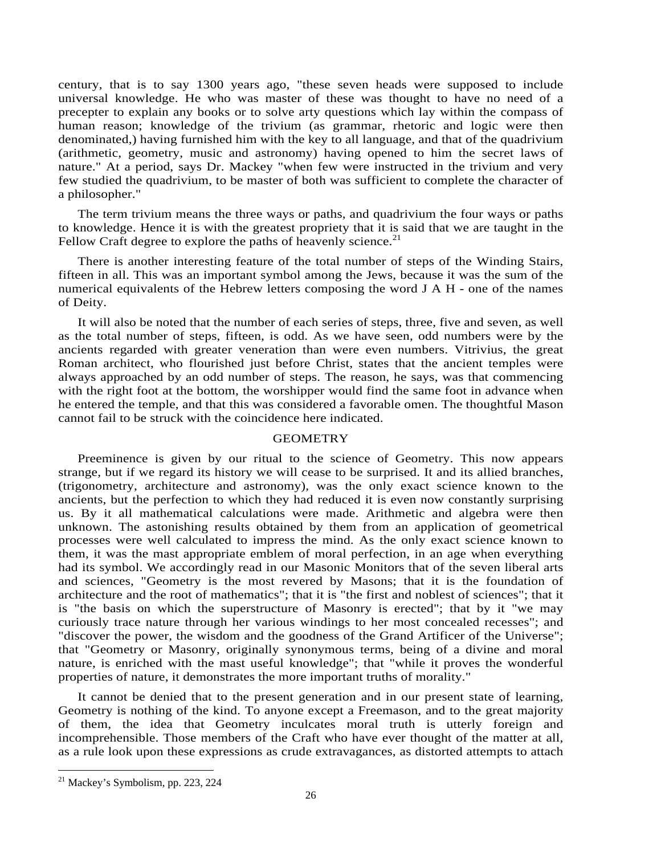century, that is to say 1300 years ago, "these seven heads were supposed to include universal knowledge. He who was master of these was thought to have no need of a precepter to explain any books or to solve arty questions which lay within the compass of human reason; knowledge of the trivium (as grammar, rhetoric and logic were then denominated,) having furnished him with the key to all language, and that of the quadrivium (arithmetic, geometry, music and astronomy) having opened to him the secret laws of nature." At a period, says Dr. Mackey "when few were instructed in the trivium and very few studied the quadrivium, to be master of both was sufficient to complete the character of a philosopher."

The term trivium means the three ways or paths, and quadrivium the four ways or paths to knowledge. Hence it is with the greatest propriety that it is said that we are taught in the Fellow Craft degree to explore the paths of heavenly science.<sup>21</sup>

There is another interesting feature of the total number of steps of the Winding Stairs, fifteen in all. This was an important symbol among the Jews, because it was the sum of the numerical equivalents of the Hebrew letters composing the word J A H - one of the names of Deity.

It will also be noted that the number of each series of steps, three, five and seven, as well as the total number of steps, fifteen, is odd. As we have seen, odd numbers were by the ancients regarded with greater veneration than were even numbers. Vitrivius, the great Roman architect, who flourished just before Christ, states that the ancient temples were always approached by an odd number of steps. The reason, he says, was that commencing with the right foot at the bottom, the worshipper would find the same foot in advance when he entered the temple, and that this was considered a favorable omen. The thoughtful Mason cannot fail to be struck with the coincidence here indicated.

#### **GEOMETRY**

Preeminence is given by our ritual to the science of Geometry. This now appears strange, but if we regard its history we will cease to be surprised. It and its allied branches, (trigonometry, architecture and astronomy), was the only exact science known to the ancients, but the perfection to which they had reduced it is even now constantly surprising us. By it all mathematical calculations were made. Arithmetic and algebra were then unknown. The astonishing results obtained by them from an application of geometrical processes were well calculated to impress the mind. As the only exact science known to them, it was the mast appropriate emblem of moral perfection, in an age when everything had its symbol. We accordingly read in our Masonic Monitors that of the seven liberal arts and sciences, "Geometry is the most revered by Masons; that it is the foundation of architecture and the root of mathematics"; that it is "the first and noblest of sciences"; that it is "the basis on which the superstructure of Masonry is erected"; that by it "we may curiously trace nature through her various windings to her most concealed recesses"; and "discover the power, the wisdom and the goodness of the Grand Artificer of the Universe"; that "Geometry or Masonry, originally synonymous terms, being of a divine and moral nature, is enriched with the mast useful knowledge"; that "while it proves the wonderful properties of nature, it demonstrates the more important truths of morality."

It cannot be denied that to the present generation and in our present state of learning, Geometry is nothing of the kind. To anyone except a Freemason, and to the great majority of them, the idea that Geometry inculcates moral truth is utterly foreign and incomprehensible. Those members of the Craft who have ever thought of the matter at all, as a rule look upon these expressions as crude extravagances, as distorted attempts to attach

 $21$  Mackey's Symbolism, pp. 223, 224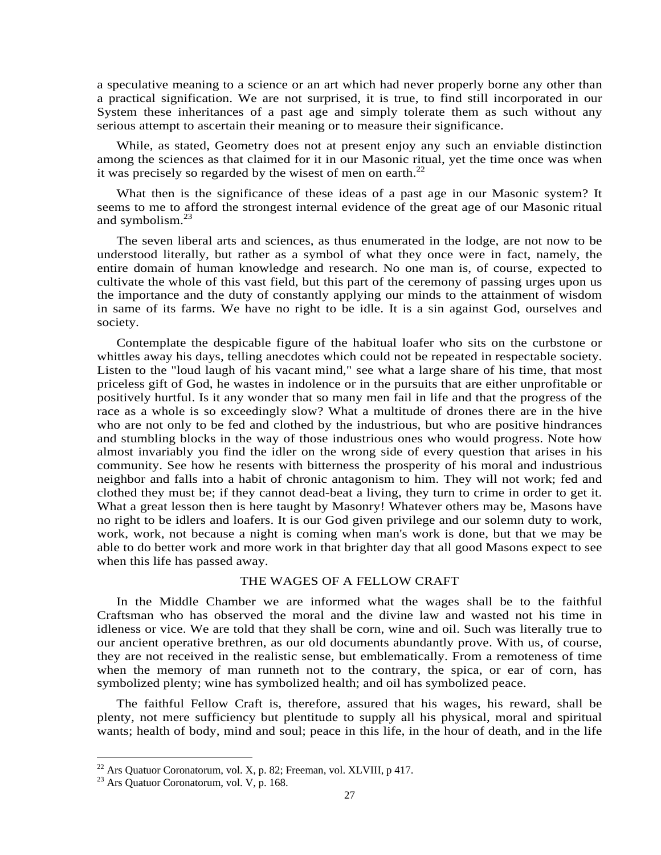a speculative meaning to a science or an art which had never properly borne any other than a practical signification. We are not surprised, it is true, to find still incorporated in our System these inheritances of a past age and simply tolerate them as such without any serious attempt to ascertain their meaning or to measure their significance.

While, as stated, Geometry does not at present enjoy any such an enviable distinction among the sciences as that claimed for it in our Masonic ritual, yet the time once was when it was precisely so regarded by the wisest of men on earth. $^{22}$ 

What then is the significance of these ideas of a past age in our Masonic system? It seems to me to afford the strongest internal evidence of the great age of our Masonic ritual and symbolism. $^{23}$ 

The seven liberal arts and sciences, as thus enumerated in the lodge, are not now to be understood literally, but rather as a symbol of what they once were in fact, namely, the entire domain of human knowledge and research. No one man is, of course, expected to cultivate the whole of this vast field, but this part of the ceremony of passing urges upon us the importance and the duty of constantly applying our minds to the attainment of wisdom in same of its farms. We have no right to be idle. It is a sin against God, ourselves and society.

Contemplate the despicable figure of the habitual loafer who sits on the curbstone or whittles away his days, telling anecdotes which could not be repeated in respectable society. Listen to the "loud laugh of his vacant mind," see what a large share of his time, that most priceless gift of God, he wastes in indolence or in the pursuits that are either unprofitable or positively hurtful. Is it any wonder that so many men fail in life and that the progress of the race as a whole is so exceedingly slow? What a multitude of drones there are in the hive who are not only to be fed and clothed by the industrious, but who are positive hindrances and stumbling blocks in the way of those industrious ones who would progress. Note how almost invariably you find the idler on the wrong side of every question that arises in his community. See how he resents with bitterness the prosperity of his moral and industrious neighbor and falls into a habit of chronic antagonism to him. They will not work; fed and clothed they must be; if they cannot dead-beat a living, they turn to crime in order to get it. What a great lesson then is here taught by Masonry! Whatever others may be, Masons have no right to be idlers and loafers. It is our God given privilege and our solemn duty to work, work, work, not because a night is coming when man's work is done, but that we may be able to do better work and more work in that brighter day that all good Masons expect to see when this life has passed away.

# THE WAGES OF A FELLOW CRAFT

In the Middle Chamber we are informed what the wages shall be to the faithful Craftsman who has observed the moral and the divine law and wasted not his time in idleness or vice. We are told that they shall be corn, wine and oil. Such was literally true to our ancient operative brethren, as our old documents abundantly prove. With us, of course, they are not received in the realistic sense, but emblematically. From a remoteness of time when the memory of man runneth not to the contrary, the spica, or ear of corn, has symbolized plenty; wine has symbolized health; and oil has symbolized peace.

The faithful Fellow Craft is, therefore, assured that his wages, his reward, shall be plenty, not mere sufficiency but plentitude to supply all his physical, moral and spiritual wants; health of body, mind and soul; peace in this life, in the hour of death, and in the life

<sup>&</sup>lt;sup>22</sup> Ars Quatuor Coronatorum, vol. X, p. 82; Freeman, vol. XLVIII, p 417.

<sup>23</sup> Ars Quatuor Coronatorum, vol. V, p. 168.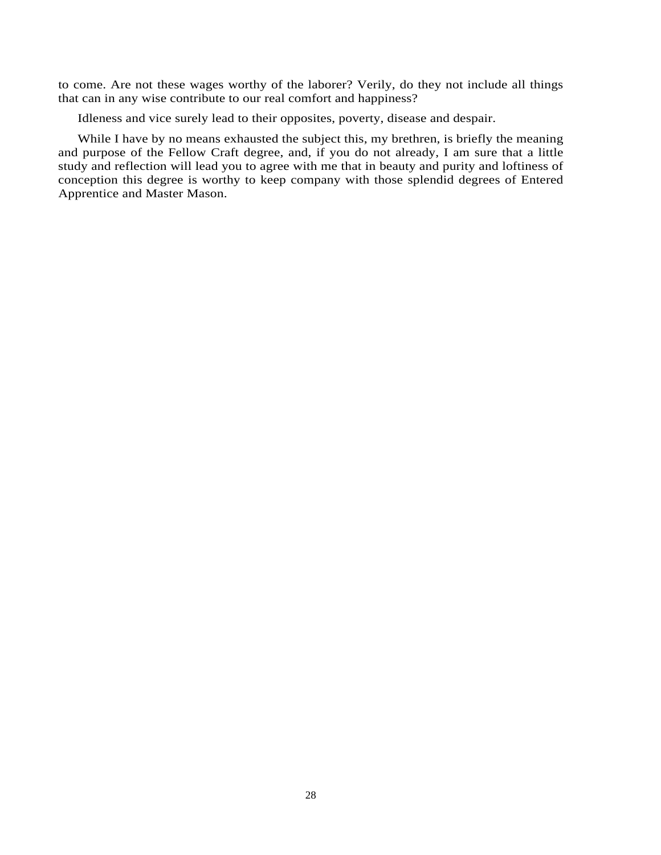to come. Are not these wages worthy of the laborer? Verily, do they not include all things that can in any wise contribute to our real comfort and happiness?

Idleness and vice surely lead to their opposites, poverty, disease and despair.

While I have by no means exhausted the subject this, my brethren, is briefly the meaning and purpose of the Fellow Craft degree, and, if you do not already, I am sure that a little study and reflection will lead you to agree with me that in beauty and purity and loftiness of conception this degree is worthy to keep company with those splendid degrees of Entered Apprentice and Master Mason.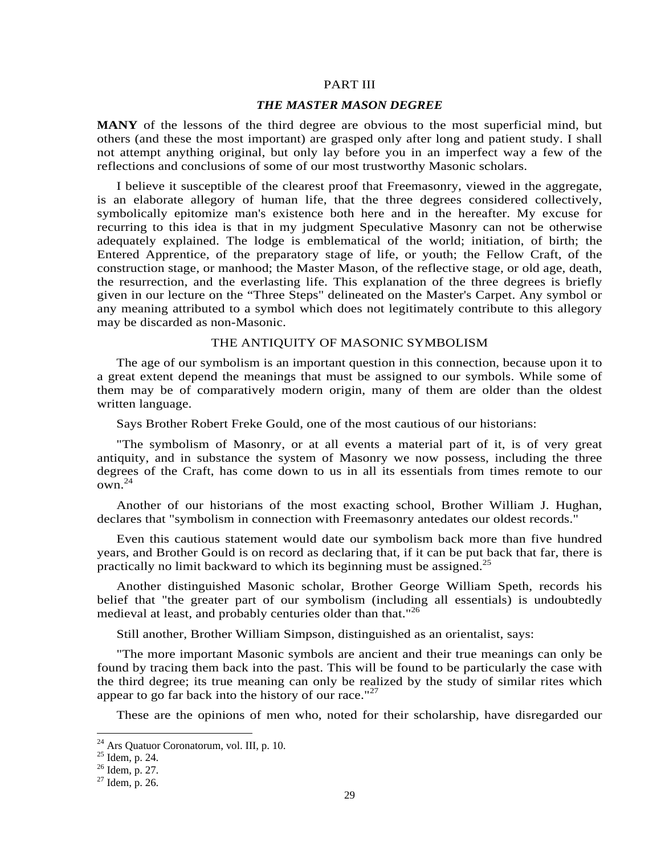#### PART III

#### *THE MASTER MASON DEGREE*

**MANY** of the lessons of the third degree are obvious to the most superficial mind, but others (and these the most important) are grasped only after long and patient study. I shall not attempt anything original, but only lay before you in an imperfect way a few of the reflections and conclusions of some of our most trustworthy Masonic scholars.

I believe it susceptible of the clearest proof that Freemasonry, viewed in the aggregate, is an elaborate allegory of human life, that the three degrees considered collectively, symbolically epitomize man's existence both here and in the hereafter. My excuse for recurring to this idea is that in my judgment Speculative Masonry can not be otherwise adequately explained. The lodge is emblematical of the world; initiation, of birth; the Entered Apprentice, of the preparatory stage of life, or youth; the Fellow Craft, of the construction stage, or manhood; the Master Mason, of the reflective stage, or old age, death, the resurrection, and the everlasting life. This explanation of the three degrees is briefly given in our lecture on the "Three Steps" delineated on the Master's Carpet. Any symbol or any meaning attributed to a symbol which does not legitimately contribute to this allegory may be discarded as non-Masonic.

#### THE ANTIQUITY OF MASONIC SYMBOLISM

The age of our symbolism is an important question in this connection, because upon it to a great extent depend the meanings that must be assigned to our symbols. While some of them may be of comparatively modern origin, many of them are older than the oldest written language.

Says Brother Robert Freke Gould, one of the most cautious of our historians:

"The symbolism of Masonry, or at all events a material part of it, is of very great antiquity, and in substance the system of Masonry we now possess, including the three degrees of the Craft, has come down to us in all its essentials from times remote to our  $\alpha$ <sub>0</sub>  $\mu$ <sup>24</sup>

Another of our historians of the most exacting school, Brother William J. Hughan, declares that "symbolism in connection with Freemasonry antedates our oldest records."

Even this cautious statement would date our symbolism back more than five hundred years, and Brother Gould is on record as declaring that, if it can be put back that far, there is practically no limit backward to which its beginning must be assigned.<sup>25</sup>

Another distinguished Masonic scholar, Brother George William Speth, records his belief that "the greater part of our symbolism (including all essentials) is undoubtedly medieval at least, and probably centuries older than that."<sup>26</sup>

Still another, Brother William Simpson, distinguished as an orientalist, says:

"The more important Masonic symbols are ancient and their true meanings can only be found by tracing them back into the past. This will be found to be particularly the case with the third degree; its true meaning can only be realized by the study of similar rites which appear to go far back into the history of our race."<sup>27</sup>

These are the opinions of men who, noted for their scholarship, have disregarded our

 $24$  Ars Quatuor Coronatorum, vol. III, p. 10.

 $^{25}$  Idem, p. 24.

<sup>26</sup> Idem, p. 27.

<sup>27</sup> Idem, p. 26.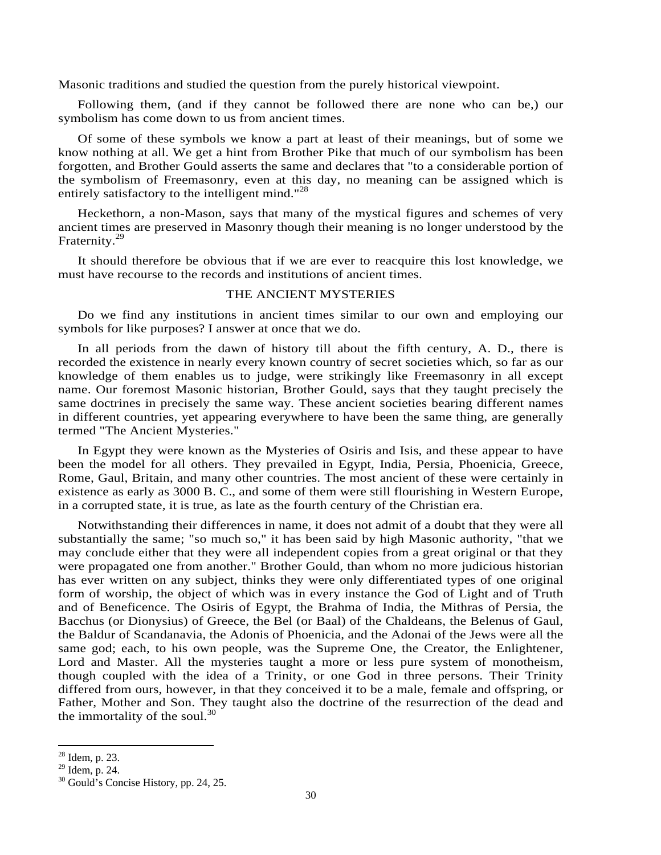Masonic traditions and studied the question from the purely historical viewpoint.

Following them, (and if they cannot be followed there are none who can be,) our symbolism has come down to us from ancient times.

Of some of these symbols we know a part at least of their meanings, but of some we know nothing at all. We get a hint from Brother Pike that much of our symbolism has been forgotten, and Brother Gould asserts the same and declares that "to a considerable portion of the symbolism of Freemasonry, even at this day, no meaning can be assigned which is entirely satisfactory to the intelligent mind."<sup>28</sup>

Heckethorn, a non-Mason, says that many of the mystical figures and schemes of very ancient times are preserved in Masonry though their meaning is no longer understood by the Fraternity.<sup>29</sup>

It should therefore be obvious that if we are ever to reacquire this lost knowledge, we must have recourse to the records and institutions of ancient times.

### THE ANCIENT MYSTERIES

Do we find any institutions in ancient times similar to our own and employing our symbols for like purposes? I answer at once that we do.

In all periods from the dawn of history till about the fifth century, A. D., there is recorded the existence in nearly every known country of secret societies which, so far as our knowledge of them enables us to judge, were strikingly like Freemasonry in all except name. Our foremost Masonic historian, Brother Gould, says that they taught precisely the same doctrines in precisely the same way. These ancient societies bearing different names in different countries, yet appearing everywhere to have been the same thing, are generally termed "The Ancient Mysteries."

In Egypt they were known as the Mysteries of Osiris and Isis, and these appear to have been the model for all others. They prevailed in Egypt, India, Persia, Phoenicia, Greece, Rome, Gaul, Britain, and many other countries. The most ancient of these were certainly in existence as early as 3000 B. C., and some of them were still flourishing in Western Europe, in a corrupted state, it is true, as late as the fourth century of the Christian era.

Notwithstanding their differences in name, it does not admit of a doubt that they were all substantially the same; "so much so," it has been said by high Masonic authority, "that we may conclude either that they were all independent copies from a great original or that they were propagated one from another." Brother Gould, than whom no more judicious historian has ever written on any subject, thinks they were only differentiated types of one original form of worship, the object of which was in every instance the God of Light and of Truth and of Beneficence. The Osiris of Egypt, the Brahma of India, the Mithras of Persia, the Bacchus (or Dionysius) of Greece, the Bel (or Baal) of the Chaldeans, the Belenus of Gaul, the Baldur of Scandanavia, the Adonis of Phoenicia, and the Adonai of the Jews were all the same god; each, to his own people, was the Supreme One, the Creator, the Enlightener, Lord and Master. All the mysteries taught a more or less pure system of monotheism, though coupled with the idea of a Trinity, or one God in three persons. Their Trinity differed from ours, however, in that they conceived it to be a male, female and offspring, or Father, Mother and Son. They taught also the doctrine of the resurrection of the dead and the immortality of the soul. $^{30}$ 

 $28$  Idem, p. 23.

 $29$  Idem, p. 24.

<sup>30</sup> Gould's Concise History, pp. 24, 25.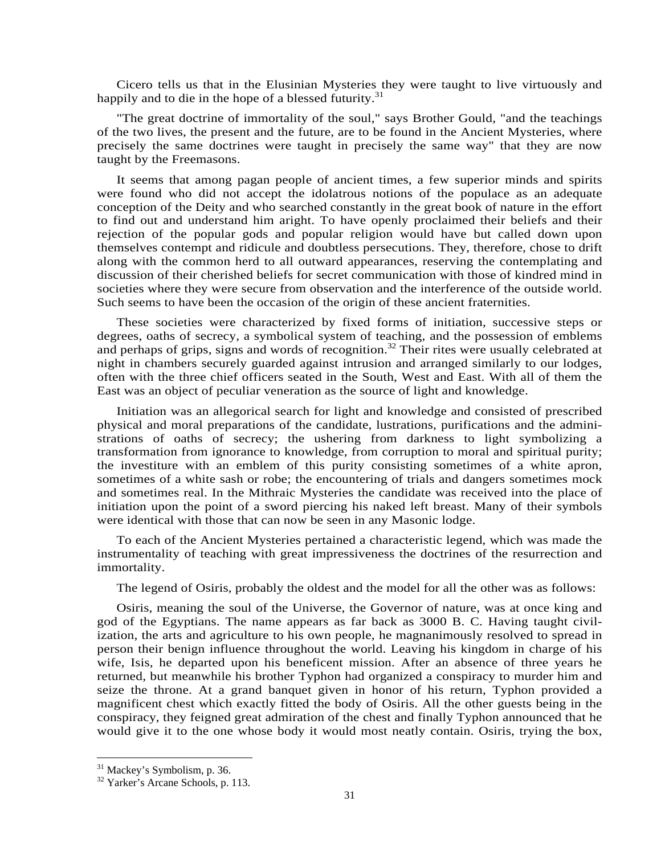Cicero tells us that in the Elusinian Mysteries they were taught to live virtuously and happily and to die in the hope of a blessed futurity. $31$ 

"The great doctrine of immortality of the soul," says Brother Gould, "and the teachings of the two lives, the present and the future, are to be found in the Ancient Mysteries, where precisely the same doctrines were taught in precisely the same way" that they are now taught by the Freemasons.

It seems that among pagan people of ancient times, a few superior minds and spirits were found who did not accept the idolatrous notions of the populace as an adequate conception of the Deity and who searched constantly in the great book of nature in the effort to find out and understand him aright. To have openly proclaimed their beliefs and their rejection of the popular gods and popular religion would have but called down upon themselves contempt and ridicule and doubtless persecutions. They, therefore, chose to drift along with the common herd to all outward appearances, reserving the contemplating and discussion of their cherished beliefs for secret communication with those of kindred mind in societies where they were secure from observation and the interference of the outside world. Such seems to have been the occasion of the origin of these ancient fraternities.

These societies were characterized by fixed forms of initiation, successive steps or degrees, oaths of secrecy, a symbolical system of teaching, and the possession of emblems and perhaps of grips, signs and words of recognition.<sup>32</sup> Their rites were usually celebrated at night in chambers securely guarded against intrusion and arranged similarly to our lodges, often with the three chief officers seated in the South, West and East. With all of them the East was an object of peculiar veneration as the source of light and knowledge.

Initiation was an allegorical search for light and knowledge and consisted of prescribed physical and moral preparations of the candidate, lustrations, purifications and the administrations of oaths of secrecy; the ushering from darkness to light symbolizing a transformation from ignorance to knowledge, from corruption to moral and spiritual purity; the investiture with an emblem of this purity consisting sometimes of a white apron, sometimes of a white sash or robe; the encountering of trials and dangers sometimes mock and sometimes real. In the Mithraic Mysteries the candidate was received into the place of initiation upon the point of a sword piercing his naked left breast. Many of their symbols were identical with those that can now be seen in any Masonic lodge.

To each of the Ancient Mysteries pertained a characteristic legend, which was made the instrumentality of teaching with great impressiveness the doctrines of the resurrection and immortality.

The legend of Osiris, probably the oldest and the model for all the other was as follows:

Osiris, meaning the soul of the Universe, the Governor of nature, was at once king and god of the Egyptians. The name appears as far back as 3000 B. C. Having taught civilization, the arts and agriculture to his own people, he magnanimously resolved to spread in person their benign influence throughout the world. Leaving his kingdom in charge of his wife, Isis, he departed upon his beneficent mission. After an absence of three years he returned, but meanwhile his brother Typhon had organized a conspiracy to murder him and seize the throne. At a grand banquet given in honor of his return, Typhon provided a magnificent chest which exactly fitted the body of Osiris. All the other guests being in the conspiracy, they feigned great admiration of the chest and finally Typhon announced that he would give it to the one whose body it would most neatly contain. Osiris, trying the box,

<sup>&</sup>lt;sup>31</sup> Mackey's Symbolism, p. 36.

<sup>&</sup>lt;sup>32</sup> Yarker's Arcane Schools, p. 113.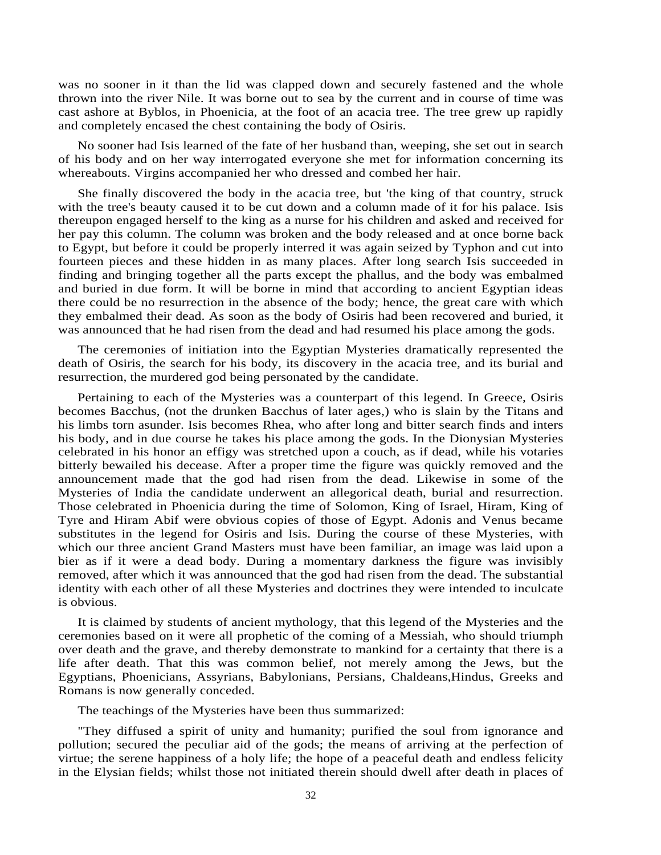was no sooner in it than the lid was clapped down and securely fastened and the whole thrown into the river Nile. It was borne out to sea by the current and in course of time was cast ashore at Byblos, in Phoenicia, at the foot of an acacia tree. The tree grew up rapidly and completely encased the chest containing the body of Osiris.

No sooner had Isis learned of the fate of her husband than, weeping, she set out in search of his body and on her way interrogated everyone she met for information concerning its whereabouts. Virgins accompanied her who dressed and combed her hair.

She finally discovered the body in the acacia tree, but 'the king of that country, struck with the tree's beauty caused it to be cut down and a column made of it for his palace. Isis thereupon engaged herself to the king as a nurse for his children and asked and received for her pay this column. The column was broken and the body released and at once borne back to Egypt, but before it could be properly interred it was again seized by Typhon and cut into fourteen pieces and these hidden in as many places. After long search Isis succeeded in finding and bringing together all the parts except the phallus, and the body was embalmed and buried in due form. It will be borne in mind that according to ancient Egyptian ideas there could be no resurrection in the absence of the body; hence, the great care with which they embalmed their dead. As soon as the body of Osiris had been recovered and buried, it was announced that he had risen from the dead and had resumed his place among the gods.

The ceremonies of initiation into the Egyptian Mysteries dramatically represented the death of Osiris, the search for his body, its discovery in the acacia tree, and its burial and resurrection, the murdered god being personated by the candidate.

Pertaining to each of the Mysteries was a counterpart of this legend. In Greece, Osiris becomes Bacchus, (not the drunken Bacchus of later ages,) who is slain by the Titans and his limbs torn asunder. Isis becomes Rhea, who after long and bitter search finds and inters his body, and in due course he takes his place among the gods. In the Dionysian Mysteries celebrated in his honor an effigy was stretched upon a couch, as if dead, while his votaries bitterly bewailed his decease. After a proper time the figure was quickly removed and the announcement made that the god had risen from the dead. Likewise in some of the Mysteries of India the candidate underwent an allegorical death, burial and resurrection. Those celebrated in Phoenicia during the time of Solomon, King of Israel, Hiram, King of Tyre and Hiram Abif were obvious copies of those of Egypt. Adonis and Venus became substitutes in the legend for Osiris and Isis. During the course of these Mysteries, with which our three ancient Grand Masters must have been familiar, an image was laid upon a bier as if it were a dead body. During a momentary darkness the figure was invisibly removed, after which it was announced that the god had risen from the dead. The substantial identity with each other of all these Mysteries and doctrines they were intended to inculcate is obvious.

It is claimed by students of ancient mythology, that this legend of the Mysteries and the ceremonies based on it were all prophetic of the coming of a Messiah, who should triumph over death and the grave, and thereby demonstrate to mankind for a certainty that there is a life after death. That this was common belief, not merely among the Jews, but the Egyptians, Phoenicians, Assyrians, Babylonians, Persians, Chaldeans,Hindus, Greeks and Romans is now generally conceded.

The teachings of the Mysteries have been thus summarized:

"They diffused a spirit of unity and humanity; purified the soul from ignorance and pollution; secured the peculiar aid of the gods; the means of arriving at the perfection of virtue; the serene happiness of a holy life; the hope of a peaceful death and endless felicity in the Elysian fields; whilst those not initiated therein should dwell after death in places of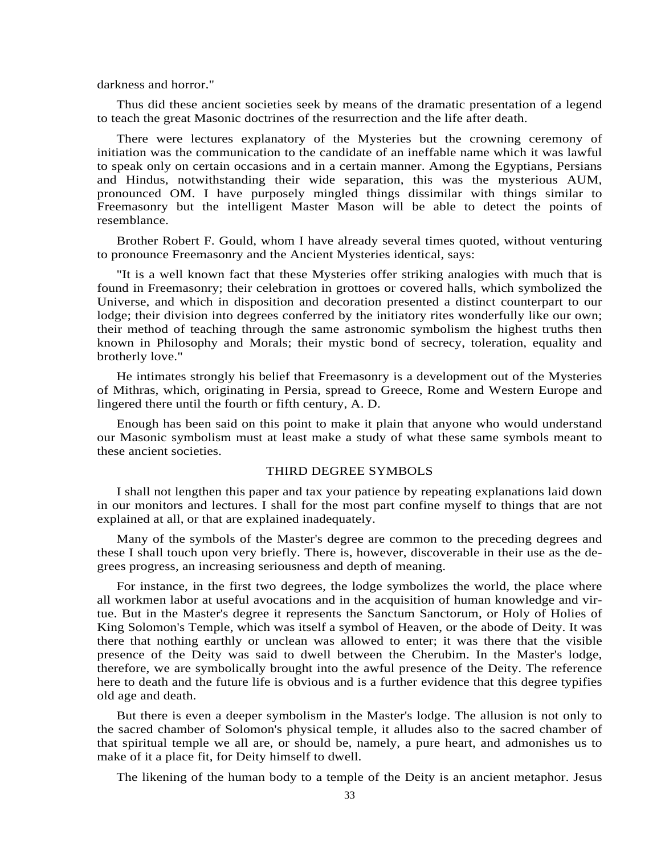darkness and horror."

Thus did these ancient societies seek by means of the dramatic presentation of a legend to teach the great Masonic doctrines of the resurrection and the life after death.

There were lectures explanatory of the Mysteries but the crowning ceremony of initiation was the communication to the candidate of an ineffable name which it was lawful to speak only on certain occasions and in a certain manner. Among the Egyptians, Persians and Hindus, notwithstanding their wide separation, this was the mysterious AUM, pronounced OM. I have purposely mingled things dissimilar with things similar to Freemasonry but the intelligent Master Mason will be able to detect the points of resemblance.

Brother Robert F. Gould, whom I have already several times quoted, without venturing to pronounce Freemasonry and the Ancient Mysteries identical, says:

"It is a well known fact that these Mysteries offer striking analogies with much that is found in Freemasonry; their celebration in grottoes or covered halls, which symbolized the Universe, and which in disposition and decoration presented a distinct counterpart to our lodge; their division into degrees conferred by the initiatory rites wonderfully like our own; their method of teaching through the same astronomic symbolism the highest truths then known in Philosophy and Morals; their mystic bond of secrecy, toleration, equality and brotherly love."

He intimates strongly his belief that Freemasonry is a development out of the Mysteries of Mithras, which, originating in Persia, spread to Greece, Rome and Western Europe and lingered there until the fourth or fifth century, A. D.

Enough has been said on this point to make it plain that anyone who would understand our Masonic symbolism must at least make a study of what these same symbols meant to these ancient societies.

# THIRD DEGREE SYMBOLS

I shall not lengthen this paper and tax your patience by repeating explanations laid down in our monitors and lectures. I shall for the most part confine myself to things that are not explained at all, or that are explained inadequately.

Many of the symbols of the Master's degree are common to the preceding degrees and these I shall touch upon very briefly. There is, however, discoverable in their use as the degrees progress, an increasing seriousness and depth of meaning.

For instance, in the first two degrees, the lodge symbolizes the world, the place where all workmen labor at useful avocations and in the acquisition of human knowledge and virtue. But in the Master's degree it represents the Sanctum Sanctorum, or Holy of Holies of King Solomon's Temple, which was itself a symbol of Heaven, or the abode of Deity. It was there that nothing earthly or unclean was allowed to enter; it was there that the visible presence of the Deity was said to dwell between the Cherubim. In the Master's lodge, therefore, we are symbolically brought into the awful presence of the Deity. The reference here to death and the future life is obvious and is a further evidence that this degree typifies old age and death.

But there is even a deeper symbolism in the Master's lodge. The allusion is not only to the sacred chamber of Solomon's physical temple, it alludes also to the sacred chamber of that spiritual temple we all are, or should be, namely, a pure heart, and admonishes us to make of it a place fit, for Deity himself to dwell.

The likening of the human body to a temple of the Deity is an ancient metaphor. Jesus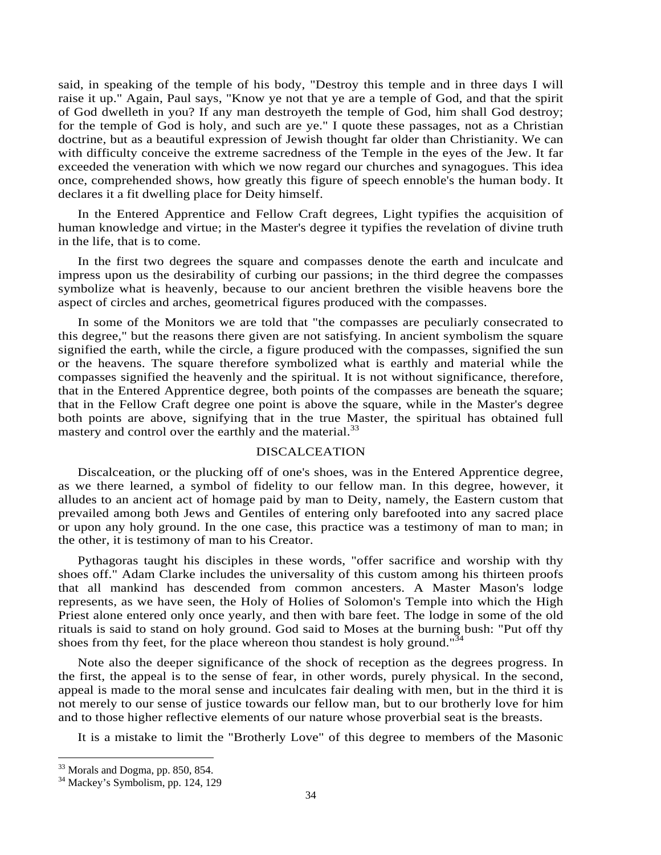said, in speaking of the temple of his body, "Destroy this temple and in three days I will raise it up." Again, Paul says, "Know ye not that ye are a temple of God, and that the spirit of God dwelleth in you? If any man destroyeth the temple of God, him shall God destroy; for the temple of God is holy, and such are ye." I quote these passages, not as a Christian doctrine, but as a beautiful expression of Jewish thought far older than Christianity. We can with difficulty conceive the extreme sacredness of the Temple in the eyes of the Jew. It far exceeded the veneration with which we now regard our churches and synagogues. This idea once, comprehended shows, how greatly this figure of speech ennoble's the human body. It declares it a fit dwelling place for Deity himself.

In the Entered Apprentice and Fellow Craft degrees, Light typifies the acquisition of human knowledge and virtue; in the Master's degree it typifies the revelation of divine truth in the life, that is to come.

In the first two degrees the square and compasses denote the earth and inculcate and impress upon us the desirability of curbing our passions; in the third degree the compasses symbolize what is heavenly, because to our ancient brethren the visible heavens bore the aspect of circles and arches, geometrical figures produced with the compasses.

In some of the Monitors we are told that "the compasses are peculiarly consecrated to this degree," but the reasons there given are not satisfying. In ancient symbolism the square signified the earth, while the circle, a figure produced with the compasses, signified the sun or the heavens. The square therefore symbolized what is earthly and material while the compasses signified the heavenly and the spiritual. It is not without significance, therefore, that in the Entered Apprentice degree, both points of the compasses are beneath the square; that in the Fellow Craft degree one point is above the square, while in the Master's degree both points are above, signifying that in the true Master, the spiritual has obtained full mastery and control over the earthly and the material.<sup>33</sup>

## DISCALCEATION

Discalceation, or the plucking off of one's shoes, was in the Entered Apprentice degree, as we there learned, a symbol of fidelity to our fellow man. In this degree, however, it alludes to an ancient act of homage paid by man to Deity, namely, the Eastern custom that prevailed among both Jews and Gentiles of entering only barefooted into any sacred place or upon any holy ground. In the one case, this practice was a testimony of man to man; in the other, it is testimony of man to his Creator.

Pythagoras taught his disciples in these words, "offer sacrifice and worship with thy shoes off." Adam Clarke includes the universality of this custom among his thirteen proofs that all mankind has descended from common ancesters. A Master Mason's lodge represents, as we have seen, the Holy of Holies of Solomon's Temple into which the High Priest alone entered only once yearly, and then with bare feet. The lodge in some of the old rituals is said to stand on holy ground. God said to Moses at the burning bush: "Put off thy shoes from thy feet, for the place whereon thou standest is holy ground."<sup>34</sup>

Note also the deeper significance of the shock of reception as the degrees progress. In the first, the appeal is to the sense of fear, in other words, purely physical. In the second, appeal is made to the moral sense and inculcates fair dealing with men, but in the third it is not merely to our sense of justice towards our fellow man, but to our brotherly love for him and to those higher reflective elements of our nature whose proverbial seat is the breasts.

It is a mistake to limit the "Brotherly Love" of this degree to members of the Masonic

<sup>&</sup>lt;sup>33</sup> Morals and Dogma, pp. 850, 854.

<sup>&</sup>lt;sup>34</sup> Mackey's Symbolism, pp. 124, 129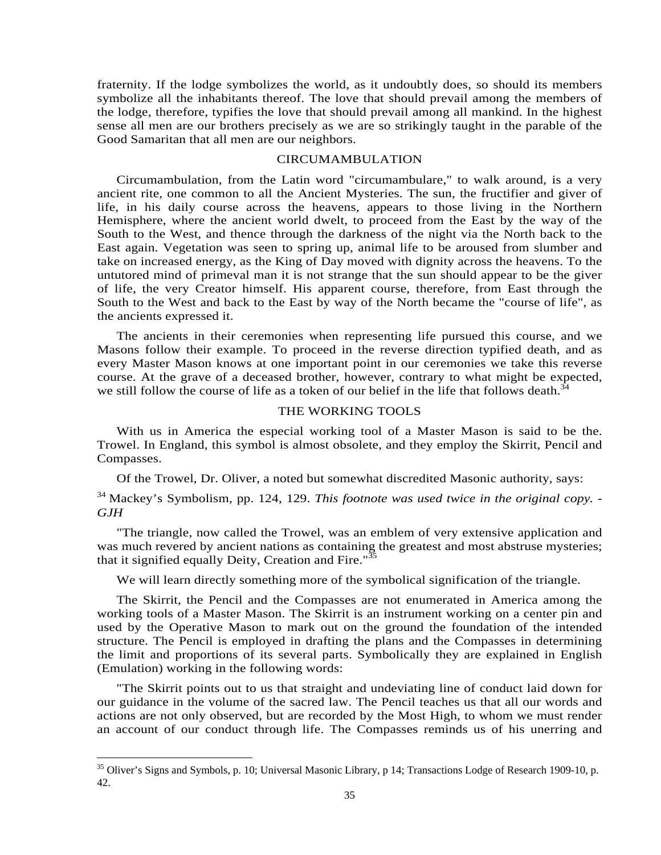fraternity. If the lodge symbolizes the world, as it undoubtly does, so should its members symbolize all the inhabitants thereof. The love that should prevail among the members of the lodge, therefore, typifies the love that should prevail among all mankind. In the highest sense all men are our brothers precisely as we are so strikingly taught in the parable of the Good Samaritan that all men are our neighbors.

# CIRCUMAMBULATION

Circumambulation, from the Latin word "circumambulare," to walk around, is a very ancient rite, one common to all the Ancient Mysteries. The sun, the fructifier and giver of life, in his daily course across the heavens, appears to those living in the Northern Hemisphere, where the ancient world dwelt, to proceed from the East by the way of the South to the West, and thence through the darkness of the night via the North back to the East again. Vegetation was seen to spring up, animal life to be aroused from slumber and take on increased energy, as the King of Day moved with dignity across the heavens. To the untutored mind of primeval man it is not strange that the sun should appear to be the giver of life, the very Creator himself. His apparent course, therefore, from East through the South to the West and back to the East by way of the North became the "course of life", as the ancients expressed it.

The ancients in their ceremonies when representing life pursued this course, and we Masons follow their example. To proceed in the reverse direction typified death, and as every Master Mason knows at one important point in our ceremonies we take this reverse course. At the grave of a deceased brother, however, contrary to what might be expected, we still follow the course of life as a token of our belief in the life that follows death.<sup>34</sup>

# THE WORKING TOOLS

With us in America the especial working tool of a Master Mason is said to be the. Trowel. In England, this symbol is almost obsolete, and they employ the Skirrit, Pencil and Compasses.

Of the Trowel, Dr. Oliver, a noted but somewhat discredited Masonic authority, says:

34 Mackey's Symbolism, pp. 124, 129. *This footnote was used twice in the original copy. - GJH*

"The triangle, now called the Trowel, was an emblem of very extensive application and was much revered by ancient nations as containing the greatest and most abstruse mysteries; that it signified equally Deity, Creation and Fire." $\frac{35}{25}$ 

We will learn directly something more of the symbolical signification of the triangle.

The Skirrit, the Pencil and the Compasses are not enumerated in America among the working tools of a Master Mason. The Skirrit is an instrument working on a center pin and used by the Operative Mason to mark out on the ground the foundation of the intended structure. The Pencil is employed in drafting the plans and the Compasses in determining the limit and proportions of its several parts. Symbolically they are explained in English (Emulation) working in the following words:

"The Skirrit points out to us that straight and undeviating line of conduct laid down for our guidance in the volume of the sacred law. The Pencil teaches us that all our words and actions are not only observed, but are recorded by the Most High, to whom we must render an account of our conduct through life. The Compasses reminds us of his unerring and

<sup>&</sup>lt;sup>35</sup> Oliver's Signs and Symbols, p. 10; Universal Masonic Library, p 14; Transactions Lodge of Research 1909-10, p. 42.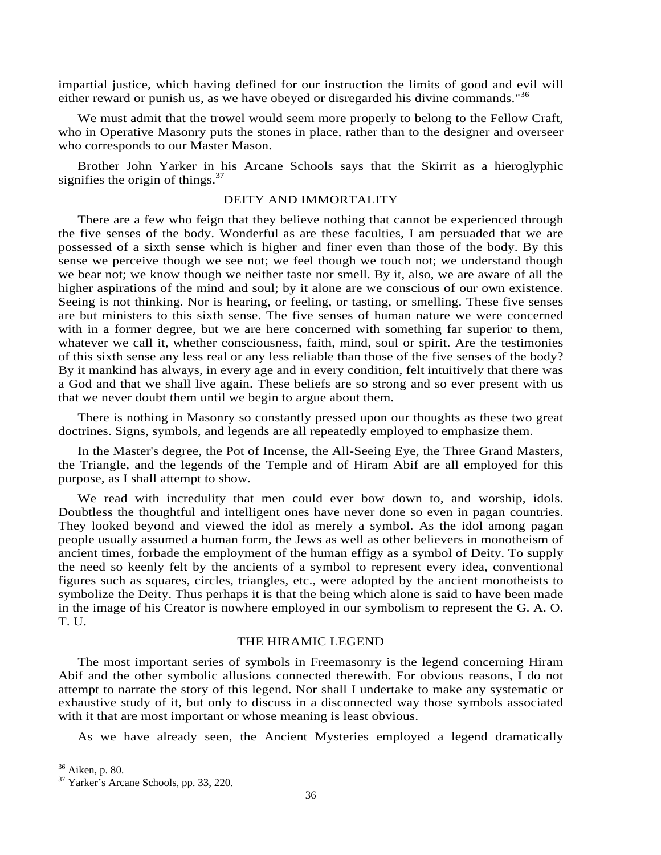impartial justice, which having defined for our instruction the limits of good and evil will either reward or punish us, as we have obeyed or disregarded his divine commands."<sup>36</sup>

We must admit that the trowel would seem more properly to belong to the Fellow Craft, who in Operative Masonry puts the stones in place, rather than to the designer and overseer who corresponds to our Master Mason.

Brother John Yarker in his Arcane Schools says that the Skirrit as a hieroglyphic signifies the origin of things. $37$ 

#### DEITY AND IMMORTALITY

There are a few who feign that they believe nothing that cannot be experienced through the five senses of the body. Wonderful as are these faculties, I am persuaded that we are possessed of a sixth sense which is higher and finer even than those of the body. By this sense we perceive though we see not; we feel though we touch not; we understand though we bear not; we know though we neither taste nor smell. By it, also, we are aware of all the higher aspirations of the mind and soul; by it alone are we conscious of our own existence. Seeing is not thinking. Nor is hearing, or feeling, or tasting, or smelling. These five senses are but ministers to this sixth sense. The five senses of human nature we were concerned with in a former degree, but we are here concerned with something far superior to them, whatever we call it, whether consciousness, faith, mind, soul or spirit. Are the testimonies of this sixth sense any less real or any less reliable than those of the five senses of the body? By it mankind has always, in every age and in every condition, felt intuitively that there was a God and that we shall live again. These beliefs are so strong and so ever present with us that we never doubt them until we begin to argue about them.

There is nothing in Masonry so constantly pressed upon our thoughts as these two great doctrines. Signs, symbols, and legends are all repeatedly employed to emphasize them.

In the Master's degree, the Pot of Incense, the All-Seeing Eye, the Three Grand Masters, the Triangle, and the legends of the Temple and of Hiram Abif are all employed for this purpose, as I shall attempt to show.

We read with incredulity that men could ever bow down to, and worship, idols. Doubtless the thoughtful and intelligent ones have never done so even in pagan countries. They looked beyond and viewed the idol as merely a symbol. As the idol among pagan people usually assumed a human form, the Jews as well as other believers in monotheism of ancient times, forbade the employment of the human effigy as a symbol of Deity. To supply the need so keenly felt by the ancients of a symbol to represent every idea, conventional figures such as squares, circles, triangles, etc., were adopted by the ancient monotheists to symbolize the Deity. Thus perhaps it is that the being which alone is said to have been made in the image of his Creator is nowhere employed in our symbolism to represent the G. A. O. T. U.

# THE HIRAMIC LEGEND

The most important series of symbols in Freemasonry is the legend concerning Hiram Abif and the other symbolic allusions connected therewith. For obvious reasons, I do not attempt to narrate the story of this legend. Nor shall I undertake to make any systematic or exhaustive study of it, but only to discuss in a disconnected way those symbols associated with it that are most important or whose meaning is least obvious.

As we have already seen, the Ancient Mysteries employed a legend dramatically

<sup>36</sup> Aiken, p. 80.

<sup>37</sup> Yarker's Arcane Schools, pp. 33, 220.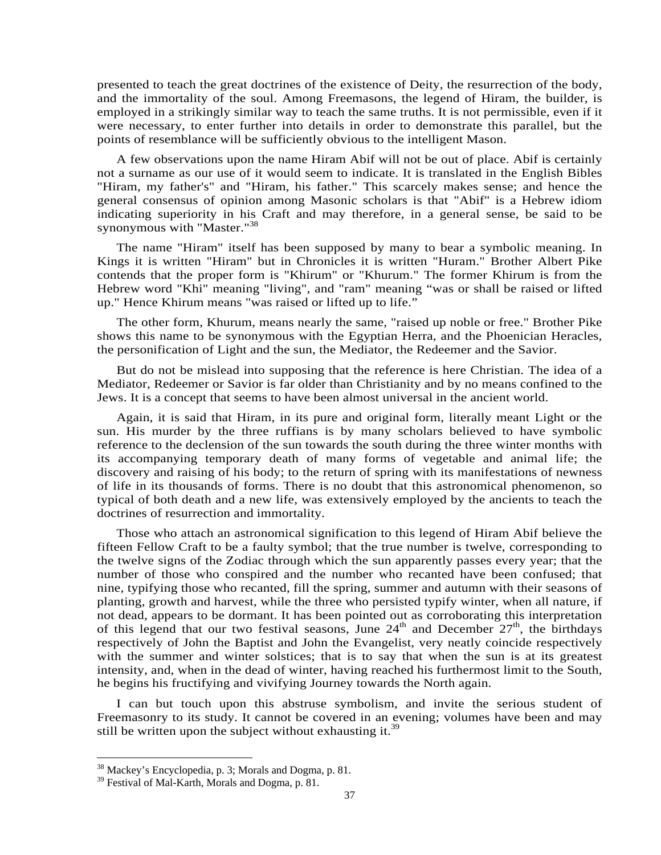presented to teach the great doctrines of the existence of Deity, the resurrection of the body, and the immortality of the soul. Among Freemasons, the legend of Hiram, the builder, is employed in a strikingly similar way to teach the same truths. It is not permissible, even if it were necessary, to enter further into details in order to demonstrate this parallel, but the points of resemblance will be sufficiently obvious to the intelligent Mason.

A few observations upon the name Hiram Abif will not be out of place. Abif is certainly not a surname as our use of it would seem to indicate. It is translated in the English Bibles "Hiram, my father's" and "Hiram, his father." This scarcely makes sense; and hence the general consensus of opinion among Masonic scholars is that "Abif" is a Hebrew idiom indicating superiority in his Craft and may therefore, in a general sense, be said to be synonymous with "Master."<sup>38</sup>

The name "Hiram" itself has been supposed by many to bear a symbolic meaning. In Kings it is written "Hiram" but in Chronicles it is written "Huram." Brother Albert Pike contends that the proper form is "Khirum" or "Khurum." The former Khirum is from the Hebrew word "Khi" meaning "living", and "ram" meaning "was or shall be raised or lifted up." Hence Khirum means "was raised or lifted up to life."

The other form, Khurum, means nearly the same, "raised up noble or free." Brother Pike shows this name to be synonymous with the Egyptian Herra, and the Phoenician Heracles, the personification of Light and the sun, the Mediator, the Redeemer and the Savior.

But do not be mislead into supposing that the reference is here Christian. The idea of a Mediator, Redeemer or Savior is far older than Christianity and by no means confined to the Jews. It is a concept that seems to have been almost universal in the ancient world.

Again, it is said that Hiram, in its pure and original form, literally meant Light or the sun. His murder by the three ruffians is by many scholars believed to have symbolic reference to the declension of the sun towards the south during the three winter months with its accompanying temporary death of many forms of vegetable and animal life; the discovery and raising of his body; to the return of spring with its manifestations of newness of life in its thousands of forms. There is no doubt that this astronomical phenomenon, so typical of both death and a new life, was extensively employed by the ancients to teach the doctrines of resurrection and immortality.

Those who attach an astronomical signification to this legend of Hiram Abif believe the fifteen Fellow Craft to be a faulty symbol; that the true number is twelve, corresponding to the twelve signs of the Zodiac through which the sun apparently passes every year; that the number of those who conspired and the number who recanted have been confused; that nine, typifying those who recanted, fill the spring, summer and autumn with their seasons of planting, growth and harvest, while the three who persisted typify winter, when all nature, if not dead, appears to be dormant. It has been pointed out as corroborating this interpretation of this legend that our two festival seasons, June  $24<sup>th</sup>$  and December  $27<sup>th</sup>$ , the birthdays respectively of John the Baptist and John the Evangelist, very neatly coincide respectively with the summer and winter solstices; that is to say that when the sun is at its greatest intensity, and, when in the dead of winter, having reached his furthermost limit to the South, he begins his fructifying and vivifying Journey towards the North again.

I can but touch upon this abstruse symbolism, and invite the serious student of Freemasonry to its study. It cannot be covered in an evening; volumes have been and may still be written upon the subject without exhausting it.<sup>39</sup>

<sup>38</sup> Mackey's Encyclopedia, p. 3; Morals and Dogma, p. 81.

<sup>39</sup> Festival of Mal-Karth, Morals and Dogma, p. 81.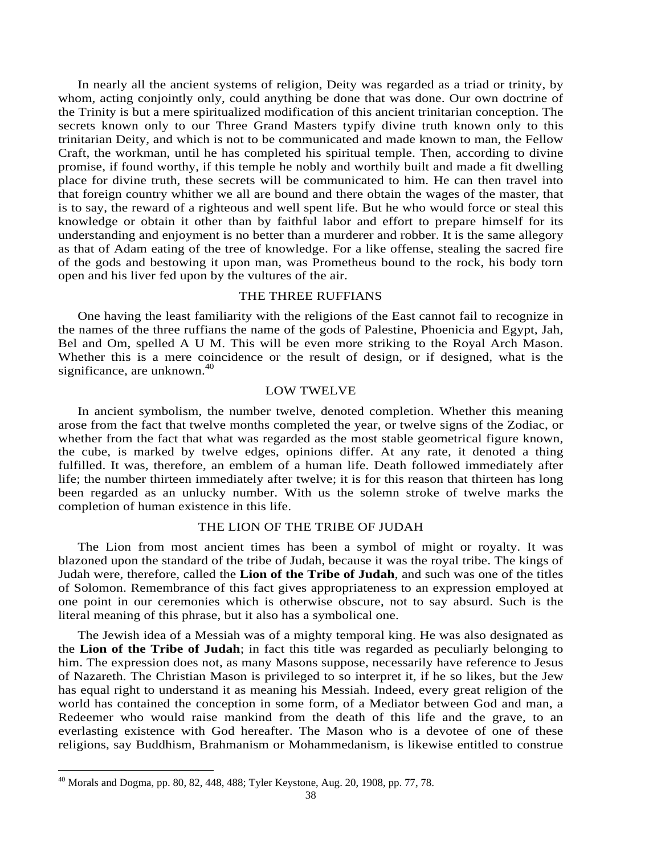In nearly all the ancient systems of religion, Deity was regarded as a triad or trinity, by whom, acting conjointly only, could anything be done that was done. Our own doctrine of the Trinity is but a mere spiritualized modification of this ancient trinitarian conception. The secrets known only to our Three Grand Masters typify divine truth known only to this trinitarian Deity, and which is not to be communicated and made known to man, the Fellow Craft, the workman, until he has completed his spiritual temple. Then, according to divine promise, if found worthy, if this temple he nobly and worthily built and made a fit dwelling place for divine truth, these secrets will be communicated to him. He can then travel into that foreign country whither we all are bound and there obtain the wages of the master, that is to say, the reward of a righteous and well spent life. But he who would force or steal this knowledge or obtain it other than by faithful labor and effort to prepare himself for its understanding and enjoyment is no better than a murderer and robber. It is the same allegory as that of Adam eating of the tree of knowledge. For a like offense, stealing the sacred fire of the gods and bestowing it upon man, was Prometheus bound to the rock, his body torn open and his liver fed upon by the vultures of the air.

#### THE THREE RUFFIANS

One having the least familiarity with the religions of the East cannot fail to recognize in the names of the three ruffians the name of the gods of Palestine, Phoenicia and Egypt, Jah, Bel and Om, spelled A U M. This will be even more striking to the Royal Arch Mason. Whether this is a mere coincidence or the result of design, or if designed, what is the significance, are unknown. $40$ 

# LOW TWELVE

In ancient symbolism, the number twelve, denoted completion. Whether this meaning arose from the fact that twelve months completed the year, or twelve signs of the Zodiac, or whether from the fact that what was regarded as the most stable geometrical figure known, the cube, is marked by twelve edges, opinions differ. At any rate, it denoted a thing fulfilled. It was, therefore, an emblem of a human life. Death followed immediately after life; the number thirteen immediately after twelve; it is for this reason that thirteen has long been regarded as an unlucky number. With us the solemn stroke of twelve marks the completion of human existence in this life.

#### THE LION OF THE TRIBE OF JUDAH

The Lion from most ancient times has been a symbol of might or royalty. It was blazoned upon the standard of the tribe of Judah, because it was the royal tribe. The kings of Judah were, therefore, called the **Lion of the Tribe of Judah**, and such was one of the titles of Solomon. Remembrance of this fact gives appropriateness to an expression employed at one point in our ceremonies which is otherwise obscure, not to say absurd. Such is the literal meaning of this phrase, but it also has a symbolical one.

The Jewish idea of a Messiah was of a mighty temporal king. He was also designated as the **Lion of the Tribe of Judah**; in fact this title was regarded as peculiarly belonging to him. The expression does not, as many Masons suppose, necessarily have reference to Jesus of Nazareth. The Christian Mason is privileged to so interpret it, if he so likes, but the Jew has equal right to understand it as meaning his Messiah. Indeed, every great religion of the world has contained the conception in some form, of a Mediator between God and man, a Redeemer who would raise mankind from the death of this life and the grave, to an everlasting existence with God hereafter. The Mason who is a devotee of one of these religions, say Buddhism, Brahmanism or Mohammedanism, is likewise entitled to construe

<sup>40</sup> Morals and Dogma, pp. 80, 82, 448, 488; Tyler Keystone, Aug. 20, 1908, pp. 77, 78.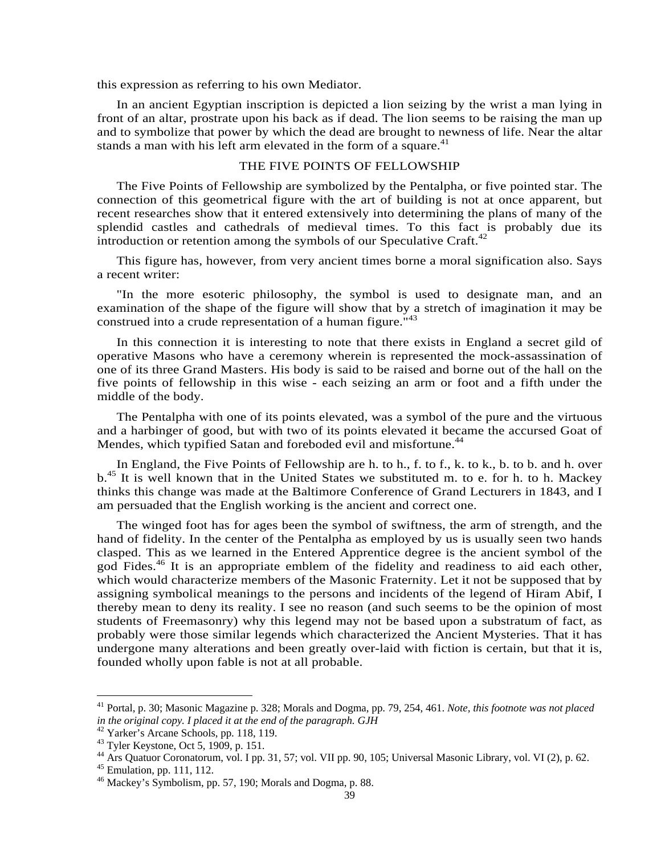this expression as referring to his own Mediator.

In an ancient Egyptian inscription is depicted a lion seizing by the wrist a man lying in front of an altar, prostrate upon his back as if dead. The lion seems to be raising the man up and to symbolize that power by which the dead are brought to newness of life. Near the altar stands a man with his left arm elevated in the form of a square.<sup>41</sup>

# THE FIVE POINTS OF FELLOWSHIP

The Five Points of Fellowship are symbolized by the Pentalpha, or five pointed star. The connection of this geometrical figure with the art of building is not at once apparent, but recent researches show that it entered extensively into determining the plans of many of the splendid castles and cathedrals of medieval times. To this fact is probably due its introduction or retention among the symbols of our Speculative Craft.<sup>42</sup>

This figure has, however, from very ancient times borne a moral signification also. Says a recent writer:

"In the more esoteric philosophy, the symbol is used to designate man, and an examination of the shape of the figure will show that by a stretch of imagination it may be construed into a crude representation of a human figure.<sup>"43</sup>

In this connection it is interesting to note that there exists in England a secret gild of operative Masons who have a ceremony wherein is represented the mock-assassination of one of its three Grand Masters. His body is said to be raised and borne out of the hall on the five points of fellowship in this wise - each seizing an arm or foot and a fifth under the middle of the body.

The Pentalpha with one of its points elevated, was a symbol of the pure and the virtuous and a harbinger of good, but with two of its points elevated it became the accursed Goat of Mendes, which typified Satan and foreboded evil and misfortune.<sup>44</sup>

In England, the Five Points of Fellowship are h. to h., f. to f., k. to k., b. to b. and h. over b.<sup>45</sup> It is well known that in the United States we substituted m. to e. for h. to h. Mackey thinks this change was made at the Baltimore Conference of Grand Lecturers in 1843, and I am persuaded that the English working is the ancient and correct one.

The winged foot has for ages been the symbol of swiftness, the arm of strength, and the hand of fidelity. In the center of the Pentalpha as employed by us is usually seen two hands clasped. This as we learned in the Entered Apprentice degree is the ancient symbol of the god Fides.<sup>46</sup> It is an appropriate emblem of the fidelity and readiness to aid each other, which would characterize members of the Masonic Fraternity. Let it not be supposed that by assigning symbolical meanings to the persons and incidents of the legend of Hiram Abif, I thereby mean to deny its reality. I see no reason (and such seems to be the opinion of most students of Freemasonry) why this legend may not be based upon a substratum of fact, as probably were those similar legends which characterized the Ancient Mysteries. That it has undergone many alterations and been greatly over-laid with fiction is certain, but that it is, founded wholly upon fable is not at all probable.

<sup>41</sup> Portal, p. 30; Masonic Magazine p. 328; Morals and Dogma, pp. 79, 254, 461. *Note, this footnote was not placed in the original copy. I placed it at the end of the paragraph. GJH* 

<sup>42</sup> Yarker's Arcane Schools, pp. 118, 119.

<sup>43</sup> Tyler Keystone, Oct 5, 1909, p. 151.

<sup>&</sup>lt;sup>44</sup> Ars Quatuor Coronatorum, vol. I pp. 31, 57; vol. VII pp. 90, 105; Universal Masonic Library, vol. VI (2), p. 62.

<sup>45</sup> Emulation, pp. 111, 112.

<sup>46</sup> Mackey's Symbolism, pp. 57, 190; Morals and Dogma, p. 88.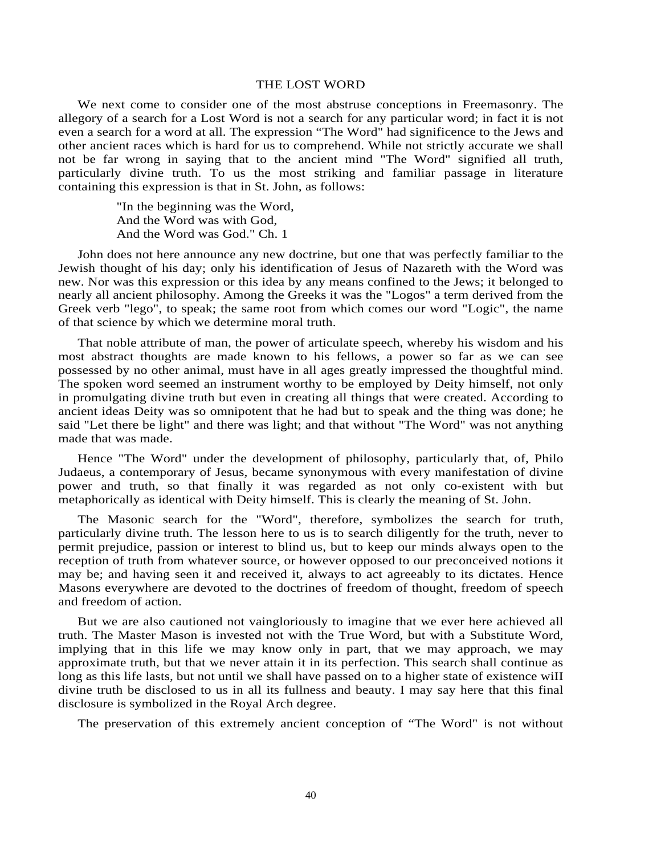#### THE LOST WORD

We next come to consider one of the most abstruse conceptions in Freemasonry. The allegory of a search for a Lost Word is not a search for any particular word; in fact it is not even a search for a word at all. The expression "The Word" had significence to the Jews and other ancient races which is hard for us to comprehend. While not strictly accurate we shall not be far wrong in saying that to the ancient mind "The Word" signified all truth, particularly divine truth. To us the most striking and familiar passage in literature containing this expression is that in St. John, as follows:

> "In the beginning was the Word, And the Word was with God, And the Word was God." Ch. 1

John does not here announce any new doctrine, but one that was perfectly familiar to the Jewish thought of his day; only his identification of Jesus of Nazareth with the Word was new. Nor was this expression or this idea by any means confined to the Jews; it belonged to nearly all ancient philosophy. Among the Greeks it was the "Logos" a term derived from the Greek verb "lego", to speak; the same root from which comes our word "Logic", the name of that science by which we determine moral truth.

That noble attribute of man, the power of articulate speech, whereby his wisdom and his most abstract thoughts are made known to his fellows, a power so far as we can see possessed by no other animal, must have in all ages greatly impressed the thoughtful mind. The spoken word seemed an instrument worthy to be employed by Deity himself, not only in promulgating divine truth but even in creating all things that were created. According to ancient ideas Deity was so omnipotent that he had but to speak and the thing was done; he said "Let there be light" and there was light; and that without "The Word" was not anything made that was made.

Hence "The Word" under the development of philosophy, particularly that, of, Philo Judaeus, a contemporary of Jesus, became synonymous with every manifestation of divine power and truth, so that finally it was regarded as not only co-existent with but metaphorically as identical with Deity himself. This is clearly the meaning of St. John.

The Masonic search for the "Word", therefore, symbolizes the search for truth, particularly divine truth. The lesson here to us is to search diligently for the truth, never to permit prejudice, passion or interest to blind us, but to keep our minds always open to the reception of truth from whatever source, or however opposed to our preconceived notions it may be; and having seen it and received it, always to act agreeably to its dictates. Hence Masons everywhere are devoted to the doctrines of freedom of thought, freedom of speech and freedom of action.

But we are also cautioned not vaingloriously to imagine that we ever here achieved all truth. The Master Mason is invested not with the True Word, but with a Substitute Word, implying that in this life we may know only in part, that we may approach, we may approximate truth, but that we never attain it in its perfection. This search shall continue as long as this life lasts, but not until we shall have passed on to a higher state of existence wiII divine truth be disclosed to us in all its fullness and beauty. I may say here that this final disclosure is symbolized in the Royal Arch degree.

The preservation of this extremely ancient conception of "The Word" is not without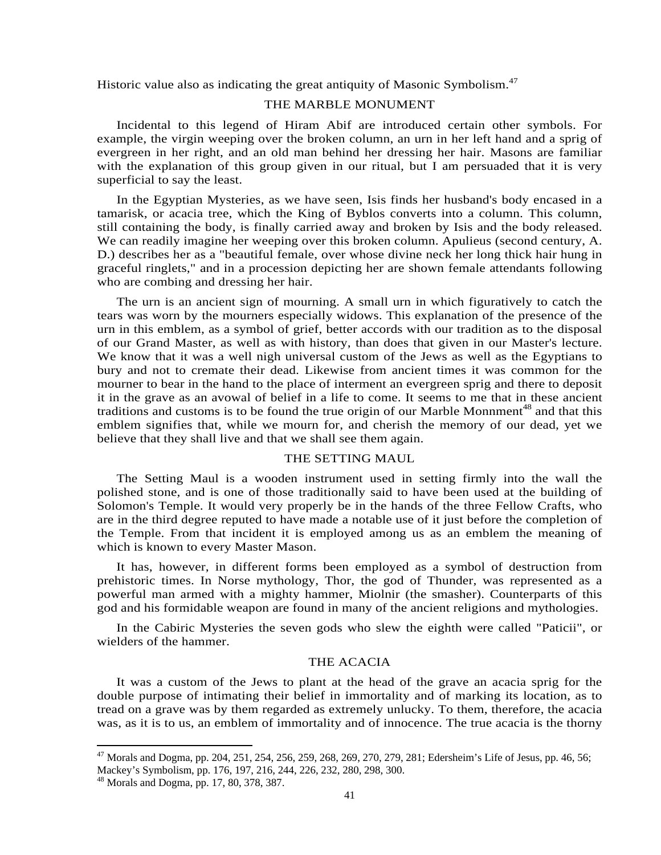Historic value also as indicating the great antiquity of Masonic Symbolism.<sup>47</sup>

## THE MARBLE MONUMENT

Incidental to this legend of Hiram Abif are introduced certain other symbols. For example, the virgin weeping over the broken column, an urn in her left hand and a sprig of evergreen in her right, and an old man behind her dressing her hair. Masons are familiar with the explanation of this group given in our ritual, but I am persuaded that it is very superficial to say the least.

In the Egyptian Mysteries, as we have seen, Isis finds her husband's body encased in a tamarisk, or acacia tree, which the King of Byblos converts into a column. This column, still containing the body, is finally carried away and broken by Isis and the body released. We can readily imagine her weeping over this broken column. Apulieus (second century, A. D.) describes her as a "beautiful female, over whose divine neck her long thick hair hung in graceful ringlets," and in a procession depicting her are shown female attendants following who are combing and dressing her hair.

The urn is an ancient sign of mourning. A small urn in which figuratively to catch the tears was worn by the mourners especially widows. This explanation of the presence of the urn in this emblem, as a symbol of grief, better accords with our tradition as to the disposal of our Grand Master, as well as with history, than does that given in our Master's lecture. We know that it was a well nigh universal custom of the Jews as well as the Egyptians to bury and not to cremate their dead. Likewise from ancient times it was common for the mourner to bear in the hand to the place of interment an evergreen sprig and there to deposit it in the grave as an avowal of belief in a life to come. It seems to me that in these ancient traditions and customs is to be found the true origin of our Marble Monnment<sup>48</sup> and that this emblem signifies that, while we mourn for, and cherish the memory of our dead, yet we believe that they shall live and that we shall see them again.

#### THE SETTING MAUL

The Setting Maul is a wooden instrument used in setting firmly into the wall the polished stone, and is one of those traditionally said to have been used at the building of Solomon's Temple. It would very properly be in the hands of the three Fellow Crafts, who are in the third degree reputed to have made a notable use of it just before the completion of the Temple. From that incident it is employed among us as an emblem the meaning of which is known to every Master Mason.

It has, however, in different forms been employed as a symbol of destruction from prehistoric times. In Norse mythology, Thor, the god of Thunder, was represented as a powerful man armed with a mighty hammer, Miolnir (the smasher). Counterparts of this god and his formidable weapon are found in many of the ancient religions and mythologies.

In the Cabiric Mysteries the seven gods who slew the eighth were called "Paticii", or wielders of the hammer.

# THE ACACIA

It was a custom of the Jews to plant at the head of the grave an acacia sprig for the double purpose of intimating their belief in immortality and of marking its location, as to tread on a grave was by them regarded as extremely unlucky. To them, therefore, the acacia was, as it is to us, an emblem of immortality and of innocence. The true acacia is the thorny

 $^{47}$  Morals and Dogma, pp. 204, 251, 254, 256, 259, 268, 269, 270, 279, 281; Edersheim's Life of Jesus, pp. 46, 56; Mackey's Symbolism, pp. 176, 197, 216, 244, 226, 232, 280, 298, 300.

 $48$  Morals and Dogma, pp. 17, 80, 378, 387.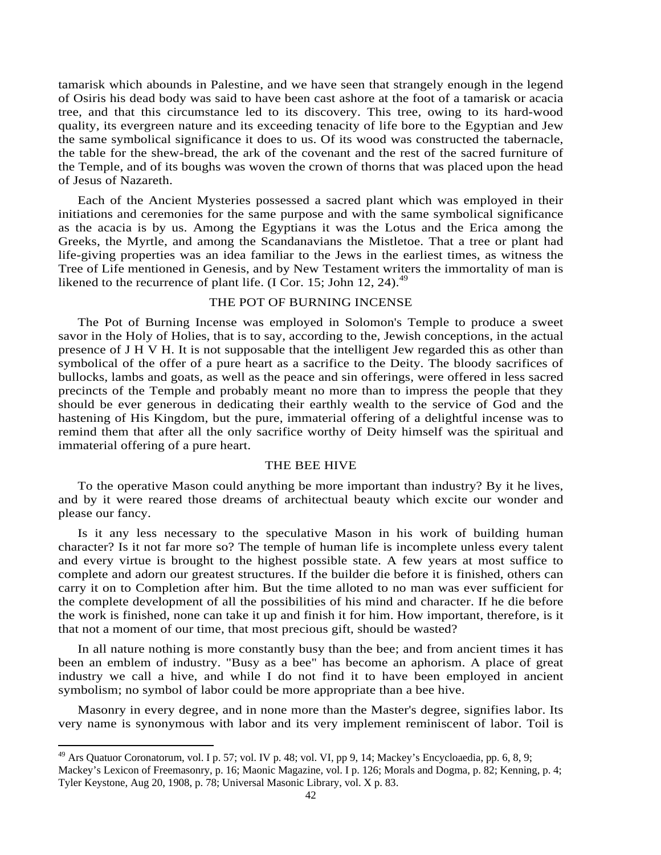tamarisk which abounds in Palestine, and we have seen that strangely enough in the legend of Osiris his dead body was said to have been cast ashore at the foot of a tamarisk or acacia tree, and that this circumstance led to its discovery. This tree, owing to its hard-wood quality, its evergreen nature and its exceeding tenacity of life bore to the Egyptian and Jew the same symbolical significance it does to us. Of its wood was constructed the tabernacle, the table for the shew-bread, the ark of the covenant and the rest of the sacred furniture of the Temple, and of its boughs was woven the crown of thorns that was placed upon the head of Jesus of Nazareth.

Each of the Ancient Mysteries possessed a sacred plant which was employed in their initiations and ceremonies for the same purpose and with the same symbolical significance as the acacia is by us. Among the Egyptians it was the Lotus and the Erica among the Greeks, the Myrtle, and among the Scandanavians the Mistletoe. That a tree or plant had life-giving properties was an idea familiar to the Jews in the earliest times, as witness the Tree of Life mentioned in Genesis, and by New Testament writers the immortality of man is likened to the recurrence of plant life. (I Cor. 15; John 12, 24).<sup>49</sup>

# THE POT OF BURNING INCENSE

The Pot of Burning Incense was employed in Solomon's Temple to produce a sweet savor in the Holy of Holies, that is to say, according to the, Jewish conceptions, in the actual presence of J H V H. It is not supposable that the intelligent Jew regarded this as other than symbolical of the offer of a pure heart as a sacrifice to the Deity. The bloody sacrifices of bullocks, lambs and goats, as well as the peace and sin offerings, were offered in less sacred precincts of the Temple and probably meant no more than to impress the people that they should be ever generous in dedicating their earthly wealth to the service of God and the hastening of His Kingdom, but the pure, immaterial offering of a delightful incense was to remind them that after all the only sacrifice worthy of Deity himself was the spiritual and immaterial offering of a pure heart.

#### THE BEE HIVE

To the operative Mason could anything be more important than industry? By it he lives, and by it were reared those dreams of architectual beauty which excite our wonder and please our fancy.

Is it any less necessary to the speculative Mason in his work of building human character? Is it not far more so? The temple of human life is incomplete unless every talent and every virtue is brought to the highest possible state. A few years at most suffice to complete and adorn our greatest structures. If the builder die before it is finished, others can carry it on to Completion after him. But the time alloted to no man was ever sufficient for the complete development of all the possibilities of his mind and character. If he die before the work is finished, none can take it up and finish it for him. How important, therefore, is it that not a moment of our time, that most precious gift, should be wasted?

In all nature nothing is more constantly busy than the bee; and from ancient times it has been an emblem of industry. "Busy as a bee" has become an aphorism. A place of great industry we call a hive, and while I do not find it to have been employed in ancient symbolism; no symbol of labor could be more appropriate than a bee hive.

Masonry in every degree, and in none more than the Master's degree, signifies labor. Its very name is synonymous with labor and its very implement reminiscent of labor. Toil is

 $^{49}$  Ars Quatuor Coronatorum, vol. I p. 57; vol. IV p. 48; vol. VI, pp 9, 14; Mackey's Encycloaedia, pp. 6, 8, 9;

Mackey's Lexicon of Freemasonry, p. 16; Maonic Magazine, vol. I p. 126; Morals and Dogma, p. 82; Kenning, p. 4; Tyler Keystone, Aug 20, 1908, p. 78; Universal Masonic Library, vol. X p. 83.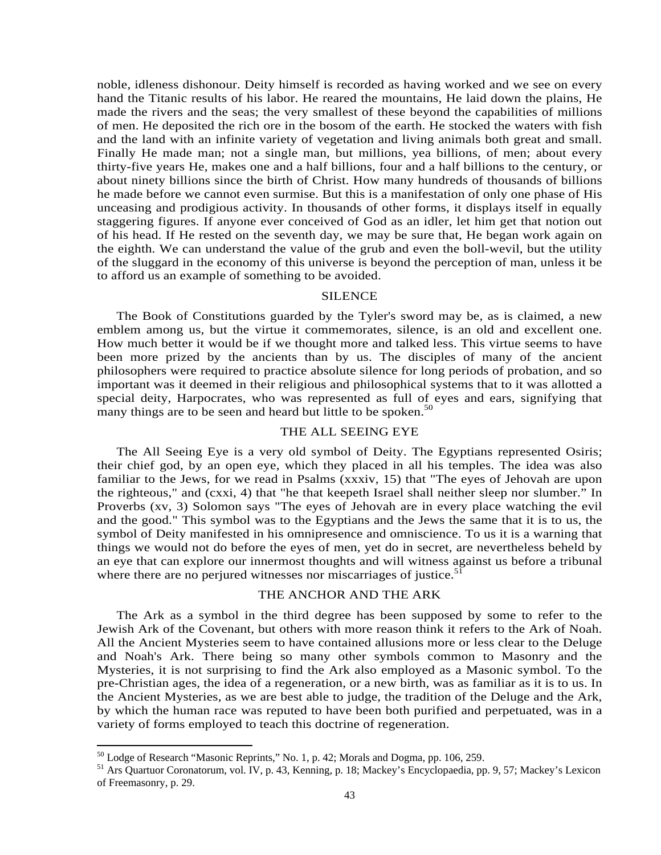noble, idleness dishonour. Deity himself is recorded as having worked and we see on every hand the Titanic results of his labor. He reared the mountains, He laid down the plains, He made the rivers and the seas; the very smallest of these beyond the capabilities of millions of men. He deposited the rich ore in the bosom of the earth. He stocked the waters with fish and the land with an infinite variety of vegetation and living animals both great and small. Finally He made man; not a single man, but millions, yea billions, of men; about every thirty-five years He, makes one and a half billions, four and a half billions to the century, or about ninety billions since the birth of Christ. How many hundreds of thousands of billions he made before we cannot even surmise. But this is a manifestation of only one phase of His unceasing and prodigious activity. In thousands of other forms, it displays itself in equally staggering figures. If anyone ever conceived of God as an idler, let him get that notion out of his head. If He rested on the seventh day, we may be sure that, He began work again on the eighth. We can understand the value of the grub and even the boll-wevil, but the utility of the sluggard in the economy of this universe is beyond the perception of man, unless it be to afford us an example of something to be avoided.

#### SILENCE

The Book of Constitutions guarded by the Tyler's sword may be, as is claimed, a new emblem among us, but the virtue it commemorates, silence, is an old and excellent one. How much better it would be if we thought more and talked less. This virtue seems to have been more prized by the ancients than by us. The disciples of many of the ancient philosophers were required to practice absolute silence for long periods of probation, and so important was it deemed in their religious and philosophical systems that to it was allotted a special deity, Harpocrates, who was represented as full of eyes and ears, signifying that many things are to be seen and heard but little to be spoken.<sup>50</sup>

# THE ALL SEEING EYE

The All Seeing Eye is a very old symbol of Deity. The Egyptians represented Osiris; their chief god, by an open eye, which they placed in all his temples. The idea was also familiar to the Jews, for we read in Psalms (xxxiv, 15) that "The eyes of Jehovah are upon the righteous," and (cxxi, 4) that "he that keepeth Israel shall neither sleep nor slumber." In Proverbs (xv, 3) Solomon says "The eyes of Jehovah are in every place watching the evil and the good." This symbol was to the Egyptians and the Jews the same that it is to us, the symbol of Deity manifested in his omnipresence and omniscience. To us it is a warning that things we would not do before the eyes of men, yet do in secret, are nevertheless beheld by an eye that can explore our innermost thoughts and will witness against us before a tribunal where there are no perjured witnesses nor miscarriages of justice.<sup>51</sup>

#### THE ANCHOR AND THE ARK

The Ark as a symbol in the third degree has been supposed by some to refer to the Jewish Ark of the Covenant, but others with more reason think it refers to the Ark of Noah. All the Ancient Mysteries seem to have contained allusions more or less clear to the Deluge and Noah's Ark. There being so many other symbols common to Masonry and the Mysteries, it is not surprising to find the Ark also employed as a Masonic symbol. To the pre-Christian ages, the idea of a regeneration, or a new birth, was as familiar as it is to us. In the Ancient Mysteries, as we are best able to judge, the tradition of the Deluge and the Ark, by which the human race was reputed to have been both purified and perpetuated, was in a variety of forms employed to teach this doctrine of regeneration.

 $50$  Lodge of Research "Masonic Reprints," No. 1, p. 42; Morals and Dogma, pp. 106, 259.

<sup>51</sup> Ars Quartuor Coronatorum, vol. IV, p. 43, Kenning, p. 18; Mackey's Encyclopaedia, pp. 9, 57; Mackey's Lexicon of Freemasonry, p. 29.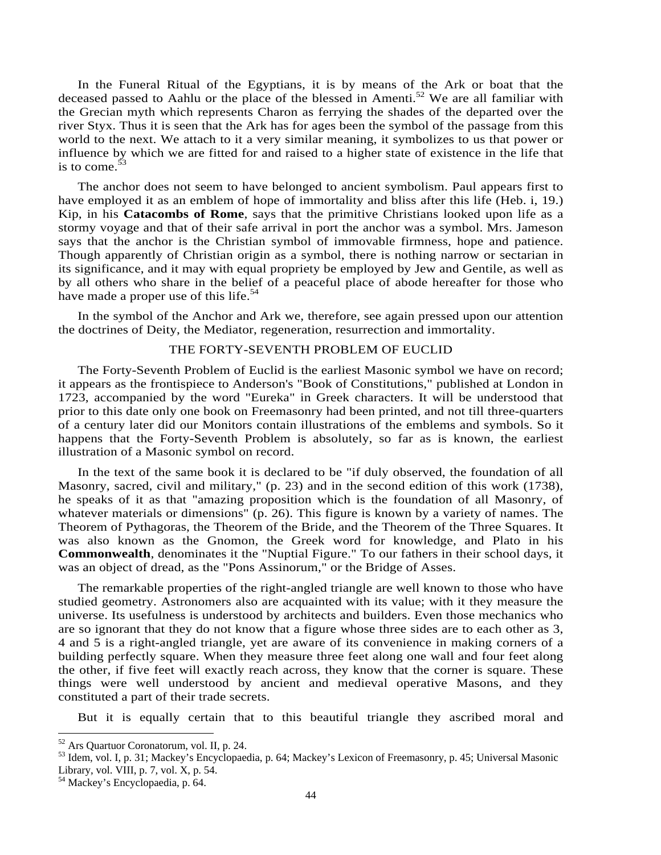In the Funeral Ritual of the Egyptians, it is by means of the Ark or boat that the deceased passed to Aahlu or the place of the blessed in Amenti.<sup>52</sup> We are all familiar with the Grecian myth which represents Charon as ferrying the shades of the departed over the river Styx. Thus it is seen that the Ark has for ages been the symbol of the passage from this world to the next. We attach to it a very similar meaning, it symbolizes to us that power or influence by which we are fitted for and raised to a higher state of existence in the life that is to come. $53$ 

The anchor does not seem to have belonged to ancient symbolism. Paul appears first to have employed it as an emblem of hope of immortality and bliss after this life (Heb. i, 19.) Kip, in his **Catacombs of Rome**, says that the primitive Christians looked upon life as a stormy voyage and that of their safe arrival in port the anchor was a symbol. Mrs. Jameson says that the anchor is the Christian symbol of immovable firmness, hope and patience. Though apparently of Christian origin as a symbol, there is nothing narrow or sectarian in its significance, and it may with equal propriety be employed by Jew and Gentile, as well as by all others who share in the belief of a peaceful place of abode hereafter for those who have made a proper use of this life.<sup>54</sup>

In the symbol of the Anchor and Ark we, therefore, see again pressed upon our attention the doctrines of Deity, the Mediator, regeneration, resurrection and immortality.

### THE FORTY-SEVENTH PROBLEM OF EUCLID

The Forty-Seventh Problem of Euclid is the earliest Masonic symbol we have on record; it appears as the frontispiece to Anderson's "Book of Constitutions," published at London in 1723, accompanied by the word "Eureka" in Greek characters. It will be understood that prior to this date only one book on Freemasonry had been printed, and not till three-quarters of a century later did our Monitors contain illustrations of the emblems and symbols. So it happens that the Forty-Seventh Problem is absolutely, so far as is known, the earliest illustration of a Masonic symbol on record.

In the text of the same book it is declared to be "if duly observed, the foundation of all Masonry, sacred, civil and military," (p. 23) and in the second edition of this work (1738), he speaks of it as that "amazing proposition which is the foundation of all Masonry, of whatever materials or dimensions" (p. 26). This figure is known by a variety of names. The Theorem of Pythagoras, the Theorem of the Bride, and the Theorem of the Three Squares. It was also known as the Gnomon, the Greek word for knowledge, and Plato in his **Commonwealth**, denominates it the "Nuptial Figure." To our fathers in their school days, it was an object of dread, as the "Pons Assinorum," or the Bridge of Asses.

The remarkable properties of the right-angled triangle are well known to those who have studied geometry. Astronomers also are acquainted with its value; with it they measure the universe. Its usefulness is understood by architects and builders. Even those mechanics who are so ignorant that they do not know that a figure whose three sides are to each other as 3, 4 and 5 is a right-angled triangle, yet are aware of its convenience in making corners of a building perfectly square. When they measure three feet along one wall and four feet along the other, if five feet will exactly reach across, they know that the corner is square. These things were well understood by ancient and medieval operative Masons, and they constituted a part of their trade secrets.

But it is equally certain that to this beautiful triangle they ascribed moral and

<sup>&</sup>lt;sup>52</sup> Ars Quartuor Coronatorum, vol. II, p. 24.

<sup>53</sup> Idem, vol. I, p. 31; Mackey's Encyclopaedia, p. 64; Mackey's Lexicon of Freemasonry, p. 45; Universal Masonic Library, vol. VIII, p. 7, vol. X, p. 54.

<sup>54</sup> Mackey's Encyclopaedia, p. 64.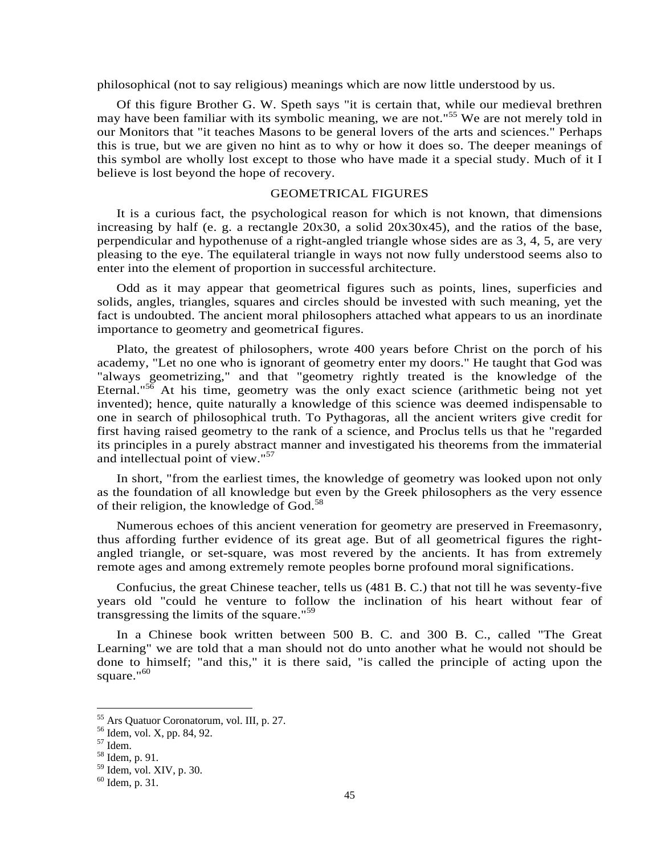philosophical (not to say religious) meanings which are now little understood by us.

Of this figure Brother G. W. Speth says "it is certain that, while our medieval brethren may have been familiar with its symbolic meaning, we are not."<sup>55</sup> We are not merely told in our Monitors that "it teaches Masons to be general lovers of the arts and sciences." Perhaps this is true, but we are given no hint as to why or how it does so. The deeper meanings of this symbol are wholly lost except to those who have made it a special study. Much of it I believe is lost beyond the hope of recovery.

#### GEOMETRICAL FIGURES

It is a curious fact, the psychological reason for which is not known, that dimensions increasing by half (e. g. a rectangle  $20x30$ , a solid  $20x30x45$ ), and the ratios of the base, perpendicular and hypothenuse of a right-angled triangle whose sides are as 3, 4, 5, are very pleasing to the eye. The equilateral triangle in ways not now fully understood seems also to enter into the element of proportion in successful architecture.

Odd as it may appear that geometrical figures such as points, lines, superficies and solids, angles, triangles, squares and circles should be invested with such meaning, yet the fact is undoubted. The ancient moral philosophers attached what appears to us an inordinate importance to geometry and geometricaI figures.

Plato, the greatest of philosophers, wrote 400 years before Christ on the porch of his academy, "Let no one who is ignorant of geometry enter my doors." He taught that God was "always geometrizing," and that "geometry rightly treated is the knowledge of the Eternal."<sup>56</sup> At his time, geometry was the only exact science (arithmetic being not yet invented); hence, quite naturally a knowledge of this science was deemed indispensable to one in search of philosophical truth. To Pythagoras, all the ancient writers give credit for first having raised geometry to the rank of a science, and Proclus tells us that he "regarded its principles in a purely abstract manner and investigated his theorems from the immaterial and intellectual point of view."<sup>57</sup>

In short, "from the earliest times, the knowledge of geometry was looked upon not only as the foundation of all knowledge but even by the Greek philosophers as the very essence of their religion, the knowledge of God.<sup>58</sup>

Numerous echoes of this ancient veneration for geometry are preserved in Freemasonry, thus affording further evidence of its great age. But of all geometrical figures the rightangled triangle, or set-square, was most revered by the ancients. It has from extremely remote ages and among extremely remote peoples borne profound moral significations.

Confucius, the great Chinese teacher, tells us (481 B. C.) that not till he was seventy-five years old "could he venture to follow the inclination of his heart without fear of transgressing the limits of the square."<sup>59</sup>

In a Chinese book written between 500 B. C. and 300 B. C., called "The Great Learning" we are told that a man should not do unto another what he would not should be done to himself; "and this," it is there said, "is called the principle of acting upon the square." $60$ 

<sup>55</sup> Ars Quatuor Coronatorum, vol. III, p. 27.

<sup>56</sup> Idem, vol. X, pp. 84, 92.

<sup>57</sup> Idem.

<sup>58</sup> Idem, p. 91.

<sup>59</sup> Idem, vol. XIV, p. 30.

<sup>60</sup> Idem, p. 31.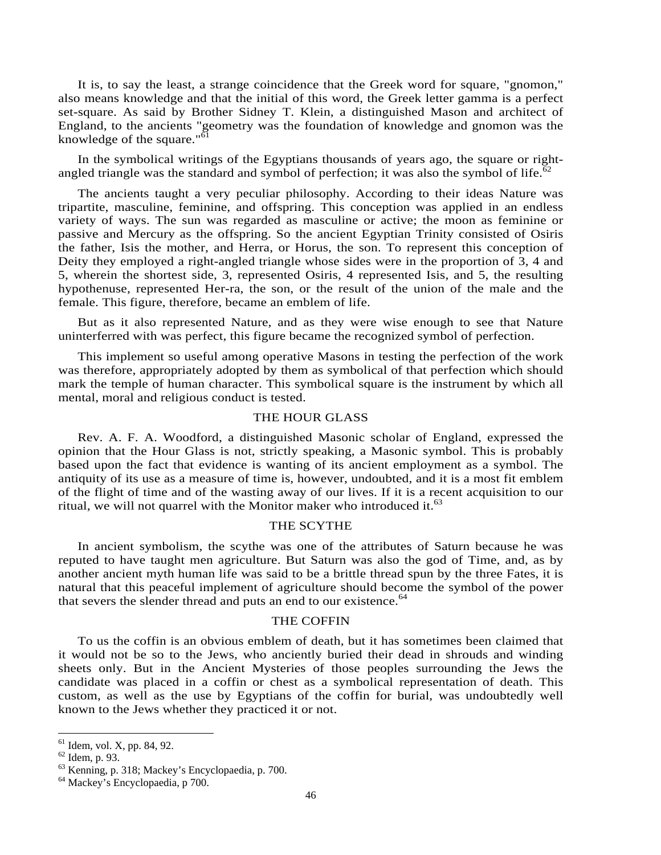It is, to say the least, a strange coincidence that the Greek word for square, "gnomon," also means knowledge and that the initial of this word, the Greek letter gamma is a perfect set-square. As said by Brother Sidney T. Klein, a distinguished Mason and architect of England, to the ancients "geometry was the foundation of knowledge and gnomon was the knowledge of the square."<sup>61</sup>

In the symbolical writings of the Egyptians thousands of years ago, the square or rightangled triangle was the standard and symbol of perfection; it was also the symbol of life. $\delta$ 

The ancients taught a very peculiar philosophy. According to their ideas Nature was tripartite, masculine, feminine, and offspring. This conception was applied in an endless variety of ways. The sun was regarded as masculine or active; the moon as feminine or passive and Mercury as the offspring. So the ancient Egyptian Trinity consisted of Osiris the father, Isis the mother, and Herra, or Horus, the son. To represent this conception of Deity they employed a right-angled triangle whose sides were in the proportion of 3, 4 and 5, wherein the shortest side, 3, represented Osiris, 4 represented Isis, and 5, the resulting hypothenuse, represented Her-ra, the son, or the result of the union of the male and the female. This figure, therefore, became an emblem of life.

But as it also represented Nature, and as they were wise enough to see that Nature uninterferred with was perfect, this figure became the recognized symbol of perfection.

This implement so useful among operative Masons in testing the perfection of the work was therefore, appropriately adopted by them as symbolical of that perfection which should mark the temple of human character. This symbolical square is the instrument by which all mental, moral and religious conduct is tested.

# THE HOUR GLASS

Rev. A. F. A. Woodford, a distinguished Masonic scholar of England, expressed the opinion that the Hour Glass is not, strictly speaking, a Masonic symbol. This is probably based upon the fact that evidence is wanting of its ancient employment as a symbol. The antiquity of its use as a measure of time is, however, undoubted, and it is a most fit emblem of the flight of time and of the wasting away of our lives. If it is a recent acquisition to our ritual, we will not quarrel with the Monitor maker who introduced it.<sup>63</sup>

#### THE SCYTHE

In ancient symbolism, the scythe was one of the attributes of Saturn because he was reputed to have taught men agriculture. But Saturn was also the god of Time, and, as by another ancient myth human life was said to be a brittle thread spun by the three Fates, it is natural that this peaceful implement of agriculture should become the symbol of the power that severs the slender thread and puts an end to our existence.<sup>64</sup>

#### THE COFFIN

To us the coffin is an obvious emblem of death, but it has sometimes been claimed that it would not be so to the Jews, who anciently buried their dead in shrouds and winding sheets only. But in the Ancient Mysteries of those peoples surrounding the Jews the candidate was placed in a coffin or chest as a symbolical representation of death. This custom, as well as the use by Egyptians of the coffin for burial, was undoubtedly well known to the Jews whether they practiced it or not.

 $<sup>61</sup>$  Idem, vol. X, pp. 84, 92.</sup>

<sup>62</sup> Idem, p. 93.

<sup>63</sup> Kenning, p. 318; Mackey's Encyclopaedia, p. 700.

<sup>64</sup> Mackey's Encyclopaedia, p 700.